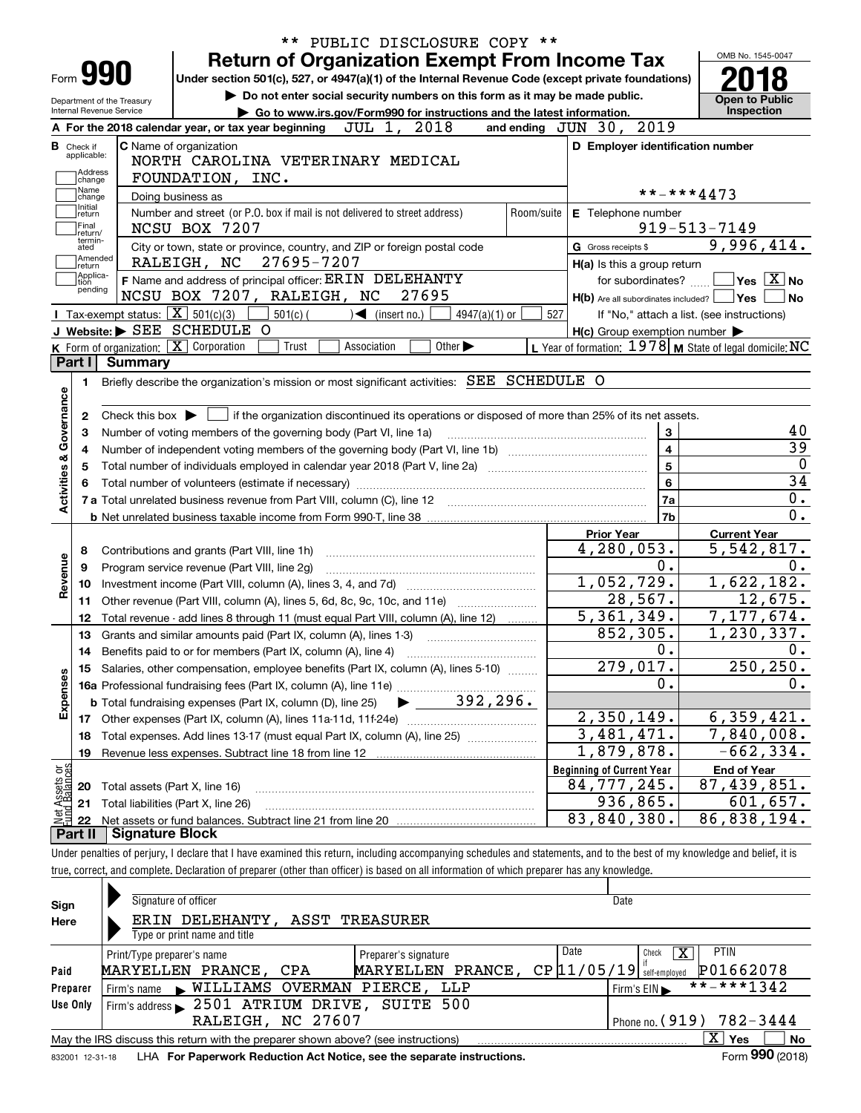|                                      |                            | ** PUBLIC DISCLOSURE COPY **<br><b>Return of Organization Exempt From Income Tax</b>                                                                                       |                                                                                                                  | OMB No. 1545-0047                    |  |  |  |  |
|--------------------------------------|----------------------------|----------------------------------------------------------------------------------------------------------------------------------------------------------------------------|------------------------------------------------------------------------------------------------------------------|--------------------------------------|--|--|--|--|
| Form <b>990</b>                      |                            | Under section 501(c), 527, or 4947(a)(1) of the Internal Revenue Code (except private foundations)                                                                         |                                                                                                                  |                                      |  |  |  |  |
|                                      | Department of the Treasury | Do not enter social security numbers on this form as it may be made public.                                                                                                |                                                                                                                  | <b>Open to Public</b>                |  |  |  |  |
| Internal Revenue Service             |                            | Go to www.irs.gov/Form990 for instructions and the latest information.                                                                                                     | Inspection                                                                                                       |                                      |  |  |  |  |
|                                      |                            | JUL 1, 2018<br>A For the 2018 calendar year, or tax year beginning                                                                                                         | and ending JUN 30, 2019                                                                                          |                                      |  |  |  |  |
| <b>B</b> Check if                    |                            | C Name of organization                                                                                                                                                     | D Employer identification number                                                                                 |                                      |  |  |  |  |
| applicable:<br>Address               |                            | NORTH CAROLINA VETERINARY MEDICAL                                                                                                                                          |                                                                                                                  |                                      |  |  |  |  |
| change                               |                            | FOUNDATION, INC.                                                                                                                                                           |                                                                                                                  |                                      |  |  |  |  |
| Name<br>change<br>Initial            |                            | Doing business as                                                                                                                                                          | **-***4473                                                                                                       |                                      |  |  |  |  |
| return                               |                            | Number and street (or P.O. box if mail is not delivered to street address)<br>Room/suite                                                                                   | E Telephone number                                                                                               |                                      |  |  |  |  |
| Final<br>return/<br>termin-          |                            | NCSU BOX 7207                                                                                                                                                              |                                                                                                                  | $919 - 513 - 7149$                   |  |  |  |  |
| ated<br> Amended                     |                            | City or town, state or province, country, and ZIP or foreign postal code                                                                                                   | G Gross receipts \$                                                                                              | 9,996,414.                           |  |  |  |  |
| return<br>Applica-                   |                            | 27695-7207<br>RALEIGH, NC                                                                                                                                                  | H(a) Is this a group return                                                                                      |                                      |  |  |  |  |
| tion<br>pending                      |                            | F Name and address of principal officer: ERIN DELEHANTY                                                                                                                    | for subordinates?                                                                                                | $\blacksquare$ Yes $\overline{X}$ No |  |  |  |  |
|                                      |                            | NCSU BOX 7207, RALEIGH, NC<br>27695                                                                                                                                        | $H(b)$ Are all subordinates included? $\Box$ Yes                                                                 | ∣No                                  |  |  |  |  |
|                                      |                            | Tax-exempt status: $\boxed{\mathbf{X}}$ 501(c)(3)<br>$\blacktriangleleft$ (insert no.)<br>$501(c)$ (<br>4947(a)(1) or<br>J Website: > SEE SCHEDULE O                       | 527<br>If "No," attach a list. (see instructions)                                                                |                                      |  |  |  |  |
|                                      |                            | $K$ Form of organization: $X$ Corporation<br>Trust<br>Other $\blacktriangleright$<br>Association                                                                           | $H(c)$ Group exemption number $\blacktriangleright$<br>L Year of formation: $1978$ M State of legal domicile: NC |                                      |  |  |  |  |
| Part I                               | Summary                    |                                                                                                                                                                            |                                                                                                                  |                                      |  |  |  |  |
|                                      |                            |                                                                                                                                                                            |                                                                                                                  |                                      |  |  |  |  |
| 1.                                   |                            | Briefly describe the organization's mission or most significant activities: SEE SCHEDULE O                                                                                 |                                                                                                                  |                                      |  |  |  |  |
|                                      |                            | Check this box $\blacktriangleright$ $\Box$ if the organization discontinued its operations or disposed of more than 25% of its net assets.                                |                                                                                                                  |                                      |  |  |  |  |
| 2<br>з                               |                            | Number of voting members of the governing body (Part VI, line 1a)                                                                                                          | $\mathbf{3}$                                                                                                     | 40                                   |  |  |  |  |
|                                      |                            |                                                                                                                                                                            | $\overline{\mathbf{4}}$                                                                                          | 39                                   |  |  |  |  |
|                                      | 4<br>$\overline{5}$        |                                                                                                                                                                            |                                                                                                                  |                                      |  |  |  |  |
|                                      |                            |                                                                                                                                                                            | $6\phantom{a}$                                                                                                   | $\overline{0}$<br>34                 |  |  |  |  |
| Activities & Governance              |                            |                                                                                                                                                                            | 7a                                                                                                               | $\overline{0}$ .                     |  |  |  |  |
|                                      |                            |                                                                                                                                                                            | 7b                                                                                                               | $\overline{0}$ .                     |  |  |  |  |
|                                      |                            |                                                                                                                                                                            | <b>Prior Year</b>                                                                                                | <b>Current Year</b>                  |  |  |  |  |
| 8                                    |                            |                                                                                                                                                                            | 4,280,053.                                                                                                       | 5,542,817.                           |  |  |  |  |
| 9                                    |                            | Program service revenue (Part VIII, line 2g)                                                                                                                               | $0$ .                                                                                                            | 0.                                   |  |  |  |  |
| Revenue<br>10                        |                            |                                                                                                                                                                            | 1,052,729.                                                                                                       | 1,622,182.                           |  |  |  |  |
| 11                                   |                            | Other revenue (Part VIII, column (A), lines 5, 6d, 8c, 9c, 10c, and 11e) <i>mummumm</i>                                                                                    | 28,567.                                                                                                          | 12,675.                              |  |  |  |  |
| 12                                   |                            | Total revenue - add lines 8 through 11 (must equal Part VIII, column (A), line 12)                                                                                         | 5,361,349.                                                                                                       | 7,177,674.                           |  |  |  |  |
| 13                                   |                            | Grants and similar amounts paid (Part IX, column (A), lines 1-3)                                                                                                           | 852,305.                                                                                                         | 1,230,337.                           |  |  |  |  |
| 14                                   |                            | Benefits paid to or for members (Part IX, column (A), line 4)                                                                                                              | 0.                                                                                                               | 0.                                   |  |  |  |  |
|                                      |                            | 15 Salaries, other compensation, employee benefits (Part IX, column (A), lines 5-10)                                                                                       | 279,017.                                                                                                         | 250, 250.                            |  |  |  |  |
| Expenses                             |                            |                                                                                                                                                                            | $\mathbf 0$ .                                                                                                    | 0.                                   |  |  |  |  |
|                                      |                            | 392,296.<br><b>b</b> Total fundraising expenses (Part IX, column (D), line 25)                                                                                             |                                                                                                                  |                                      |  |  |  |  |
|                                      |                            |                                                                                                                                                                            | 2,350,149.                                                                                                       | 6,359,421.                           |  |  |  |  |
| 18                                   |                            | Total expenses. Add lines 13-17 (must equal Part IX, column (A), line 25)                                                                                                  | 3,481,471.                                                                                                       | 7,840,008.                           |  |  |  |  |
| 19                                   |                            | Revenue less expenses. Subtract line 18 from line 12                                                                                                                       | $\overline{1}$ , 879, 878.                                                                                       | $-662, 334.$                         |  |  |  |  |
|                                      |                            |                                                                                                                                                                            | <b>Beginning of Current Year</b>                                                                                 | <b>End of Year</b>                   |  |  |  |  |
| 20                                   |                            | Total assets (Part X, line 16)                                                                                                                                             | 84,777,245.                                                                                                      | 87,439,851.                          |  |  |  |  |
| 21                                   |                            | Total liabilities (Part X, line 26)                                                                                                                                        | 936, 865.                                                                                                        | 601,657.                             |  |  |  |  |
| Net Assets or<br>Fund Balances<br>22 |                            |                                                                                                                                                                            | 83,840,380.                                                                                                      | 86,838,194.                          |  |  |  |  |
| Part II                              | <b>Signature Block</b>     |                                                                                                                                                                            |                                                                                                                  |                                      |  |  |  |  |
|                                      |                            | Under penalties of perjury, I declare that I have examined this return, including accompanying schedules and statements, and to the best of my knowledge and belief, it is |                                                                                                                  |                                      |  |  |  |  |
|                                      |                            | true, correct, and complete. Declaration of preparer (other than officer) is based on all information of which preparer has any knowledge.                                 |                                                                                                                  |                                      |  |  |  |  |
|                                      |                            |                                                                                                                                                                            |                                                                                                                  |                                      |  |  |  |  |
| Sign                                 |                            | Signature of officer                                                                                                                                                       | Date                                                                                                             |                                      |  |  |  |  |

| Sign     | Signature of officer                                                              |                      |                               |                               |
|----------|-----------------------------------------------------------------------------------|----------------------|-------------------------------|-------------------------------|
| Here     | ERIN DELEHANTY, ASST TREASURER                                                    |                      |                               |                               |
|          | Type or print name and title                                                      |                      |                               |                               |
|          | Print/Type preparer's name                                                        | Preparer's signature | Date<br>х<br>Check            | <b>PTIN</b>                   |
| Paid     | MARYELLEN PRANCE, CPA                                                             | MARYELLEN PRANCE,    | $CP$ $11/05/19$ self-employed | P01662078                     |
| Preparer | WILLIAMS OVERMAN PIERCE, LLP<br>Firm's name                                       |                      | Firm's EIN                    | **-***1342                    |
| Use Only | Firm's address 2501 ATRIUM DRIVE, SUITE 500                                       |                      |                               |                               |
|          | RALEIGH, NC 27607                                                                 |                      |                               | I Phone no. (919) 782-3444    |
|          | May the IRS discuss this return with the preparer shown above? (see instructions) |                      |                               | x<br>No<br><b>Yes</b>         |
|          |                                                                                   |                      |                               | $F_{\text{max}}$ 000 $(0.25)$ |

832001\_12-31-18 LHA **For Paperwork Reduction Act Notice, see the separate instructions.** Form 990 (2018)

**990**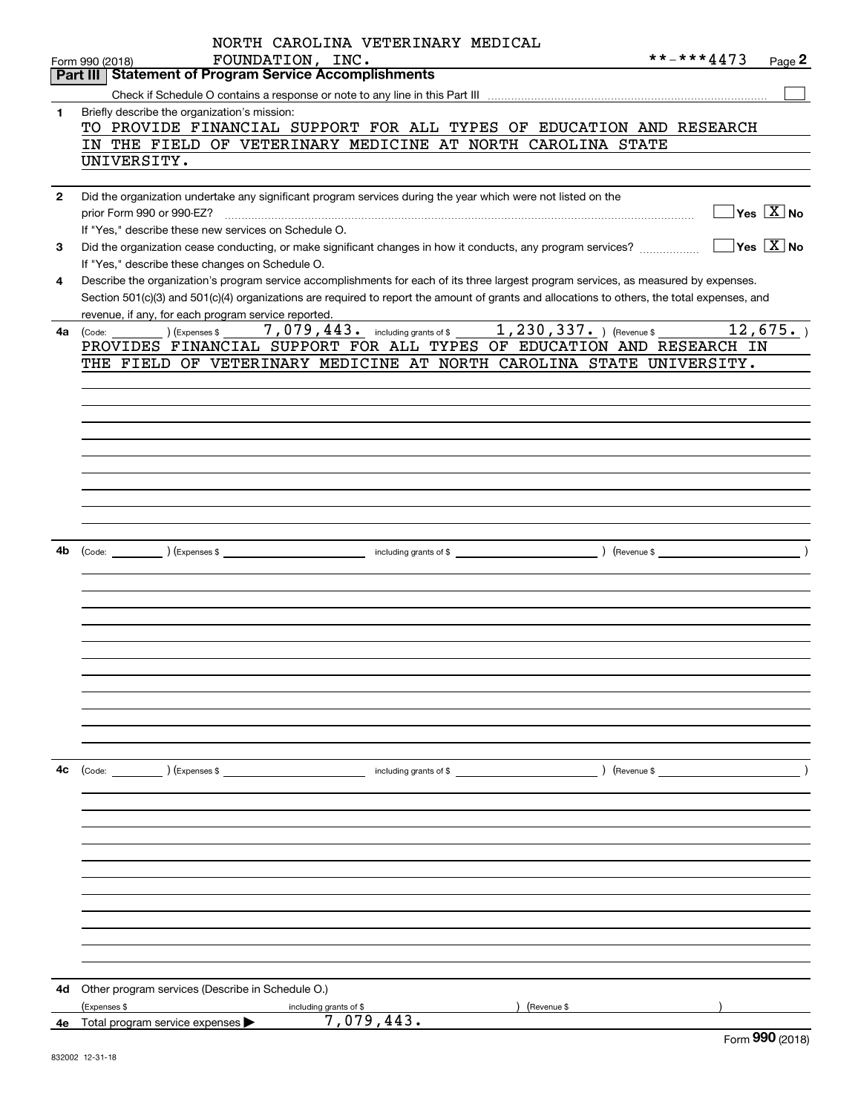|              | NORTH CAROLINA VETERINARY MEDICAL                                                                                                                               |            |                                            |
|--------------|-----------------------------------------------------------------------------------------------------------------------------------------------------------------|------------|--------------------------------------------|
|              | FOUNDATION, INC.<br>Form 990 (2018)<br><b>Statement of Program Service Accomplishments</b><br>Part III                                                          | **-***4473 | Page 2                                     |
|              |                                                                                                                                                                 |            |                                            |
| 1            | Briefly describe the organization's mission:                                                                                                                    |            |                                            |
|              | TO PROVIDE FINANCIAL SUPPORT FOR ALL TYPES OF EDUCATION AND RESEARCH                                                                                            |            |                                            |
|              | IN THE FIELD OF VETERINARY MEDICINE AT NORTH CAROLINA STATE                                                                                                     |            |                                            |
|              | UNIVERSITY.                                                                                                                                                     |            |                                            |
|              |                                                                                                                                                                 |            |                                            |
| $\mathbf{2}$ | Did the organization undertake any significant program services during the year which were not listed on the                                                    |            |                                            |
|              | prior Form 990 or 990-EZ?                                                                                                                                       |            | $\overline{\ }$ Yes $\overline{\rm{X}}$ No |
|              | If "Yes," describe these new services on Schedule O.                                                                                                            |            | $\sqrt{}$ Yes $\sqrt{}$ X $\sqrt{}$ No     |
| 3            | Did the organization cease conducting, or make significant changes in how it conducts, any program services?<br>If "Yes," describe these changes on Schedule O. |            |                                            |
| 4            | Describe the organization's program service accomplishments for each of its three largest program services, as measured by expenses.                            |            |                                            |
|              | Section 501(c)(3) and 501(c)(4) organizations are required to report the amount of grants and allocations to others, the total expenses, and                    |            |                                            |
|              | revenue, if any, for each program service reported.                                                                                                             |            |                                            |
| 4a           |                                                                                                                                                                 |            | 12,675.                                    |
|              | PROVIDES FINANCIAL SUPPORT FOR ALL TYPES OF EDUCATION AND RESEARCH IN                                                                                           |            |                                            |
|              | THE FIELD OF VETERINARY MEDICINE AT NORTH CAROLINA STATE UNIVERSITY.                                                                                            |            |                                            |
|              |                                                                                                                                                                 |            |                                            |
|              |                                                                                                                                                                 |            |                                            |
|              |                                                                                                                                                                 |            |                                            |
|              |                                                                                                                                                                 |            |                                            |
|              |                                                                                                                                                                 |            |                                            |
|              |                                                                                                                                                                 |            |                                            |
|              |                                                                                                                                                                 |            |                                            |
|              |                                                                                                                                                                 |            |                                            |
|              |                                                                                                                                                                 |            |                                            |
| 4b           |                                                                                                                                                                 |            |                                            |
|              |                                                                                                                                                                 |            |                                            |
|              |                                                                                                                                                                 |            |                                            |
|              |                                                                                                                                                                 |            |                                            |
|              |                                                                                                                                                                 |            |                                            |
|              |                                                                                                                                                                 |            |                                            |
|              |                                                                                                                                                                 |            |                                            |
|              |                                                                                                                                                                 |            |                                            |
|              |                                                                                                                                                                 |            |                                            |
|              |                                                                                                                                                                 |            |                                            |
|              |                                                                                                                                                                 |            |                                            |
|              |                                                                                                                                                                 |            |                                            |
| 4c           | (Code: ) (Expenses \$                                                                                                                                           |            |                                            |
|              |                                                                                                                                                                 |            |                                            |
|              |                                                                                                                                                                 |            |                                            |
|              |                                                                                                                                                                 |            |                                            |
|              |                                                                                                                                                                 |            |                                            |
|              |                                                                                                                                                                 |            |                                            |
|              |                                                                                                                                                                 |            |                                            |
|              |                                                                                                                                                                 |            |                                            |
|              |                                                                                                                                                                 |            |                                            |
|              |                                                                                                                                                                 |            |                                            |
|              |                                                                                                                                                                 |            |                                            |
|              |                                                                                                                                                                 |            |                                            |
|              |                                                                                                                                                                 |            |                                            |
| 4d           | Other program services (Describe in Schedule O.)<br>(Expenses \$<br>) (Revenue \$                                                                               |            |                                            |
| 4е           | including grants of \$<br>7,079,443.<br>Total program service expenses                                                                                          |            |                                            |
|              |                                                                                                                                                                 |            | nnn.                                       |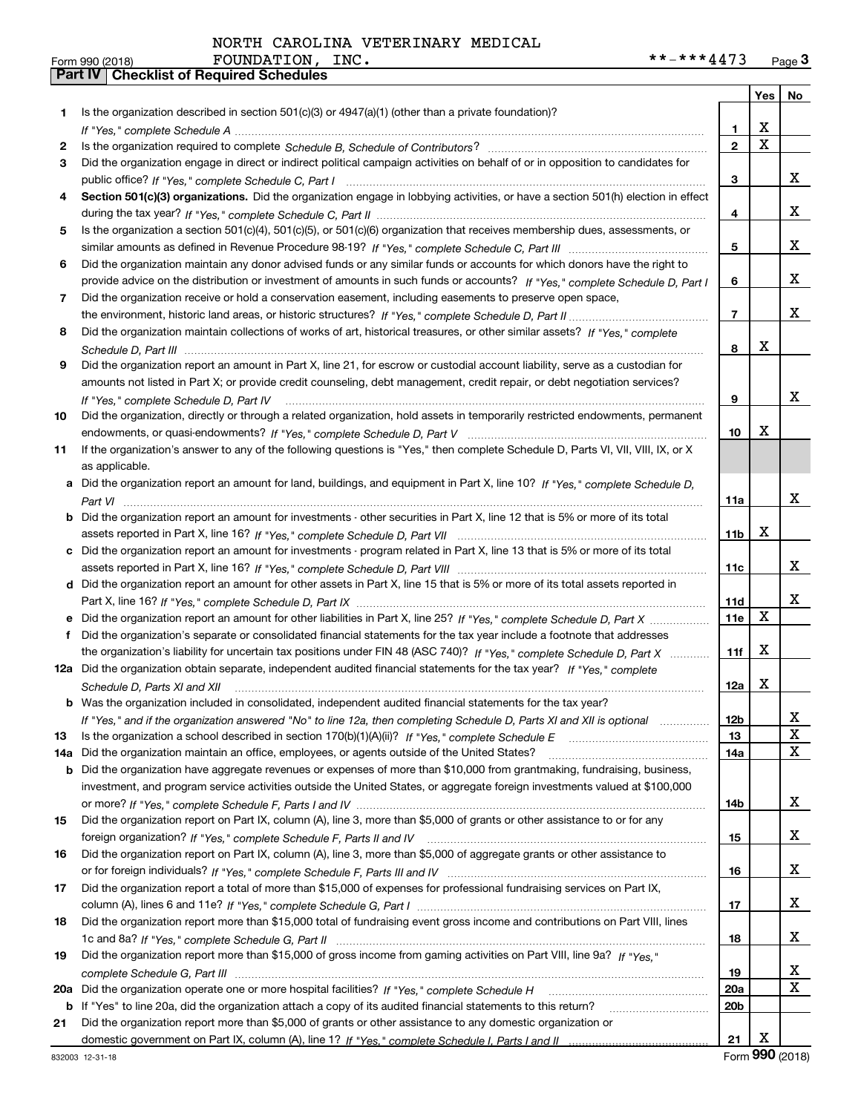|     |                                                                                                                                                                                                                                                  |                 | Yes   No                |             |
|-----|--------------------------------------------------------------------------------------------------------------------------------------------------------------------------------------------------------------------------------------------------|-----------------|-------------------------|-------------|
| 1.  | Is the organization described in section $501(c)(3)$ or $4947(a)(1)$ (other than a private foundation)?                                                                                                                                          |                 |                         |             |
|     |                                                                                                                                                                                                                                                  | 1.              | X                       |             |
| 2   |                                                                                                                                                                                                                                                  | $\overline{2}$  | $\overline{\mathbf{x}}$ |             |
| 3   | Did the organization engage in direct or indirect political campaign activities on behalf of or in opposition to candidates for                                                                                                                  |                 |                         |             |
|     |                                                                                                                                                                                                                                                  | 3               |                         | x           |
| 4   | Section 501(c)(3) organizations. Did the organization engage in lobbying activities, or have a section 501(h) election in effect                                                                                                                 |                 |                         |             |
|     |                                                                                                                                                                                                                                                  | 4               |                         | X           |
| 5   | Is the organization a section 501(c)(4), 501(c)(5), or 501(c)(6) organization that receives membership dues, assessments, or                                                                                                                     |                 |                         |             |
|     |                                                                                                                                                                                                                                                  | 5               |                         | X           |
| 6   | Did the organization maintain any donor advised funds or any similar funds or accounts for which donors have the right to                                                                                                                        |                 |                         |             |
|     | provide advice on the distribution or investment of amounts in such funds or accounts? If "Yes," complete Schedule D, Part I                                                                                                                     | 6               |                         | X           |
| 7   | Did the organization receive or hold a conservation easement, including easements to preserve open space,                                                                                                                                        |                 |                         |             |
|     |                                                                                                                                                                                                                                                  | $\overline{7}$  |                         | X           |
| 8   | Did the organization maintain collections of works of art, historical treasures, or other similar assets? If "Yes," complete                                                                                                                     |                 |                         |             |
|     |                                                                                                                                                                                                                                                  | 8               | X                       |             |
| 9   | Did the organization report an amount in Part X, line 21, for escrow or custodial account liability, serve as a custodian for                                                                                                                    |                 |                         |             |
|     | amounts not listed in Part X; or provide credit counseling, debt management, credit repair, or debt negotiation services?                                                                                                                        |                 |                         |             |
|     | If "Yes," complete Schedule D, Part IV                                                                                                                                                                                                           | 9               |                         | X           |
| 10  | Did the organization, directly or through a related organization, hold assets in temporarily restricted endowments, permanent                                                                                                                    |                 |                         |             |
|     |                                                                                                                                                                                                                                                  | 10              | X                       |             |
| 11  | If the organization's answer to any of the following questions is "Yes," then complete Schedule D, Parts VI, VII, VIII, IX, or X                                                                                                                 |                 |                         |             |
|     | as applicable.                                                                                                                                                                                                                                   |                 |                         |             |
| а   | Did the organization report an amount for land, buildings, and equipment in Part X, line 10? If "Yes," complete Schedule D,                                                                                                                      |                 |                         | х           |
|     |                                                                                                                                                                                                                                                  | 11a             |                         |             |
| b   | Did the organization report an amount for investments - other securities in Part X, line 12 that is 5% or more of its total                                                                                                                      |                 | X                       |             |
|     |                                                                                                                                                                                                                                                  | 11 <sub>b</sub> |                         |             |
| c   | Did the organization report an amount for investments - program related in Part X, line 13 that is 5% or more of its total                                                                                                                       |                 |                         | х           |
|     |                                                                                                                                                                                                                                                  | 11c             |                         |             |
|     | d Did the organization report an amount for other assets in Part X, line 15 that is 5% or more of its total assets reported in                                                                                                                   |                 |                         | х           |
|     |                                                                                                                                                                                                                                                  | 11d<br>11e      | X                       |             |
| f   | Did the organization report an amount for other liabilities in Part X, line 25? If "Yes," complete Schedule D, Part X<br>Did the organization's separate or consolidated financial statements for the tax year include a footnote that addresses |                 |                         |             |
|     | the organization's liability for uncertain tax positions under FIN 48 (ASC 740)? If "Yes," complete Schedule D, Part X                                                                                                                           | 11f             | X                       |             |
|     | 12a Did the organization obtain separate, independent audited financial statements for the tax year? If "Yes," complete                                                                                                                          |                 |                         |             |
|     | Schedule D, Parts XI and XII                                                                                                                                                                                                                     | 12a             | X                       |             |
|     | <b>b</b> Was the organization included in consolidated, independent audited financial statements for the tax year?                                                                                                                               |                 |                         |             |
|     | If "Yes," and if the organization answered "No" to line 12a, then completing Schedule D, Parts XI and XII is optional                                                                                                                            | 12b             |                         | 4           |
| 13  |                                                                                                                                                                                                                                                  | 13              |                         | X           |
| 14a | Did the organization maintain an office, employees, or agents outside of the United States?                                                                                                                                                      | 14a             |                         | X           |
| b   | Did the organization have aggregate revenues or expenses of more than \$10,000 from grantmaking, fundraising, business,                                                                                                                          |                 |                         |             |
|     | investment, and program service activities outside the United States, or aggregate foreign investments valued at \$100,000                                                                                                                       |                 |                         |             |
|     |                                                                                                                                                                                                                                                  | 14b             |                         | X           |
| 15  | Did the organization report on Part IX, column (A), line 3, more than \$5,000 of grants or other assistance to or for any                                                                                                                        |                 |                         |             |
|     |                                                                                                                                                                                                                                                  | 15              |                         | X           |
| 16  | Did the organization report on Part IX, column (A), line 3, more than \$5,000 of aggregate grants or other assistance to                                                                                                                         |                 |                         |             |
|     |                                                                                                                                                                                                                                                  | 16              |                         | X           |
| 17  | Did the organization report a total of more than \$15,000 of expenses for professional fundraising services on Part IX,                                                                                                                          |                 |                         |             |
|     |                                                                                                                                                                                                                                                  | 17              |                         | X           |
| 18  | Did the organization report more than \$15,000 total of fundraising event gross income and contributions on Part VIII, lines                                                                                                                     |                 |                         |             |
|     |                                                                                                                                                                                                                                                  | 18              |                         | X           |
| 19  | Did the organization report more than \$15,000 of gross income from gaming activities on Part VIII, line 9a? If "Yes."                                                                                                                           |                 |                         |             |
|     |                                                                                                                                                                                                                                                  | 19              |                         | x           |
| 20a |                                                                                                                                                                                                                                                  | 20a             |                         | $\mathbf x$ |
|     | b If "Yes" to line 20a, did the organization attach a copy of its audited financial statements to this return?                                                                                                                                   | 20 <sub>b</sub> |                         |             |
| 21  | Did the organization report more than \$5,000 of grants or other assistance to any domestic organization or                                                                                                                                      |                 |                         |             |
|     |                                                                                                                                                                                                                                                  | 21              | X                       |             |

Form (2018) **990**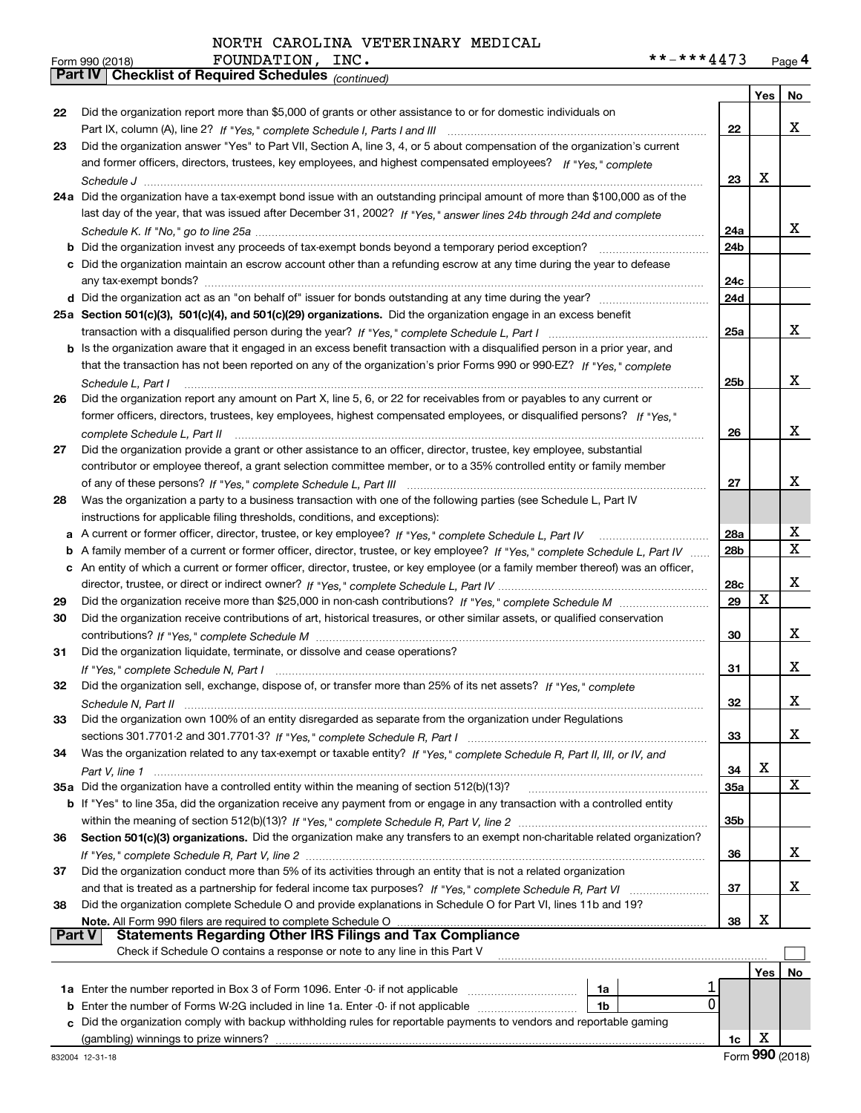|    | Part IV   Griecklist of Required Scriedules (continued)                                                                           |                 |            |             |
|----|-----------------------------------------------------------------------------------------------------------------------------------|-----------------|------------|-------------|
|    |                                                                                                                                   |                 | Yes        | No.         |
| 22 | Did the organization report more than \$5,000 of grants or other assistance to or for domestic individuals on                     |                 |            |             |
|    |                                                                                                                                   | 22              |            | x           |
| 23 | Did the organization answer "Yes" to Part VII, Section A, line 3, 4, or 5 about compensation of the organization's current        |                 |            |             |
|    | and former officers, directors, trustees, key employees, and highest compensated employees? If "Yes," complete                    |                 |            |             |
|    |                                                                                                                                   | 23              | x          |             |
|    | 24a Did the organization have a tax-exempt bond issue with an outstanding principal amount of more than \$100,000 as of the       |                 |            |             |
|    | last day of the year, that was issued after December 31, 2002? If "Yes," answer lines 24b through 24d and complete                |                 |            |             |
|    |                                                                                                                                   | 24a             |            | x           |
|    | <b>b</b> Did the organization invest any proceeds of tax-exempt bonds beyond a temporary period exception?                        | 24b             |            |             |
|    | c Did the organization maintain an escrow account other than a refunding escrow at any time during the year to defease            |                 |            |             |
|    |                                                                                                                                   | 24c<br>24d      |            |             |
|    | 25a Section 501(c)(3), 501(c)(4), and 501(c)(29) organizations. Did the organization engage in an excess benefit                  |                 |            |             |
|    |                                                                                                                                   | 25a             |            | x           |
|    | b Is the organization aware that it engaged in an excess benefit transaction with a disqualified person in a prior year, and      |                 |            |             |
|    | that the transaction has not been reported on any of the organization's prior Forms 990 or 990-EZ? If "Yes," complete             |                 |            |             |
|    | Schedule L. Part I                                                                                                                | 25b             |            | x           |
| 26 | Did the organization report any amount on Part X, line 5, 6, or 22 for receivables from or payables to any current or             |                 |            |             |
|    | former officers, directors, trustees, key employees, highest compensated employees, or disqualified persons? If "Yes."            |                 |            |             |
|    |                                                                                                                                   | 26              |            | х           |
| 27 | Did the organization provide a grant or other assistance to an officer, director, trustee, key employee, substantial              |                 |            |             |
|    | contributor or employee thereof, a grant selection committee member, or to a 35% controlled entity or family member               |                 |            |             |
|    |                                                                                                                                   | 27              |            | x           |
| 28 | Was the organization a party to a business transaction with one of the following parties (see Schedule L, Part IV                 |                 |            |             |
|    | instructions for applicable filing thresholds, conditions, and exceptions):                                                       |                 |            |             |
| а  | A current or former officer, director, trustee, or key employee? If "Yes," complete Schedule L, Part IV                           | 28a             |            | х           |
| b  | A family member of a current or former officer, director, trustee, or key employee? If "Yes," complete Schedule L, Part IV        | 28 <sub>b</sub> |            | $\mathbf X$ |
|    | c An entity of which a current or former officer, director, trustee, or key employee (or a family member thereof) was an officer, |                 |            |             |
|    |                                                                                                                                   | 28c             |            | X           |
| 29 |                                                                                                                                   | 29              | X          |             |
| 30 | Did the organization receive contributions of art, historical treasures, or other similar assets, or qualified conservation       |                 |            |             |
|    |                                                                                                                                   | 30              |            | x           |
| 31 | Did the organization liquidate, terminate, or dissolve and cease operations?                                                      |                 |            |             |
|    |                                                                                                                                   | 31              |            | x           |
| 32 | Did the organization sell, exchange, dispose of, or transfer more than 25% of its net assets? If "Yes," complete                  |                 |            |             |
|    |                                                                                                                                   | 32              |            | х           |
| 33 | Did the organization own 100% of an entity disregarded as separate from the organization under Regulations                        |                 |            |             |
|    |                                                                                                                                   | 33              |            | x           |
| 34 | Was the organization related to any tax-exempt or taxable entity? If "Yes," complete Schedule R, Part II, III, or IV, and         |                 |            |             |
|    |                                                                                                                                   | 34              | X          |             |
|    | 35a Did the organization have a controlled entity within the meaning of section 512(b)(13)?                                       | 35a             |            | X           |
|    | b If "Yes" to line 35a, did the organization receive any payment from or engage in any transaction with a controlled entity       |                 |            |             |
|    |                                                                                                                                   | 35b             |            |             |
| 36 | Section 501(c)(3) organizations. Did the organization make any transfers to an exempt non-charitable related organization?        |                 |            |             |
|    |                                                                                                                                   | 36              |            | x           |
| 37 | Did the organization conduct more than 5% of its activities through an entity that is not a related organization                  |                 |            |             |
|    | and that is treated as a partnership for federal income tax purposes? If "Yes," complete Schedule R, Part VI                      | 37              |            | х           |
| 38 | Did the organization complete Schedule O and provide explanations in Schedule O for Part VI, lines 11b and 19?                    |                 |            |             |
|    | Note. All Form 990 filers are required to complete Schedule O                                                                     | 38              | X          |             |
|    | Part V<br><b>Statements Regarding Other IRS Filings and Tax Compliance</b>                                                        |                 |            |             |
|    | Check if Schedule O contains a response or note to any line in this Part V                                                        |                 |            |             |
|    |                                                                                                                                   |                 | <b>Yes</b> | No          |
|    | 1a                                                                                                                                |                 |            |             |
|    | 0<br><b>b</b> Enter the number of Forms W-2G included in line 1a. Enter -0- if not applicable<br>1b                               |                 |            |             |
| c  | Did the organization comply with backup withholding rules for reportable payments to vendors and reportable gaming                |                 |            |             |
|    | (gambling) winnings to prize winners?                                                                                             | 1c              | х          |             |

Form (2018) **990**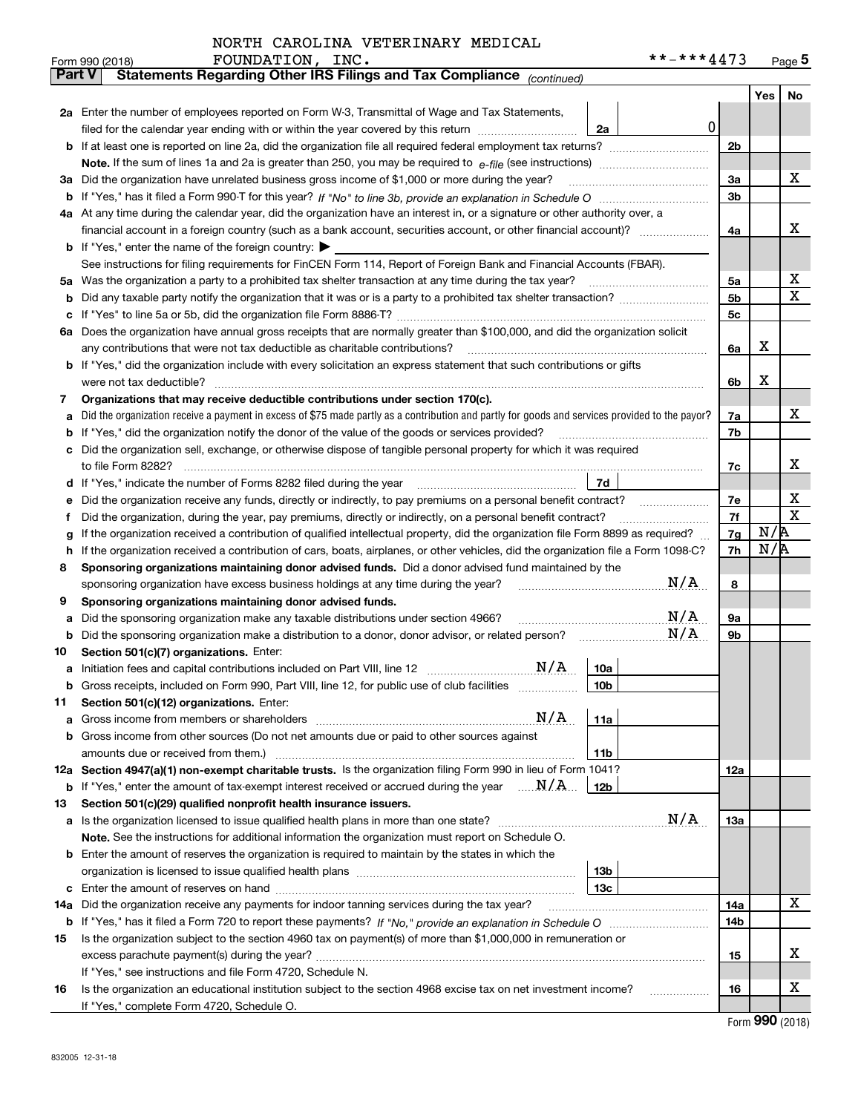|               | FOUNDATION,<br>INC.<br>Form 990 (2018)                                                                                                                                                                                                           |                 | **-***4473 |                |     | Page $5$ |
|---------------|--------------------------------------------------------------------------------------------------------------------------------------------------------------------------------------------------------------------------------------------------|-----------------|------------|----------------|-----|----------|
| <b>Part V</b> | Statements Regarding Other IRS Filings and Tax Compliance (continued)                                                                                                                                                                            |                 |            |                |     |          |
|               |                                                                                                                                                                                                                                                  |                 |            |                | Yes | No       |
|               | 2a Enter the number of employees reported on Form W-3, Transmittal of Wage and Tax Statements,                                                                                                                                                   |                 |            |                |     |          |
|               | filed for the calendar year ending with or within the year covered by this return [11] [11] the calendar year ending with or within the year covered by this return                                                                              | 2a              | 0          |                |     |          |
|               |                                                                                                                                                                                                                                                  |                 |            | 2 <sub>b</sub> |     |          |
|               |                                                                                                                                                                                                                                                  |                 |            |                |     |          |
|               | 3a Did the organization have unrelated business gross income of \$1,000 or more during the year?                                                                                                                                                 |                 |            | 3a             |     | х        |
|               |                                                                                                                                                                                                                                                  |                 |            | 3 <sub>b</sub> |     |          |
|               | 4a At any time during the calendar year, did the organization have an interest in, or a signature or other authority over, a                                                                                                                     |                 |            |                |     |          |
|               |                                                                                                                                                                                                                                                  |                 |            | 4a             |     | х        |
|               | <b>b</b> If "Yes," enter the name of the foreign country: $\blacktriangleright$                                                                                                                                                                  |                 |            |                |     |          |
|               | See instructions for filing requirements for FinCEN Form 114, Report of Foreign Bank and Financial Accounts (FBAR).                                                                                                                              |                 |            |                |     |          |
| 5a            | Was the organization a party to a prohibited tax shelter transaction at any time during the tax year?                                                                                                                                            |                 |            | 5a             |     | х        |
| b             |                                                                                                                                                                                                                                                  |                 |            | 5b             |     | х        |
| с             |                                                                                                                                                                                                                                                  |                 |            | 5c             |     |          |
| ба            | Does the organization have annual gross receipts that are normally greater than \$100,000, and did the organization solicit                                                                                                                      |                 |            |                |     |          |
|               | any contributions that were not tax deductible as charitable contributions?                                                                                                                                                                      |                 |            | 6a             | х   |          |
|               | b If "Yes," did the organization include with every solicitation an express statement that such contributions or gifts                                                                                                                           |                 |            |                |     |          |
|               | were not tax deductible?                                                                                                                                                                                                                         |                 |            | 6b             | х   |          |
| 7             | Organizations that may receive deductible contributions under section 170(c).                                                                                                                                                                    |                 |            |                |     |          |
| a             | Did the organization receive a payment in excess of \$75 made partly as a contribution and partly for goods and services provided to the payor?                                                                                                  |                 |            | 7a             |     | х        |
| b             | If "Yes," did the organization notify the donor of the value of the goods or services provided?                                                                                                                                                  |                 |            | 7b             |     |          |
|               | Did the organization sell, exchange, or otherwise dispose of tangible personal property for which it was required                                                                                                                                |                 |            |                |     | х        |
|               |                                                                                                                                                                                                                                                  | 7d              |            | 7c             |     |          |
| d             | If "Yes," indicate the number of Forms 8282 filed during the year                                                                                                                                                                                |                 |            |                |     | х        |
| е             | Did the organization receive any funds, directly or indirectly, to pay premiums on a personal benefit contract?                                                                                                                                  |                 |            | 7e<br>7f       |     | х        |
| f             | Did the organization, during the year, pay premiums, directly or indirectly, on a personal benefit contract?<br>If the organization received a contribution of qualified intellectual property, did the organization file Form 8899 as required? |                 |            | 7g             | N/R |          |
| g<br>h        | If the organization received a contribution of cars, boats, airplanes, or other vehicles, did the organization file a Form 1098-C?                                                                                                               |                 |            | 7h             | N/R |          |
| 8             | Sponsoring organizations maintaining donor advised funds. Did a donor advised fund maintained by the                                                                                                                                             |                 |            |                |     |          |
|               | sponsoring organization have excess business holdings at any time during the year?                                                                                                                                                               |                 | N/A        | 8              |     |          |
| 9             | Sponsoring organizations maintaining donor advised funds.                                                                                                                                                                                        |                 |            |                |     |          |
| a             | Did the sponsoring organization make any taxable distributions under section 4966?                                                                                                                                                               |                 | N/A        | <b>9a</b>      |     |          |
| b             | Did the sponsoring organization make a distribution to a donor, donor advisor, or related person?                                                                                                                                                |                 | N/A        | 9b             |     |          |
| 10            | Section 501(c)(7) organizations. Enter:                                                                                                                                                                                                          |                 |            |                |     |          |
|               | N/A                                                                                                                                                                                                                                              | 10a             |            |                |     |          |
|               | Gross receipts, included on Form 990, Part VIII, line 12, for public use of club facilities                                                                                                                                                      | 10 <sub>b</sub> |            |                |     |          |
| 11            | Section 501(c)(12) organizations. Enter:                                                                                                                                                                                                         |                 |            |                |     |          |
| a             | N/A<br>Gross income from members or shareholders                                                                                                                                                                                                 | 11a             |            |                |     |          |
|               | b Gross income from other sources (Do not net amounts due or paid to other sources against                                                                                                                                                       |                 |            |                |     |          |
|               | amounts due or received from them.)                                                                                                                                                                                                              | 11 <sub>b</sub> |            |                |     |          |
|               | 12a Section 4947(a)(1) non-exempt charitable trusts. Is the organization filing Form 990 in lieu of Form 1041?                                                                                                                                   |                 |            | 12a            |     |          |
|               | <b>b</b> If "Yes," enter the amount of tax-exempt interest received or accrued during the year $\ldots \mathbf{N}/\mathbf{A}$                                                                                                                    | 12b             |            |                |     |          |
| 13            | Section 501(c)(29) qualified nonprofit health insurance issuers.                                                                                                                                                                                 |                 |            |                |     |          |
|               | a Is the organization licensed to issue qualified health plans in more than one state?                                                                                                                                                           |                 | N/A        | 13a            |     |          |
|               | Note. See the instructions for additional information the organization must report on Schedule O.                                                                                                                                                |                 |            |                |     |          |
|               | <b>b</b> Enter the amount of reserves the organization is required to maintain by the states in which the                                                                                                                                        |                 |            |                |     |          |
|               |                                                                                                                                                                                                                                                  | 13b             |            |                |     |          |
|               |                                                                                                                                                                                                                                                  | 13c             |            |                |     |          |
| 14a           | Did the organization receive any payments for indoor tanning services during the tax year?                                                                                                                                                       |                 |            | 14a            |     | x        |
|               |                                                                                                                                                                                                                                                  |                 |            | 14b            |     |          |
| 15            | Is the organization subject to the section 4960 tax on payment(s) of more than \$1,000,000 in remuneration or                                                                                                                                    |                 |            |                |     |          |
|               |                                                                                                                                                                                                                                                  |                 |            | 15             |     | х        |
|               | If "Yes," see instructions and file Form 4720, Schedule N.                                                                                                                                                                                       |                 |            |                |     |          |
| 16            | Is the organization an educational institution subject to the section 4968 excise tax on net investment income?                                                                                                                                  |                 |            | 16             |     | х        |
|               | If "Yes," complete Form 4720, Schedule O.                                                                                                                                                                                                        |                 |            |                |     |          |

Form (2018) **990**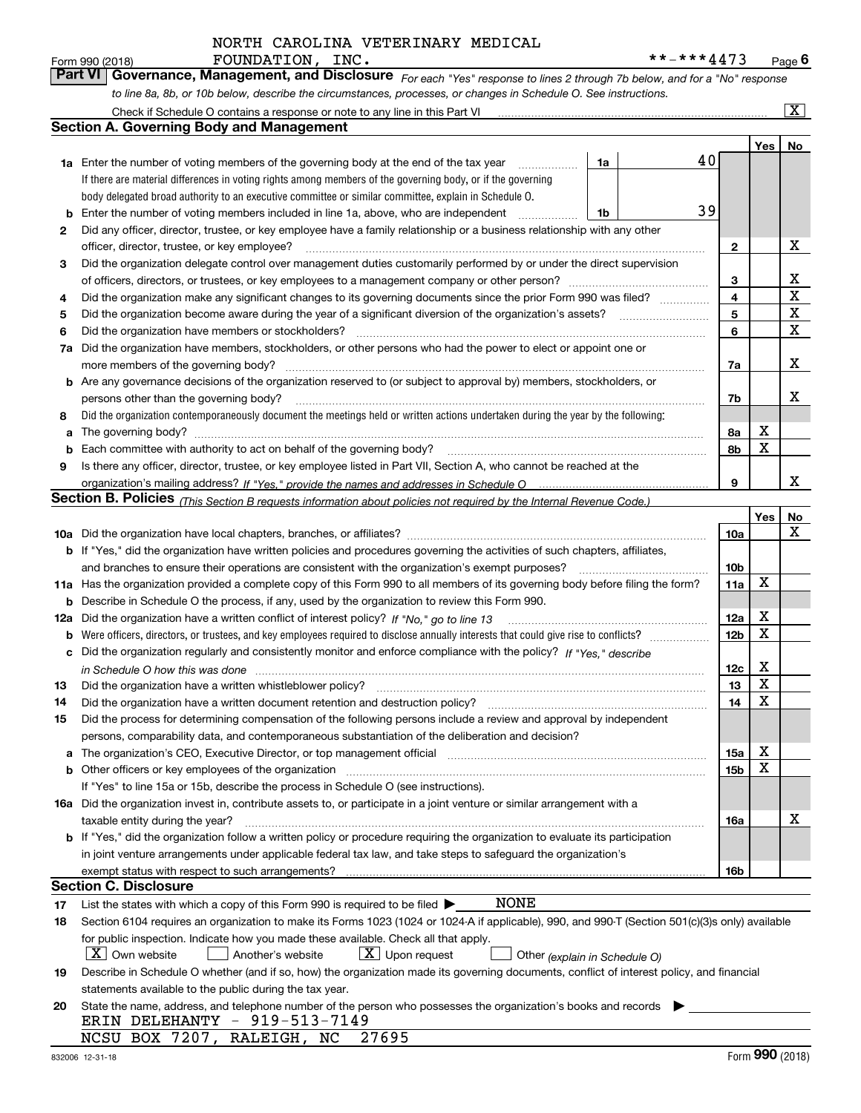*For each "Yes" response to lines 2 through 7b below, and for a "No" response to line 8a, 8b, or 10b below, describe the circumstances, processes, or changes in Schedule O. See instructions.* Form 990 (2018) FOUNDATION, INC.<br>**Part VI Governance, Management, and Disclosure** For each "Yes" response to lines 2 through 7b below, and for a "No" response

|    | Check if Schedule O contains a response or note to any line in this Part VI                                                                                           |                               |    |                 |     | $\overline{\mathbf{X}}$ $\overline{\mathbf{X}}$ |  |  |  |  |  |  |  |
|----|-----------------------------------------------------------------------------------------------------------------------------------------------------------------------|-------------------------------|----|-----------------|-----|-------------------------------------------------|--|--|--|--|--|--|--|
|    | Section A. Governing Body and Management                                                                                                                              |                               |    |                 |     |                                                 |  |  |  |  |  |  |  |
|    |                                                                                                                                                                       |                               |    |                 | Yes | No                                              |  |  |  |  |  |  |  |
|    | 1a Enter the number of voting members of the governing body at the end of the tax year                                                                                | 1a                            | 40 |                 |     |                                                 |  |  |  |  |  |  |  |
|    | If there are material differences in voting rights among members of the governing body, or if the governing                                                           |                               |    |                 |     |                                                 |  |  |  |  |  |  |  |
|    | body delegated broad authority to an executive committee or similar committee, explain in Schedule O.                                                                 |                               |    |                 |     |                                                 |  |  |  |  |  |  |  |
| b  | 39<br>Enter the number of voting members included in line 1a, above, who are independent<br>1b                                                                        |                               |    |                 |     |                                                 |  |  |  |  |  |  |  |
| 2  | Did any officer, director, trustee, or key employee have a family relationship or a business relationship with any other                                              |                               |    |                 |     |                                                 |  |  |  |  |  |  |  |
|    | officer, director, trustee, or key employee?<br>.                                                                                                                     |                               |    |                 |     |                                                 |  |  |  |  |  |  |  |
| 3  | Did the organization delegate control over management duties customarily performed by or under the direct supervision                                                 |                               |    |                 |     |                                                 |  |  |  |  |  |  |  |
|    |                                                                                                                                                                       |                               |    |                 |     |                                                 |  |  |  |  |  |  |  |
| 4  | Did the organization make any significant changes to its governing documents since the prior Form 990 was filed?                                                      |                               |    | 4               |     | $\mathbf X$                                     |  |  |  |  |  |  |  |
| 5  |                                                                                                                                                                       |                               |    | 5               |     | $\mathbf X$                                     |  |  |  |  |  |  |  |
| 6  | Did the organization have members or stockholders?                                                                                                                    |                               |    | 6               |     | $\mathbf X$                                     |  |  |  |  |  |  |  |
| 7a | Did the organization have members, stockholders, or other persons who had the power to elect or appoint one or                                                        |                               |    |                 |     |                                                 |  |  |  |  |  |  |  |
|    | more members of the governing body?                                                                                                                                   |                               |    | 7a              |     | х                                               |  |  |  |  |  |  |  |
|    | <b>b</b> Are any governance decisions of the organization reserved to (or subject to approval by) members, stockholders, or                                           |                               |    |                 |     |                                                 |  |  |  |  |  |  |  |
|    | persons other than the governing body?                                                                                                                                |                               |    | 7b              |     | х                                               |  |  |  |  |  |  |  |
| 8  | Did the organization contemporaneously document the meetings held or written actions undertaken during the year by the following:                                     |                               |    |                 |     |                                                 |  |  |  |  |  |  |  |
| a  |                                                                                                                                                                       |                               |    | 8a              | Х   |                                                 |  |  |  |  |  |  |  |
| b  |                                                                                                                                                                       |                               |    | 8b              | X   |                                                 |  |  |  |  |  |  |  |
| 9  | Is there any officer, director, trustee, or key employee listed in Part VII, Section A, who cannot be reached at the                                                  |                               |    |                 |     |                                                 |  |  |  |  |  |  |  |
|    |                                                                                                                                                                       |                               |    | 9               |     | x                                               |  |  |  |  |  |  |  |
|    | <b>Section B. Policies</b> (This Section B requests information about policies not required by the Internal Revenue Code.)                                            |                               |    |                 |     |                                                 |  |  |  |  |  |  |  |
|    |                                                                                                                                                                       |                               |    |                 | Yes | No                                              |  |  |  |  |  |  |  |
|    |                                                                                                                                                                       |                               |    | 10a             |     | x                                               |  |  |  |  |  |  |  |
|    | <b>b</b> If "Yes," did the organization have written policies and procedures governing the activities of such chapters, affiliates,                                   |                               |    |                 |     |                                                 |  |  |  |  |  |  |  |
|    | 10 <sub>b</sub><br>and branches to ensure their operations are consistent with the organization's exempt purposes?                                                    |                               |    |                 |     |                                                 |  |  |  |  |  |  |  |
|    | 11a Has the organization provided a complete copy of this Form 990 to all members of its governing body before filing the form?                                       |                               |    |                 |     |                                                 |  |  |  |  |  |  |  |
| b  | Describe in Schedule O the process, if any, used by the organization to review this Form 990.                                                                         |                               |    |                 |     |                                                 |  |  |  |  |  |  |  |
|    | 12a Did the organization have a written conflict of interest policy? If "No," go to line 13                                                                           |                               |    | 12a             | х   |                                                 |  |  |  |  |  |  |  |
| b  |                                                                                                                                                                       |                               |    | 12 <sub>b</sub> | X   |                                                 |  |  |  |  |  |  |  |
| c  | Did the organization regularly and consistently monitor and enforce compliance with the policy? If "Yes." describe                                                    |                               |    |                 |     |                                                 |  |  |  |  |  |  |  |
|    | in Schedule O how this was done www.communication.com/www.communications.com/www.communications.com/                                                                  |                               |    | 12c             | х   |                                                 |  |  |  |  |  |  |  |
| 13 | Did the organization have a written whistleblower policy?                                                                                                             |                               |    | 13              | X   |                                                 |  |  |  |  |  |  |  |
| 14 | Did the organization have a written document retention and destruction policy?                                                                                        |                               |    | 14              | X   |                                                 |  |  |  |  |  |  |  |
| 15 | Did the process for determining compensation of the following persons include a review and approval by independent                                                    |                               |    |                 |     |                                                 |  |  |  |  |  |  |  |
|    | persons, comparability data, and contemporaneous substantiation of the deliberation and decision?                                                                     |                               |    |                 |     |                                                 |  |  |  |  |  |  |  |
| a  | The organization's CEO, Executive Director, or top management official manufactured content of the organization's CEO, Executive Director, or top management official |                               |    | 15a             | х   |                                                 |  |  |  |  |  |  |  |
|    | <b>b</b> Other officers or key employees of the organization                                                                                                          |                               |    | 15b             | x   |                                                 |  |  |  |  |  |  |  |
|    | If "Yes" to line 15a or 15b, describe the process in Schedule O (see instructions).                                                                                   |                               |    |                 |     |                                                 |  |  |  |  |  |  |  |
|    | 16a Did the organization invest in, contribute assets to, or participate in a joint venture or similar arrangement with a                                             |                               |    |                 |     |                                                 |  |  |  |  |  |  |  |
|    | taxable entity during the year?                                                                                                                                       |                               |    | 16a             |     | х                                               |  |  |  |  |  |  |  |
|    | <b>b</b> If "Yes," did the organization follow a written policy or procedure requiring the organization to evaluate its participation                                 |                               |    |                 |     |                                                 |  |  |  |  |  |  |  |
|    | in joint venture arrangements under applicable federal tax law, and take steps to safeguard the organization's                                                        |                               |    |                 |     |                                                 |  |  |  |  |  |  |  |
|    | exempt status with respect to such arrangements?                                                                                                                      |                               |    | 16b             |     |                                                 |  |  |  |  |  |  |  |
|    | Section C. Disclosure                                                                                                                                                 |                               |    |                 |     |                                                 |  |  |  |  |  |  |  |
| 17 | NONE<br>List the states with which a copy of this Form 990 is required to be filed $\blacktriangleright$                                                              |                               |    |                 |     |                                                 |  |  |  |  |  |  |  |
| 18 | Section 6104 requires an organization to make its Forms 1023 (1024 or 1024-A if applicable), 990, and 990-T (Section 501(c)(3)s only) available                       |                               |    |                 |     |                                                 |  |  |  |  |  |  |  |
|    | for public inspection. Indicate how you made these available. Check all that apply.                                                                                   |                               |    |                 |     |                                                 |  |  |  |  |  |  |  |
|    | $X$ Own website<br>$X$ Upon request<br>Another's website                                                                                                              | Other (explain in Schedule O) |    |                 |     |                                                 |  |  |  |  |  |  |  |
| 19 | Describe in Schedule O whether (and if so, how) the organization made its governing documents, conflict of interest policy, and financial                             |                               |    |                 |     |                                                 |  |  |  |  |  |  |  |
|    | statements available to the public during the tax year.                                                                                                               |                               |    |                 |     |                                                 |  |  |  |  |  |  |  |
| 20 | State the name, address, and telephone number of the person who possesses the organization's books and records                                                        |                               |    |                 |     |                                                 |  |  |  |  |  |  |  |
|    | ERIN DELEHANTY - 919-513-7149                                                                                                                                         |                               |    |                 |     |                                                 |  |  |  |  |  |  |  |
|    | NCSU BOX 7207, RALEIGH, NC<br>27695                                                                                                                                   |                               |    |                 |     |                                                 |  |  |  |  |  |  |  |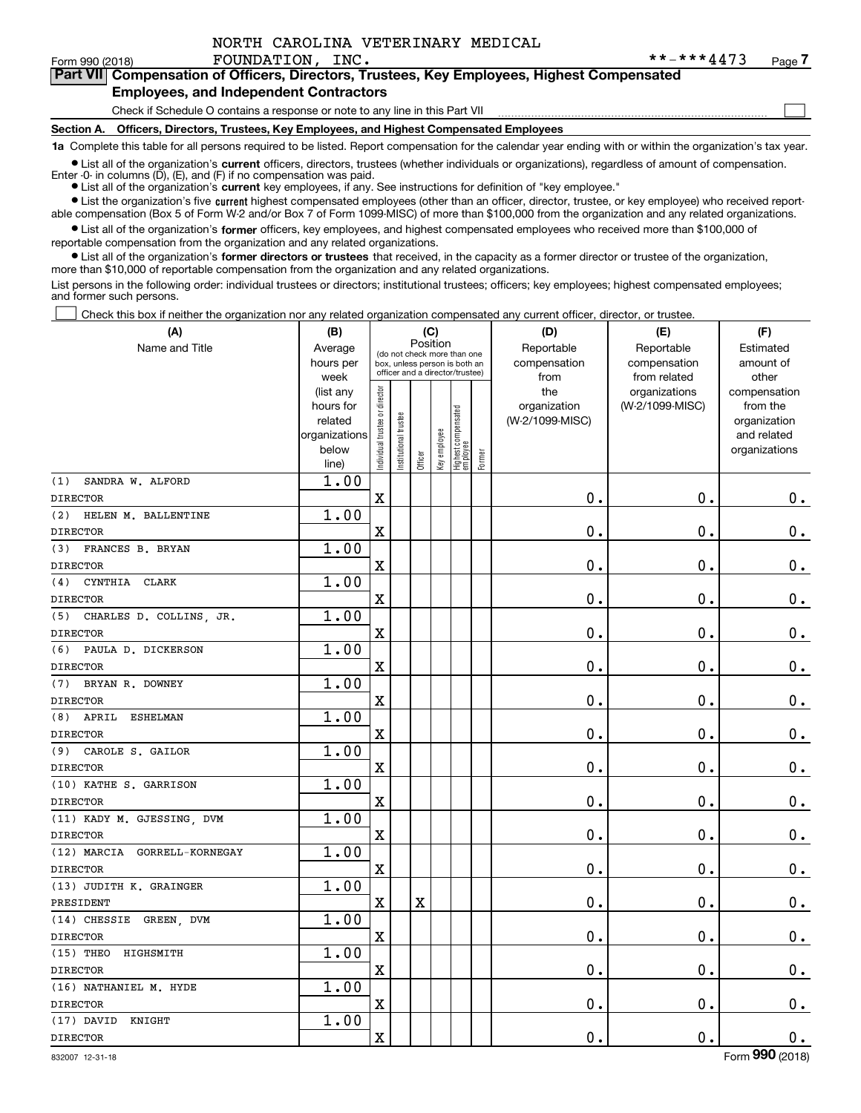$\mathcal{L}^{\text{max}}$ 

### Form 990 (2018) **FOUNDATION, INC.** \* \* - \* \* \* **4 4**  $7$  3 Page **7Part VII Compensation of Officers, Directors, Trustees, Key Employees, Highest Compensated**

#### **Employees, and Independent Contractors**

Check if Schedule O contains a response or note to any line in this Part VII

**Section A. Officers, Directors, Trustees, Key Employees, and Highest Compensated Employees**

**1a**  Complete this table for all persons required to be listed. Report compensation for the calendar year ending with or within the organization's tax year.

**•** List all of the organization's current officers, directors, trustees (whether individuals or organizations), regardless of amount of compensation. Enter -0- in columns  $(D)$ ,  $(E)$ , and  $(F)$  if no compensation was paid.

● List all of the organization's **current** key employees, if any. See instructions for definition of "key employee."

**•** List the organization's five current highest compensated employees (other than an officer, director, trustee, or key employee) who received reportable compensation (Box 5 of Form W-2 and/or Box 7 of Form 1099-MISC) of more than \$100,000 from the organization and any related organizations.

 $\bullet$  List all of the organization's **former** officers, key employees, and highest compensated employees who received more than \$100,000 of reportable compensation from the organization and any related organizations.

**•** List all of the organization's former directors or trustees that received, in the capacity as a former director or trustee of the organization, more than \$10,000 of reportable compensation from the organization and any related organizations.

List persons in the following order: individual trustees or directors; institutional trustees; officers; key employees; highest compensated employees; and former such persons.

Check this box if neither the organization nor any related organization compensated any current officer, director, or trustee.  $\mathcal{L}^{\text{max}}$ 

| (A)                            | (B)               |                               |                                                                  |             | (C)          |                                 |        | (D)             | (E)                           | (F)                   |
|--------------------------------|-------------------|-------------------------------|------------------------------------------------------------------|-------------|--------------|---------------------------------|--------|-----------------|-------------------------------|-----------------------|
| Name and Title                 | Average           |                               | (do not check more than one                                      | Position    |              |                                 |        | Reportable      | Reportable                    | Estimated             |
|                                | hours per         |                               | box, unless person is both an<br>officer and a director/trustee) |             |              |                                 |        | compensation    | compensation                  | amount of             |
|                                | week<br>(list any |                               |                                                                  |             |              |                                 |        | from<br>the     | from related<br>organizations | other<br>compensation |
|                                | hours for         |                               |                                                                  |             |              |                                 |        | organization    | (W-2/1099-MISC)               | from the              |
|                                | related           |                               |                                                                  |             |              |                                 |        | (W-2/1099-MISC) |                               | organization          |
|                                | organizations     |                               |                                                                  |             |              |                                 |        |                 |                               | and related           |
|                                | below             | ndividual trustee or director | nstitutional trustee                                             | Officer     | Key employee | Highest compensated<br>employee | Former |                 |                               | organizations         |
| SANDRA W. ALFORD<br>(1)        | line)<br>1.00     |                               |                                                                  |             |              |                                 |        |                 |                               |                       |
| <b>DIRECTOR</b>                |                   | $\overline{\textbf{X}}$       |                                                                  |             |              |                                 |        | 0.              | $\mathbf 0$ .                 | $0_{.}$               |
|                                | 1.00              |                               |                                                                  |             |              |                                 |        |                 |                               |                       |
| (2)<br>HELEN M. BALLENTINE     |                   |                               |                                                                  |             |              |                                 |        |                 |                               |                       |
| <b>DIRECTOR</b>                |                   | $\mathbf X$                   |                                                                  |             |              |                                 |        | 0.              | $\mathbf 0$ .                 | $\mathbf 0$ .         |
| FRANCES B. BRYAN<br>(3)        | 1.00              |                               |                                                                  |             |              |                                 |        |                 |                               |                       |
| <b>DIRECTOR</b>                |                   | $\mathbf X$                   |                                                                  |             |              |                                 |        | 0.              | $\mathbf 0$ .                 | $\mathbf 0$ .         |
| (4)<br>CYNTHIA<br>CLARK        | 1.00              |                               |                                                                  |             |              |                                 |        |                 |                               |                       |
| <b>DIRECTOR</b>                |                   | $\overline{\textbf{X}}$       |                                                                  |             |              |                                 |        | 0.              | $\mathbf 0$ .                 | $\mathbf 0$ .         |
| (5) CHARLES D. COLLINS, JR.    | 1.00              |                               |                                                                  |             |              |                                 |        |                 |                               |                       |
| <b>DIRECTOR</b>                |                   | $\mathbf X$                   |                                                                  |             |              |                                 |        | 0.              | $\mathbf 0$ .                 | $\mathbf 0$ .         |
| (6) PAULA D. DICKERSON         | 1.00              |                               |                                                                  |             |              |                                 |        |                 |                               |                       |
| <b>DIRECTOR</b>                |                   | $\mathbf X$                   |                                                                  |             |              |                                 |        | 0.              | $\mathbf 0$ .                 | $\mathbf 0$ .         |
| (7) BRYAN R. DOWNEY            | 1.00              |                               |                                                                  |             |              |                                 |        |                 |                               |                       |
| <b>DIRECTOR</b>                |                   | $\mathbf X$                   |                                                                  |             |              |                                 |        | 0.              | $\mathbf 0$ .                 | $0_{.}$               |
| $(8)$ APRIL<br><b>ESHELMAN</b> | 1.00              |                               |                                                                  |             |              |                                 |        |                 |                               |                       |
| <b>DIRECTOR</b>                |                   | $\mathbf X$                   |                                                                  |             |              |                                 |        | 0.              | $\mathbf 0$ .                 | $\mathbf 0$ .         |
| (9) CAROLE S. GAILOR           | 1.00              |                               |                                                                  |             |              |                                 |        |                 |                               |                       |
| <b>DIRECTOR</b>                |                   | $\mathbf X$                   |                                                                  |             |              |                                 |        | 0.              | $\mathbf 0$ .                 | $0_{.}$               |
| (10) KATHE S. GARRISON         | 1.00              |                               |                                                                  |             |              |                                 |        |                 |                               |                       |
| <b>DIRECTOR</b>                |                   | $\mathbf X$                   |                                                                  |             |              |                                 |        | 0.              | $\mathbf 0$ .                 | $\mathbf 0$ .         |
| (11) KADY M. GJESSING, DVM     | 1.00              |                               |                                                                  |             |              |                                 |        |                 |                               |                       |
| <b>DIRECTOR</b>                |                   | $\mathbf X$                   |                                                                  |             |              |                                 |        | 0.              | $\mathbf 0$ .                 | $\mathbf 0$ .         |
| (12) MARCIA GORRELL-KORNEGAY   | 1.00              |                               |                                                                  |             |              |                                 |        |                 |                               |                       |
| <b>DIRECTOR</b>                |                   | $\mathbf X$                   |                                                                  |             |              |                                 |        | 0.              | $\mathbf 0$ .                 | $\mathbf 0$ .         |
| (13) JUDITH K. GRAINGER        | 1.00              |                               |                                                                  |             |              |                                 |        |                 |                               |                       |
| PRESIDENT                      |                   | $\mathbf X$                   |                                                                  | $\mathbf X$ |              |                                 |        | 0.              | $\mathbf 0$ .                 | $\mathbf 0$ .         |
| (14) CHESSIE GREEN, DVM        | 1.00              |                               |                                                                  |             |              |                                 |        |                 |                               |                       |
| <b>DIRECTOR</b>                |                   | $\overline{\mathbf{X}}$       |                                                                  |             |              |                                 |        | 0.              | $\mathbf 0$ .                 | $\mathbf 0$ .         |
| $(15)$ THEO<br>HIGHSMITH       | 1.00              |                               |                                                                  |             |              |                                 |        |                 |                               |                       |
| <b>DIRECTOR</b>                |                   | $\mathbf x$                   |                                                                  |             |              |                                 |        | 0.              | $\mathbf 0$ .                 | $0_{.}$               |
| (16) NATHANIEL M. HYDE         | 1.00              |                               |                                                                  |             |              |                                 |        |                 |                               |                       |
| <b>DIRECTOR</b>                |                   | $\mathbf X$                   |                                                                  |             |              |                                 |        | 0.              | 0.                            | $0$ .                 |
| (17) DAVID<br>KNIGHT           | 1.00              |                               |                                                                  |             |              |                                 |        |                 |                               |                       |
| <b>DIRECTOR</b>                |                   | $\mathbf X$                   |                                                                  |             |              |                                 |        | 0.              | $\mathbf 0$ .                 | 0.                    |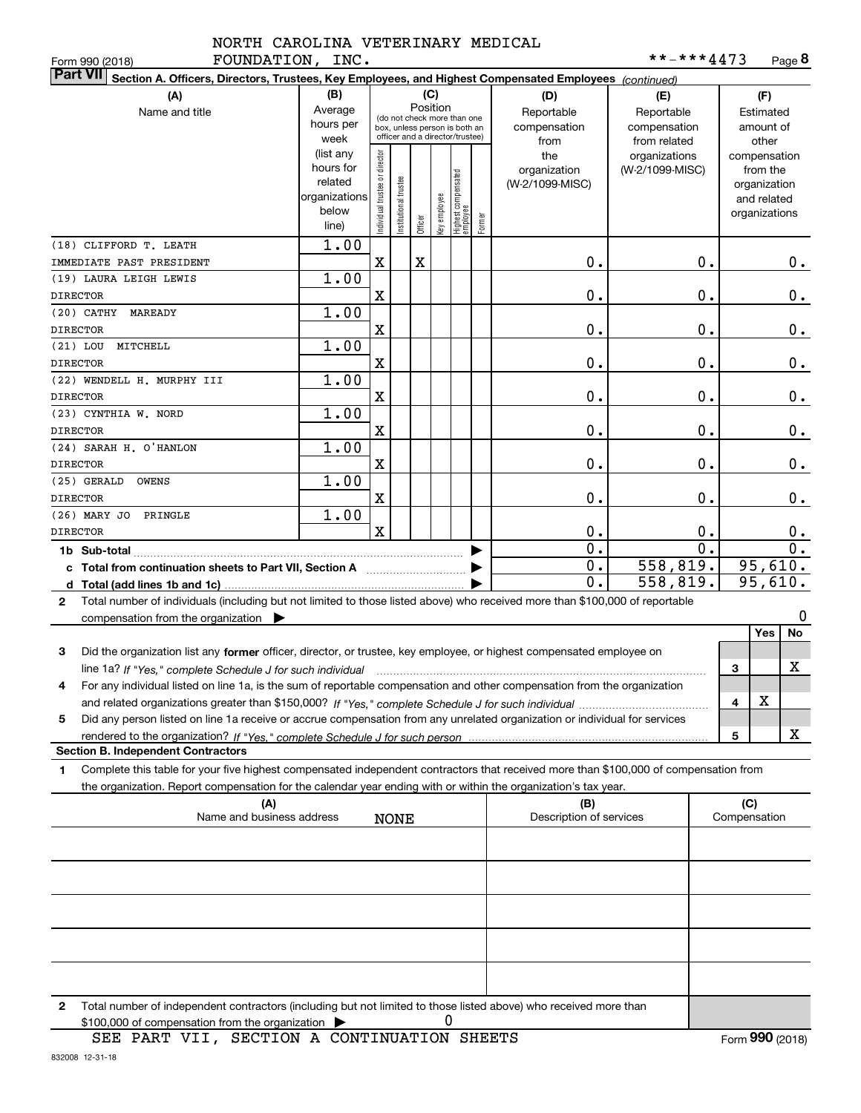| FOUNDATION, INC.<br>Form 990 (2018)                                                                                                          |               |                                |                       |             |              |                                                              |        |                         | **-***4473       |   |                    | Page 8           |  |
|----------------------------------------------------------------------------------------------------------------------------------------------|---------------|--------------------------------|-----------------------|-------------|--------------|--------------------------------------------------------------|--------|-------------------------|------------------|---|--------------------|------------------|--|
| <b>Part VII</b><br>Section A. Officers, Directors, Trustees, Key Employees, and Highest Compensated Employees (continued)                    |               |                                |                       |             |              |                                                              |        |                         |                  |   |                    |                  |  |
| (A)<br>(B)<br>(C)<br>(F)<br>(D)<br>(E)                                                                                                       |               |                                |                       |             |              |                                                              |        |                         |                  |   |                    |                  |  |
| Name and title                                                                                                                               | Average       |                                |                       |             | Position     |                                                              |        | Reportable              | Reportable       |   | Estimated          |                  |  |
|                                                                                                                                              | hours per     |                                |                       |             |              | (do not check more than one<br>box, unless person is both an |        | compensation            | compensation     |   | amount of          |                  |  |
|                                                                                                                                              | week          |                                |                       |             |              | officer and a director/trustee)                              |        | from                    | from related     |   | other              |                  |  |
|                                                                                                                                              | (list any     |                                |                       |             |              |                                                              |        | the                     | organizations    |   | compensation       |                  |  |
|                                                                                                                                              | hours for     |                                |                       |             |              |                                                              |        | organization            | (W-2/1099-MISC)  |   | from the           |                  |  |
|                                                                                                                                              | related       |                                |                       |             |              |                                                              |        | (W-2/1099-MISC)         |                  |   | organization       |                  |  |
|                                                                                                                                              | organizations |                                |                       |             |              |                                                              |        |                         |                  |   | and related        |                  |  |
|                                                                                                                                              | below         | Individual trustee or director | Institutional trustee | Officer     | Key employee | Highest compensated<br>  employee                            | Former |                         |                  |   | organizations      |                  |  |
|                                                                                                                                              | line)         |                                |                       |             |              |                                                              |        |                         |                  |   |                    |                  |  |
| (18) CLIFFORD T. LEATH                                                                                                                       | 1.00          |                                |                       |             |              |                                                              |        |                         |                  |   |                    |                  |  |
| IMMEDIATE PAST PRESIDENT                                                                                                                     |               | $\mathbf X$                    |                       | $\mathbf X$ |              |                                                              |        | 0.                      | 0.               |   |                    | 0.               |  |
| (19) LAURA LEIGH LEWIS                                                                                                                       | 1.00          |                                |                       |             |              |                                                              |        |                         |                  |   |                    |                  |  |
| <b>DIRECTOR</b>                                                                                                                              |               | $\mathbf x$                    |                       |             |              |                                                              |        | 0.                      | 0.               |   |                    | 0.               |  |
| (20) CATHY MAREADY                                                                                                                           | 1.00          |                                |                       |             |              |                                                              |        |                         |                  |   |                    |                  |  |
| <b>DIRECTOR</b>                                                                                                                              |               | $\mathbf x$                    |                       |             |              |                                                              |        | 0.                      | 0.               |   |                    | 0.               |  |
| (21) LOU MITCHELL                                                                                                                            | 1.00          |                                |                       |             |              |                                                              |        |                         |                  |   |                    |                  |  |
| <b>DIRECTOR</b>                                                                                                                              |               | $\mathbf x$                    |                       |             |              |                                                              |        | 0.                      | 0.               |   |                    | 0.               |  |
| (22) WENDELL H. MURPHY III                                                                                                                   | 1.00          |                                |                       |             |              |                                                              |        |                         |                  |   |                    |                  |  |
| <b>DIRECTOR</b>                                                                                                                              |               | $\mathbf x$                    |                       |             |              |                                                              |        | 0.                      | 0.               |   |                    | 0.               |  |
| (23) CYNTHIA W. NORD                                                                                                                         | 1.00          |                                |                       |             |              |                                                              |        |                         |                  |   |                    |                  |  |
| <b>DIRECTOR</b>                                                                                                                              |               | $\mathbf x$                    |                       |             |              |                                                              |        | 0.                      | 0.               |   |                    | 0.               |  |
| (24) SARAH H. O'HANLON                                                                                                                       | 1.00          |                                |                       |             |              |                                                              |        |                         |                  |   |                    |                  |  |
| <b>DIRECTOR</b>                                                                                                                              |               | $\mathbf x$                    |                       |             |              |                                                              |        | 0.                      | 0.               |   |                    | 0.               |  |
| (25) GERALD<br>OWENS                                                                                                                         | 1.00          |                                |                       |             |              |                                                              |        |                         |                  |   |                    |                  |  |
| <b>DIRECTOR</b>                                                                                                                              |               | $\mathbf x$                    |                       |             |              |                                                              |        | 0.                      | 0.               |   |                    | 0.               |  |
| (26) MARY JO PRINGLE                                                                                                                         | 1.00          |                                |                       |             |              |                                                              |        |                         |                  |   |                    |                  |  |
| <b>DIRECTOR</b>                                                                                                                              |               | $\mathbf x$                    |                       |             |              |                                                              |        | 0.                      | 0.               |   |                    | 0.               |  |
|                                                                                                                                              |               |                                |                       |             |              |                                                              |        | $\overline{0}$ .        | $\overline{0}$ . |   |                    | $\overline{0}$ . |  |
| 1b Sub-total                                                                                                                                 |               |                                |                       |             |              |                                                              |        | 0.                      | 558,819.         |   |                    |                  |  |
| c Total from continuation sheets to Part VII, Section A manuscription.                                                                       |               |                                |                       |             |              |                                                              |        | $\mathbf 0$ .           | 558,819.         |   | 95,610.<br>95,610. |                  |  |
|                                                                                                                                              |               |                                |                       |             |              |                                                              |        |                         |                  |   |                    |                  |  |
| Total number of individuals (including but not limited to those listed above) who received more than \$100,000 of reportable<br>$\mathbf{2}$ |               |                                |                       |             |              |                                                              |        |                         |                  |   |                    |                  |  |
| compensation from the organization $\blacktriangleright$                                                                                     |               |                                |                       |             |              |                                                              |        |                         |                  |   |                    | 0                |  |
|                                                                                                                                              |               |                                |                       |             |              |                                                              |        |                         |                  |   | Yes                | No               |  |
| 3<br>Did the organization list any former officer, director, or trustee, key employee, or highest compensated employee on                    |               |                                |                       |             |              |                                                              |        |                         |                  |   |                    |                  |  |
| line 1a? If "Yes," complete Schedule J for such individual manufactured contained and the Ves," complete Schedule J for such individual      |               |                                |                       |             |              |                                                              |        |                         |                  | 3 |                    | X                |  |
| For any individual listed on line 1a, is the sum of reportable compensation and other compensation from the organization                     |               |                                |                       |             |              |                                                              |        |                         |                  |   |                    |                  |  |
|                                                                                                                                              |               |                                |                       |             |              |                                                              |        |                         |                  | 4 | х                  |                  |  |
| Did any person listed on line 1a receive or accrue compensation from any unrelated organization or individual for services<br>5              |               |                                |                       |             |              |                                                              |        |                         |                  |   |                    |                  |  |
|                                                                                                                                              |               |                                |                       |             |              |                                                              |        |                         |                  | 5 |                    | X                |  |
| <b>Section B. Independent Contractors</b>                                                                                                    |               |                                |                       |             |              |                                                              |        |                         |                  |   |                    |                  |  |
| Complete this table for your five highest compensated independent contractors that received more than \$100,000 of compensation from<br>1    |               |                                |                       |             |              |                                                              |        |                         |                  |   |                    |                  |  |
| the organization. Report compensation for the calendar year ending with or within the organization's tax year.                               |               |                                |                       |             |              |                                                              |        |                         |                  |   |                    |                  |  |
| (A)                                                                                                                                          |               |                                |                       |             |              |                                                              |        | (B)                     |                  |   | (C)                |                  |  |
| Name and business address                                                                                                                    |               |                                | <b>NONE</b>           |             |              |                                                              |        | Description of services |                  |   | Compensation       |                  |  |
|                                                                                                                                              |               |                                |                       |             |              |                                                              |        |                         |                  |   |                    |                  |  |
|                                                                                                                                              |               |                                |                       |             |              |                                                              |        |                         |                  |   |                    |                  |  |
|                                                                                                                                              |               |                                |                       |             |              |                                                              |        |                         |                  |   |                    |                  |  |
|                                                                                                                                              |               |                                |                       |             |              |                                                              |        |                         |                  |   |                    |                  |  |
|                                                                                                                                              |               |                                |                       |             |              |                                                              |        |                         |                  |   |                    |                  |  |
|                                                                                                                                              |               |                                |                       |             |              |                                                              |        |                         |                  |   |                    |                  |  |
|                                                                                                                                              |               |                                |                       |             |              |                                                              |        |                         |                  |   |                    |                  |  |
|                                                                                                                                              |               |                                |                       |             |              |                                                              |        |                         |                  |   |                    |                  |  |
|                                                                                                                                              |               |                                |                       |             |              |                                                              |        |                         |                  |   |                    |                  |  |
|                                                                                                                                              |               |                                |                       |             |              |                                                              |        |                         |                  |   |                    |                  |  |
|                                                                                                                                              |               |                                |                       |             |              |                                                              |        |                         |                  |   |                    |                  |  |

**2**Total number of independent contractors (including but not limited to those listed above) who received more than  $$100,000$  of compensation from the organization  $\qquad \blacktriangleright$  0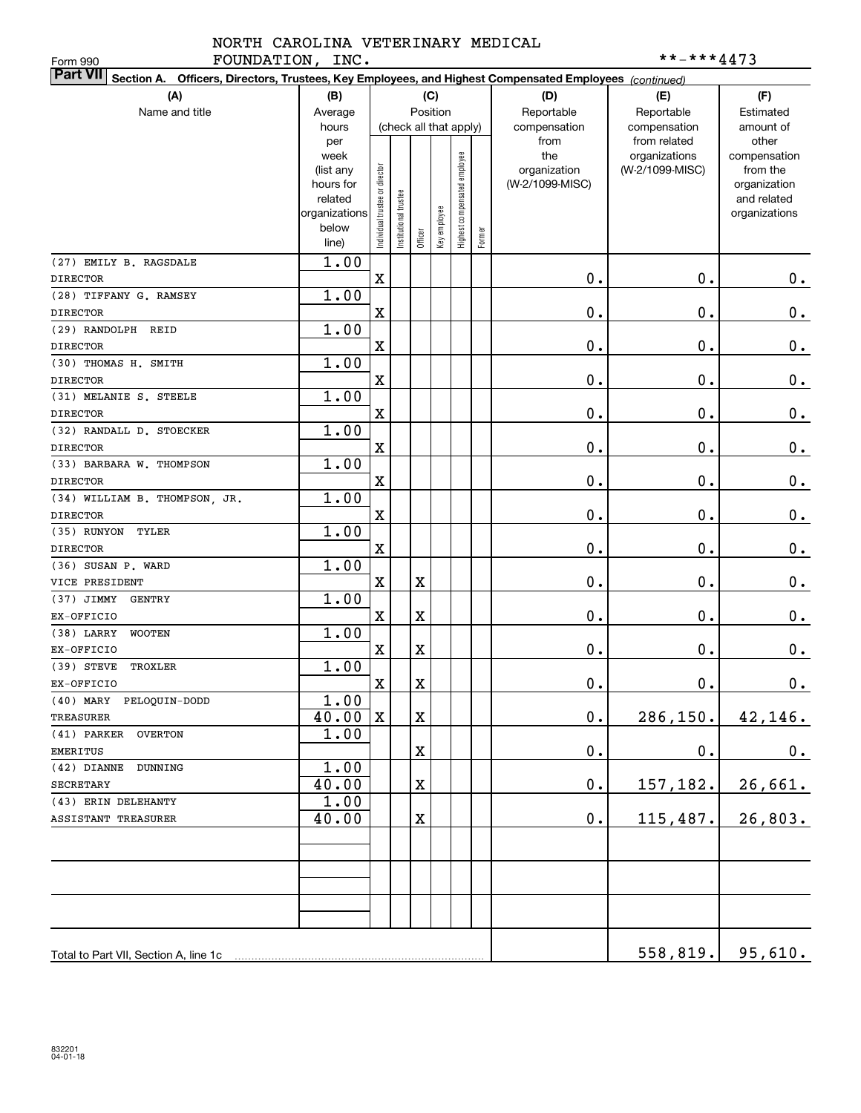#### NORTH CAROLINA VETERINARY MEDICAL FOUNDATION, INC.  $***-***4473$

| FOUNDATION, INC.<br>Form 990                                                                                              |                          |                                |                       |          |              |                              |        |                 | **-***4473      |                              |
|---------------------------------------------------------------------------------------------------------------------------|--------------------------|--------------------------------|-----------------------|----------|--------------|------------------------------|--------|-----------------|-----------------|------------------------------|
| <b>Part VII</b><br>Section A. Officers, Directors, Trustees, Key Employees, and Highest Compensated Employees (continued) |                          |                                |                       |          |              |                              |        |                 |                 |                              |
| (A)<br>(C)<br>(F)<br>(B)<br>(D)<br>(E)                                                                                    |                          |                                |                       |          |              |                              |        |                 |                 |                              |
| Name and title                                                                                                            | Average                  |                                |                       | Position |              |                              |        | Reportable      | Reportable      | Estimated                    |
|                                                                                                                           | hours                    |                                |                       |          |              | (check all that apply)       |        | compensation    | compensation    | amount of                    |
|                                                                                                                           | per                      |                                |                       |          |              |                              |        | from            | from related    | other                        |
|                                                                                                                           | week                     |                                |                       |          |              |                              |        | the             | organizations   | compensation                 |
|                                                                                                                           | (list any                |                                |                       |          |              |                              |        | organization    | (W-2/1099-MISC) | from the                     |
|                                                                                                                           | hours for                |                                |                       |          |              |                              |        | (W-2/1099-MISC) |                 | organization                 |
|                                                                                                                           | related<br>organizations |                                |                       |          |              |                              |        |                 |                 | and related<br>organizations |
|                                                                                                                           | below                    | Individual trustee or director | Institutional trustee |          |              |                              |        |                 |                 |                              |
|                                                                                                                           | line)                    |                                |                       | Officer  | Key employee | Highest compensated employee | Former |                 |                 |                              |
| (27) EMILY B. RAGSDALE                                                                                                    | 1.00                     |                                |                       |          |              |                              |        |                 |                 |                              |
| <b>DIRECTOR</b>                                                                                                           |                          | $\mathbf x$                    |                       |          |              |                              |        | 0.              | 0.              | $\mathbf 0$ .                |
| (28) TIFFANY G. RAMSEY                                                                                                    | 1.00                     |                                |                       |          |              |                              |        |                 |                 |                              |
| <b>DIRECTOR</b>                                                                                                           |                          | X                              |                       |          |              |                              |        | 0.              | 0.              | $\mathbf 0$ .                |
| (29) RANDOLPH REID                                                                                                        | 1.00                     |                                |                       |          |              |                              |        |                 |                 |                              |
| <b>DIRECTOR</b>                                                                                                           |                          | $\mathbf x$                    |                       |          |              |                              |        | 0.              | 0.              | $\mathbf 0$ .                |
| (30) THOMAS H. SMITH                                                                                                      | 1.00                     |                                |                       |          |              |                              |        |                 |                 |                              |
| <b>DIRECTOR</b>                                                                                                           |                          | $\mathbf x$                    |                       |          |              |                              |        | 0.              | 0.              | $\mathbf 0$ .                |
| (31) MELANIE S. STEELE                                                                                                    | 1.00                     |                                |                       |          |              |                              |        |                 |                 |                              |
| <b>DIRECTOR</b>                                                                                                           |                          | $\mathbf x$                    |                       |          |              |                              |        | 0.              | 0.              | $\mathbf 0$ .                |
| (32) RANDALL D. STOECKER                                                                                                  | 1.00                     |                                |                       |          |              |                              |        |                 |                 |                              |
| <b>DIRECTOR</b>                                                                                                           |                          | X                              |                       |          |              |                              |        | 0.              | 0.              | $\mathbf 0$ .                |
| (33) BARBARA W. THOMPSON                                                                                                  | 1.00                     |                                |                       |          |              |                              |        |                 |                 |                              |
| <b>DIRECTOR</b>                                                                                                           |                          | $\mathbf x$                    |                       |          |              |                              |        | 0.              | 0.              | $\mathbf 0$ .                |
| (34) WILLIAM B. THOMPSON, JR.                                                                                             | 1.00                     |                                |                       |          |              |                              |        |                 |                 |                              |
| <b>DIRECTOR</b>                                                                                                           |                          | $\mathbf x$                    |                       |          |              |                              |        | 0.              | 0.              | $\mathbf 0$ .                |
| (35) RUNYON<br>TYLER                                                                                                      | 1.00                     |                                |                       |          |              |                              |        |                 |                 |                              |
| <b>DIRECTOR</b>                                                                                                           |                          | $\mathbf x$                    |                       |          |              |                              |        | 0.              | 0.              | $\mathbf 0$ .                |
| (36) SUSAN P. WARD                                                                                                        | 1.00                     |                                |                       |          |              |                              |        |                 |                 |                              |
| VICE PRESIDENT                                                                                                            |                          | $\mathbf x$                    |                       | X        |              |                              |        | 0.              | 0.              | $0$ .                        |
| $(37)$ JIMMY<br><b>GENTRY</b>                                                                                             | 1.00                     |                                |                       |          |              |                              |        |                 |                 |                              |
| EX-OFFICIO                                                                                                                |                          | $\mathbf X$                    |                       | X        |              |                              |        | 0.              | 0.              | 0.                           |
| $(38)$ LARRY<br><b>WOOTEN</b>                                                                                             | 1.00                     |                                |                       |          |              |                              |        |                 |                 |                              |
| EX-OFFICIO                                                                                                                |                          | $\mathbf X$                    |                       | X        |              |                              |        | 0.              | 0.              | $\mathbf 0$ .                |
| (39) STEVE<br>TROXLER                                                                                                     | 1.00                     |                                |                       |          |              |                              |        |                 |                 |                              |
| EX-OFFICIO                                                                                                                |                          | $\mathbf X$                    |                       | X        |              |                              |        | $\mathbf 0$ .   | 0.              | 0.                           |
| (40) MARY PELOQUIN-DODD<br>TREASURER                                                                                      | 1.00<br>40.00            | $\mathbf X$                    |                       | X        |              |                              |        | $\mathbf 0$ .   | 286, 150.       |                              |
|                                                                                                                           | 1.00                     |                                |                       |          |              |                              |        |                 |                 | 42, 146.                     |
| (41) PARKER<br><b>OVERTON</b><br>EMERITUS                                                                                 |                          |                                |                       | X        |              |                              |        | $\mathbf 0$ .   | $\mathbf 0$ .   | 0.                           |
| $(42)$ DIANNE<br>DUNNING                                                                                                  | 1.00                     |                                |                       |          |              |                              |        |                 |                 |                              |
| <b>SECRETARY</b>                                                                                                          | 40.00                    |                                |                       | X        |              |                              |        | $\mathbf 0$ .   |                 |                              |
| (43) ERIN DELEHANTY                                                                                                       |                          |                                |                       |          |              |                              |        |                 | 157,182.        | 26,661.                      |
|                                                                                                                           | 1.00                     |                                |                       |          |              |                              |        |                 |                 |                              |
| ASSISTANT TREASURER                                                                                                       | 40.00                    |                                |                       | X        |              |                              |        | $\mathbf 0$ .   | 115, 487.       | 26,803.                      |
|                                                                                                                           |                          |                                |                       |          |              |                              |        |                 |                 |                              |
|                                                                                                                           |                          |                                |                       |          |              |                              |        |                 |                 |                              |
|                                                                                                                           |                          |                                |                       |          |              |                              |        |                 |                 |                              |
|                                                                                                                           |                          |                                |                       |          |              |                              |        |                 |                 |                              |
|                                                                                                                           |                          |                                |                       |          |              |                              |        |                 |                 |                              |
|                                                                                                                           |                          |                                |                       |          |              |                              |        |                 |                 |                              |
|                                                                                                                           |                          |                                |                       |          |              |                              |        |                 |                 | $558, 819.$ 95,610.          |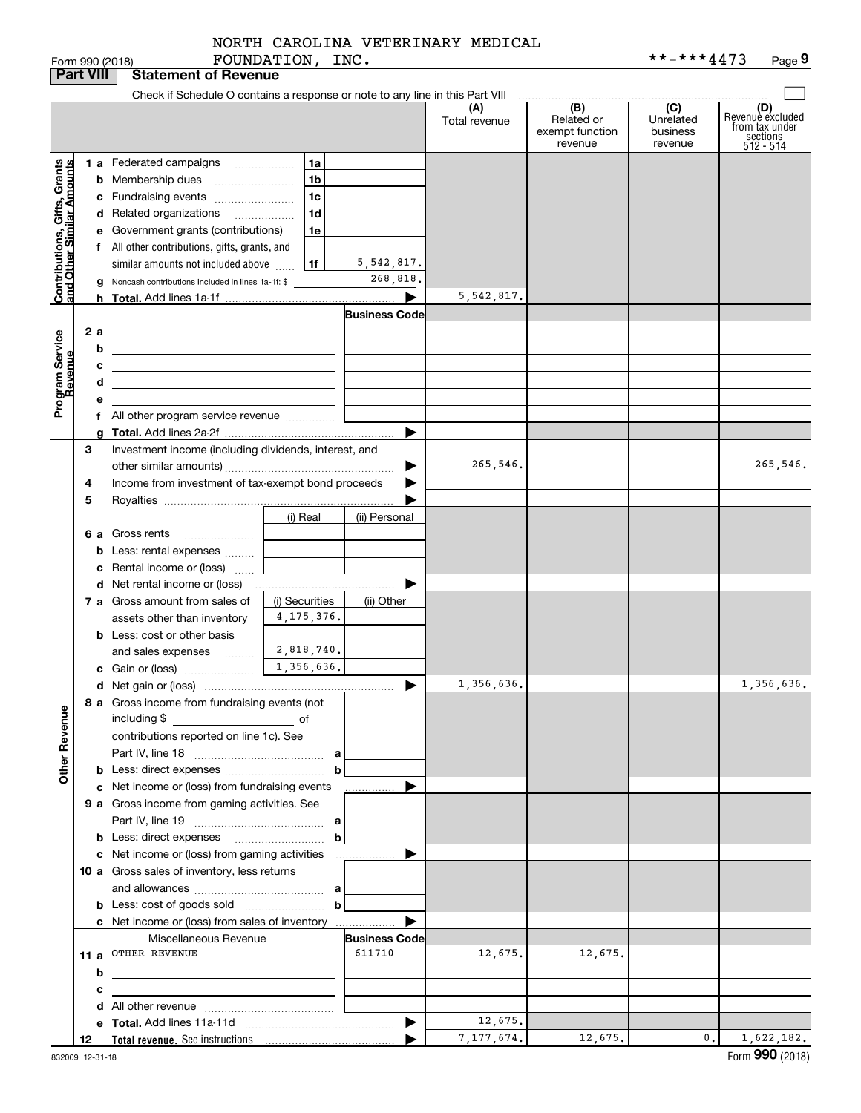|                                                           | <b>Part VIII</b> | <b>Statement of Revenue</b>                                                                                           |                |                                |                      |                                                 |                                         |                                                                    |
|-----------------------------------------------------------|------------------|-----------------------------------------------------------------------------------------------------------------------|----------------|--------------------------------|----------------------|-------------------------------------------------|-----------------------------------------|--------------------------------------------------------------------|
|                                                           |                  | Check if Schedule O contains a response or note to any line in this Part VIII                                         |                |                                |                      |                                                 |                                         |                                                                    |
|                                                           |                  |                                                                                                                       |                |                                | (A)<br>Total revenue | (B)<br>Related or<br>exempt function<br>revenue | (C)<br>Unrelated<br>business<br>revenue | (D)<br>Revenuè excluded<br>from tax under<br>sections<br>512 - 514 |
|                                                           |                  | 1 a Federated campaigns                                                                                               | l 1a           |                                |                      |                                                 |                                         |                                                                    |
|                                                           |                  | <b>b</b> Membership dues                                                                                              | 1b             |                                |                      |                                                 |                                         |                                                                    |
|                                                           |                  | c Fundraising events                                                                                                  | 1 <sub>c</sub> |                                |                      |                                                 |                                         |                                                                    |
|                                                           |                  | d Related organizations                                                                                               | 1d             |                                |                      |                                                 |                                         |                                                                    |
|                                                           |                  | e Government grants (contributions)                                                                                   | 1e             |                                |                      |                                                 |                                         |                                                                    |
|                                                           |                  | f All other contributions, gifts, grants, and                                                                         |                |                                |                      |                                                 |                                         |                                                                    |
|                                                           |                  | similar amounts not included above                                                                                    | 1f             | 5,542,817.                     |                      |                                                 |                                         |                                                                    |
|                                                           |                  | <b>g</b> Noncash contributions included in lines 1a-1f: \$                                                            |                | 268,818.                       |                      |                                                 |                                         |                                                                    |
| Contributions, Gifts, Grants<br>and Other Similar Amounts |                  |                                                                                                                       |                | ▶                              | 5, 542, 817.         |                                                 |                                         |                                                                    |
|                                                           |                  |                                                                                                                       |                | <b>Business Code</b>           |                      |                                                 |                                         |                                                                    |
|                                                           | 2a               | <u> 1989 - Johann Barn, mars ann an t-Amhain an t-Amhain an t-Amhain an t-Amhain an t-Amhain an t-Amhain an t-Amh</u> |                |                                |                      |                                                 |                                         |                                                                    |
| Program Service<br>Revenue                                | b                | <u> 1989 - Andrea Stadt Britain, amerikansk politiker (</u>                                                           |                |                                |                      |                                                 |                                         |                                                                    |
|                                                           | с                | <u> 1989 - Johann Stein, mars an deus an deus an deus an deus an deus an deus an deus an deus an deus an deus an</u>  |                |                                |                      |                                                 |                                         |                                                                    |
|                                                           | d                | <u> 1989 - Johann Stein, marwolaethau a bhann an t-Amhainn an t-Amhainn an t-Amhainn an t-Amhainn an t-Amhainn an</u> |                |                                |                      |                                                 |                                         |                                                                    |
|                                                           |                  |                                                                                                                       |                |                                |                      |                                                 |                                         |                                                                    |
|                                                           |                  | f All other program service revenue                                                                                   |                |                                |                      |                                                 |                                         |                                                                    |
|                                                           |                  |                                                                                                                       |                | ▶                              |                      |                                                 |                                         |                                                                    |
|                                                           | 3                | Investment income (including dividends, interest, and                                                                 |                |                                |                      |                                                 |                                         |                                                                    |
|                                                           |                  |                                                                                                                       |                |                                | 265,546.             |                                                 |                                         | 265,546.                                                           |
|                                                           | 4                | Income from investment of tax-exempt bond proceeds                                                                    |                |                                |                      |                                                 |                                         |                                                                    |
|                                                           | 5                |                                                                                                                       |                |                                |                      |                                                 |                                         |                                                                    |
|                                                           |                  |                                                                                                                       | (i) Real       | (ii) Personal                  |                      |                                                 |                                         |                                                                    |
|                                                           |                  | 6 a Gross rents<br><b>b</b> Less: rental expenses                                                                     |                |                                |                      |                                                 |                                         |                                                                    |
|                                                           |                  | Rental income or (loss)                                                                                               |                |                                |                      |                                                 |                                         |                                                                    |
|                                                           |                  |                                                                                                                       |                |                                |                      |                                                 |                                         |                                                                    |
|                                                           |                  | 7 a Gross amount from sales of                                                                                        | (i) Securities | (ii) Other                     |                      |                                                 |                                         |                                                                    |
|                                                           |                  | assets other than inventory                                                                                           | 4, 175, 376.   |                                |                      |                                                 |                                         |                                                                    |
|                                                           |                  | <b>b</b> Less: cost or other basis                                                                                    |                |                                |                      |                                                 |                                         |                                                                    |
|                                                           |                  | and sales expenses $\frac{2,818,740}{\ldots}$                                                                         |                |                                |                      |                                                 |                                         |                                                                    |
|                                                           |                  |                                                                                                                       | 1,356,636.     |                                |                      |                                                 |                                         |                                                                    |
|                                                           |                  |                                                                                                                       |                | ▶                              | 1,356,636.           |                                                 |                                         | 1,356,636.                                                         |
|                                                           |                  | 8 a Gross income from fundraising events (not                                                                         |                |                                |                      |                                                 |                                         |                                                                    |
|                                                           |                  | including \$                                                                                                          |                |                                |                      |                                                 |                                         |                                                                    |
|                                                           |                  | contributions reported on line 1c). See                                                                               |                |                                |                      |                                                 |                                         |                                                                    |
|                                                           |                  |                                                                                                                       |                |                                |                      |                                                 |                                         |                                                                    |
| <b>Other Revenue</b>                                      |                  |                                                                                                                       | b              |                                |                      |                                                 |                                         |                                                                    |
|                                                           |                  | c Net income or (loss) from fundraising events                                                                        |                | .                              |                      |                                                 |                                         |                                                                    |
|                                                           |                  | 9 a Gross income from gaming activities. See                                                                          |                |                                |                      |                                                 |                                         |                                                                    |
|                                                           |                  |                                                                                                                       |                |                                |                      |                                                 |                                         |                                                                    |
|                                                           |                  | <b>b</b> Less: direct expenses <b>contained b</b> Less: direct expenses                                               | b              |                                |                      |                                                 |                                         |                                                                    |
|                                                           |                  | c Net income or (loss) from gaming activities                                                                         |                | .                              |                      |                                                 |                                         |                                                                    |
|                                                           |                  | 10 a Gross sales of inventory, less returns                                                                           |                |                                |                      |                                                 |                                         |                                                                    |
|                                                           |                  |                                                                                                                       |                |                                |                      |                                                 |                                         |                                                                    |
|                                                           |                  |                                                                                                                       | b              |                                |                      |                                                 |                                         |                                                                    |
|                                                           |                  | c Net income or (loss) from sales of inventory                                                                        |                | ▶                              |                      |                                                 |                                         |                                                                    |
|                                                           |                  | Miscellaneous Revenue<br>11 a OTHER REVENUE                                                                           |                | <b>Business Code</b><br>611710 | 12,675.              | 12,675.                                         |                                         |                                                                    |
|                                                           | b                |                                                                                                                       |                |                                |                      |                                                 |                                         |                                                                    |
|                                                           | с                | the control of the control of the control of the control of the control of                                            |                |                                |                      |                                                 |                                         |                                                                    |
|                                                           |                  |                                                                                                                       |                |                                |                      |                                                 |                                         |                                                                    |
|                                                           |                  |                                                                                                                       |                | $\blacktriangleright$          | 12,675.              |                                                 |                                         |                                                                    |
|                                                           | 12               |                                                                                                                       |                |                                | 7, 177, 674.         | 12,675.                                         | 0.                                      | 1,622,182.                                                         |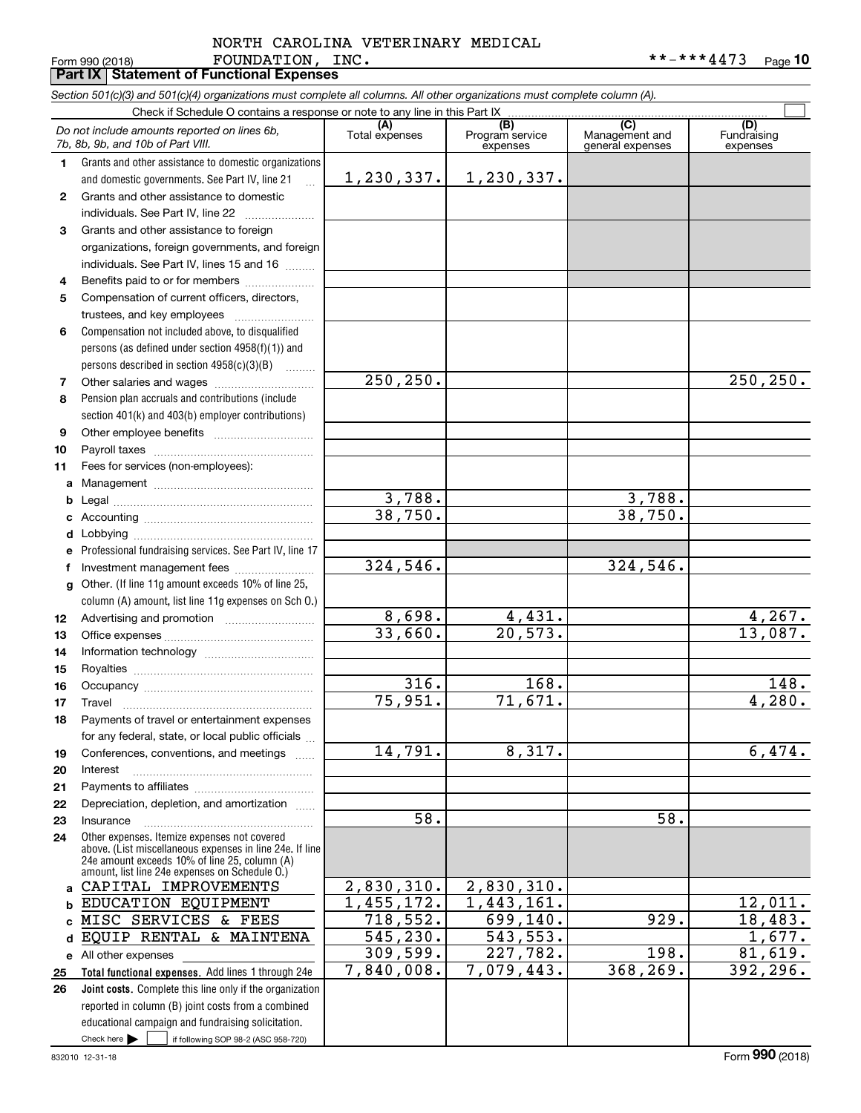#### Form 990 (2018) Page **Part IX Statement of Functional Expenses** FOUNDATION, INC. \*\*-\*\*\*4473 NORTH CAROLINA VETERINARY MEDICAL

|              | Section 501(c)(3) and 501(c)(4) organizations must complete all columns. All other organizations must complete column (A).<br>Check if Schedule O contains a response or note to any line in this Part IX |                           |                         |                                    |                         |
|--------------|-----------------------------------------------------------------------------------------------------------------------------------------------------------------------------------------------------------|---------------------------|-------------------------|------------------------------------|-------------------------|
|              | Do not include amounts reported on lines 6b,                                                                                                                                                              | (A)                       | (B)<br>Program service  | (C)                                | (D)                     |
|              | 7b, 8b, 9b, and 10b of Part VIII.                                                                                                                                                                         | Total expenses            | expenses                | Management and<br>general expenses | Fundraising<br>expenses |
| 1.           | Grants and other assistance to domestic organizations                                                                                                                                                     |                           |                         |                                    |                         |
|              | and domestic governments. See Part IV, line 21<br>$\ddotsc$                                                                                                                                               | 1, 230, 337.              | 1,230,337.              |                                    |                         |
| $\mathbf{2}$ | Grants and other assistance to domestic                                                                                                                                                                   |                           |                         |                                    |                         |
|              | individuals. See Part IV, line 22                                                                                                                                                                         |                           |                         |                                    |                         |
| 3            | Grants and other assistance to foreign                                                                                                                                                                    |                           |                         |                                    |                         |
|              | organizations, foreign governments, and foreign                                                                                                                                                           |                           |                         |                                    |                         |
|              | individuals. See Part IV, lines 15 and 16                                                                                                                                                                 |                           |                         |                                    |                         |
| 4            | Benefits paid to or for members                                                                                                                                                                           |                           |                         |                                    |                         |
| 5            | Compensation of current officers, directors,                                                                                                                                                              |                           |                         |                                    |                         |
|              | trustees, and key employees                                                                                                                                                                               |                           |                         |                                    |                         |
| 6            | Compensation not included above, to disqualified                                                                                                                                                          |                           |                         |                                    |                         |
|              | persons (as defined under section 4958(f)(1)) and                                                                                                                                                         |                           |                         |                                    |                         |
|              | persons described in section $4958(c)(3)(B)$<br>.                                                                                                                                                         |                           |                         |                                    |                         |
| 7            |                                                                                                                                                                                                           | 250, 250.                 |                         |                                    | 250, 250.               |
| 8            | Pension plan accruals and contributions (include                                                                                                                                                          |                           |                         |                                    |                         |
|              | section 401(k) and 403(b) employer contributions)                                                                                                                                                         |                           |                         |                                    |                         |
| 9            |                                                                                                                                                                                                           |                           |                         |                                    |                         |
| 10           |                                                                                                                                                                                                           |                           |                         |                                    |                         |
| 11           | Fees for services (non-employees):                                                                                                                                                                        |                           |                         |                                    |                         |
| a            |                                                                                                                                                                                                           |                           |                         |                                    |                         |
| b            |                                                                                                                                                                                                           | 3,788.                    |                         | 3,788.                             |                         |
|              |                                                                                                                                                                                                           | 38,750.                   |                         | 38,750.                            |                         |
| d            |                                                                                                                                                                                                           |                           |                         |                                    |                         |
| е            | Professional fundraising services. See Part IV, line 17                                                                                                                                                   |                           |                         |                                    |                         |
| f.           | Investment management fees                                                                                                                                                                                | 324,546.                  |                         | 324,546.                           |                         |
| g            | Other. (If line 11g amount exceeds 10% of line 25,                                                                                                                                                        |                           |                         |                                    |                         |
|              | column (A) amount, list line 11g expenses on Sch O.)                                                                                                                                                      |                           |                         |                                    |                         |
| 12           |                                                                                                                                                                                                           | 8,698.                    | 4,431.                  |                                    | 4,267.                  |
| 13           |                                                                                                                                                                                                           | 33,660.                   | 20,573.                 |                                    | 13,087.                 |
| 14           |                                                                                                                                                                                                           |                           |                         |                                    |                         |
| 15           |                                                                                                                                                                                                           |                           |                         |                                    |                         |
| 16           |                                                                                                                                                                                                           | 316.<br>75,951.           | 168.                    |                                    | 148.                    |
| 17           |                                                                                                                                                                                                           |                           | 71,671.                 |                                    | 4,280.                  |
| 18           | Payments of travel or entertainment expenses                                                                                                                                                              |                           |                         |                                    |                         |
|              | for any federal, state, or local public officials                                                                                                                                                         | 14,791.                   | 8,317.                  |                                    |                         |
| 19           | Conferences, conventions, and meetings                                                                                                                                                                    |                           |                         |                                    | 6,474.                  |
| 20           | Interest                                                                                                                                                                                                  |                           |                         |                                    |                         |
| 21           | Depreciation, depletion, and amortization                                                                                                                                                                 |                           |                         |                                    |                         |
| 22           | Insurance                                                                                                                                                                                                 | 58.                       |                         | 58.                                |                         |
| 23<br>24     | Other expenses. Itemize expenses not covered                                                                                                                                                              |                           |                         |                                    |                         |
|              | above. (List miscellaneous expenses in line 24e. If line                                                                                                                                                  |                           |                         |                                    |                         |
|              | 24e amount exceeds 10% of line 25, column (A)<br>amount, list line 24e expenses on Schedule O.)                                                                                                           |                           |                         |                                    |                         |
| a            | CAPITAL IMPROVEMENTS                                                                                                                                                                                      | 2,830,310.                | 2,830,310.              |                                    |                         |
| b            | EDUCATION EQUIPMENT                                                                                                                                                                                       | $\overline{1,}$ 455, 172. | $\overline{1,443,161}.$ |                                    | 12,011.                 |
|              | MISC SERVICES & FEES                                                                                                                                                                                      | 718,552.                  | 699, 140.               | 929.                               | 18,483.                 |
| d            | EQUIP RENTAL & MAINTENA                                                                                                                                                                                   | 545, 230.                 | 543,553.                |                                    | 1,677.                  |
|              | e All other expenses                                                                                                                                                                                      | 309,599.                  | 227,782.                | 198.                               | 81,619.                 |
| 25           | Total functional expenses. Add lines 1 through 24e                                                                                                                                                        | 7,840,008.                | 7,079,443.              | 368, 269.                          | 392,296.                |
| 26           | Joint costs. Complete this line only if the organization                                                                                                                                                  |                           |                         |                                    |                         |
|              | reported in column (B) joint costs from a combined                                                                                                                                                        |                           |                         |                                    |                         |
|              | educational campaign and fundraising solicitation.                                                                                                                                                        |                           |                         |                                    |                         |
|              | Check here $\blacktriangleright$<br>if following SOP 98-2 (ASC 958-720)                                                                                                                                   |                           |                         |                                    |                         |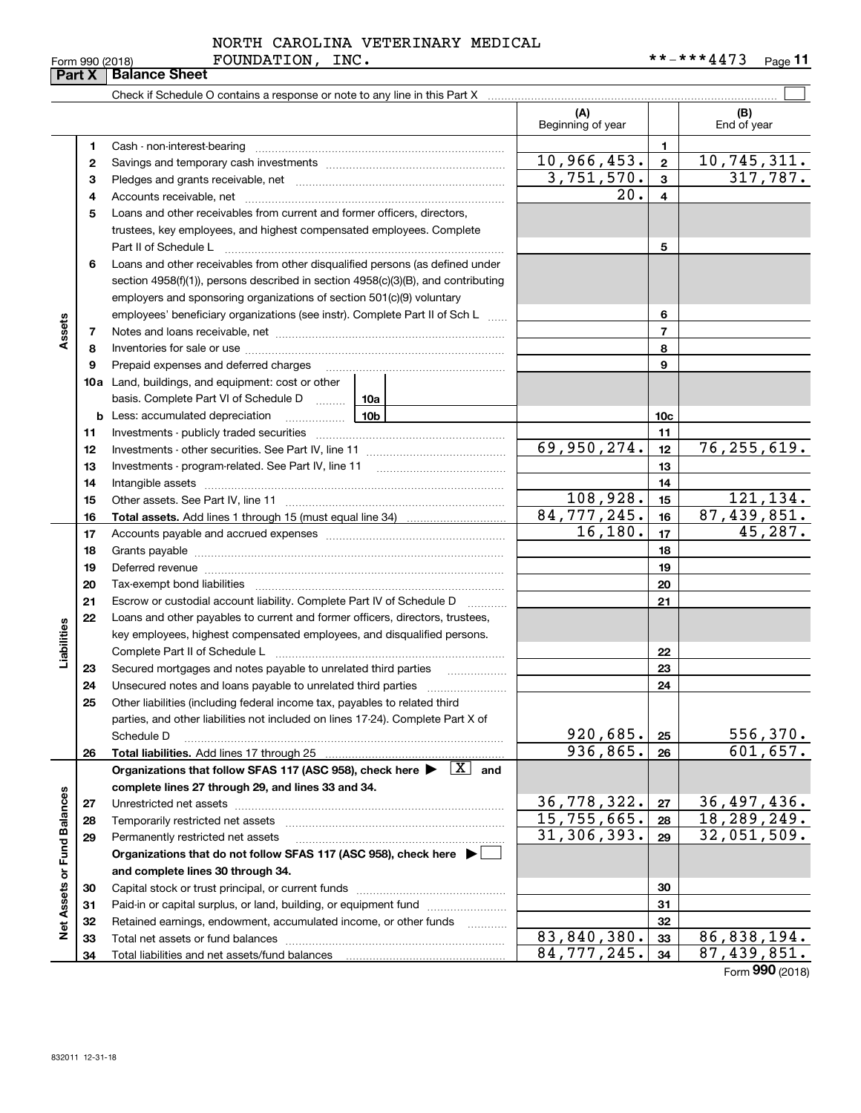|                 | NORTH CAROLINA VETERINARY MEDICAL |            |         |
|-----------------|-----------------------------------|------------|---------|
| Form 990 (2018) | <b>FOUNDATION,</b><br>INC.        | **-***4473 | Page 11 |

|                             |          |                                                                                                                            | (A)<br>Beginning of year |                 | (B)<br>End of year        |
|-----------------------------|----------|----------------------------------------------------------------------------------------------------------------------------|--------------------------|-----------------|---------------------------|
|                             | 1        |                                                                                                                            |                          | 1               |                           |
|                             | 2        |                                                                                                                            | 10,966,453.              | $\mathbf{2}$    | 10,745,311.               |
|                             | з        |                                                                                                                            | $\overline{3,751,570}$ . | $\mathbf{3}$    | 317,787.                  |
|                             | 4        |                                                                                                                            | 20.                      | 4               |                           |
|                             | 5        | Loans and other receivables from current and former officers, directors,                                                   |                          |                 |                           |
|                             |          | trustees, key employees, and highest compensated employees. Complete                                                       |                          |                 |                           |
|                             |          |                                                                                                                            |                          | 5               |                           |
|                             | 6        | Loans and other receivables from other disqualified persons (as defined under                                              |                          |                 |                           |
|                             |          | section $4958(f)(1)$ , persons described in section $4958(c)(3)(B)$ , and contributing                                     |                          |                 |                           |
|                             |          | employers and sponsoring organizations of section 501(c)(9) voluntary                                                      |                          |                 |                           |
|                             |          | employees' beneficiary organizations (see instr). Complete Part II of Sch L                                                |                          | 6               |                           |
| Assets                      | 7        |                                                                                                                            |                          | $\overline{7}$  |                           |
|                             | 8        |                                                                                                                            |                          | 8               |                           |
|                             | 9        | Prepaid expenses and deferred charges                                                                                      |                          | 9               |                           |
|                             |          | <b>10a</b> Land, buildings, and equipment: cost or other                                                                   |                          |                 |                           |
|                             |          | basis. Complete Part VI of Schedule D  10a                                                                                 |                          |                 |                           |
|                             |          | 10b<br><b>b</b> Less: accumulated depreciation                                                                             |                          | 10 <sub>c</sub> |                           |
|                             | 11       |                                                                                                                            |                          | 11              |                           |
|                             | 12       |                                                                                                                            | 69,950,274.              | 12              | 76, 255, 619.             |
|                             | 13       |                                                                                                                            |                          | 13              |                           |
|                             | 14       |                                                                                                                            |                          | 14              |                           |
|                             | 15       |                                                                                                                            | 108,928.                 | 15              | 121,134.                  |
|                             | 16       |                                                                                                                            | 84, 777, 245.            | 16              | 87,439,851.               |
|                             | 17       |                                                                                                                            | 16, 180.                 | 17              | 45,287.                   |
|                             | 18       |                                                                                                                            |                          | 18              |                           |
|                             | 19       | Deferred revenue manual contracts and contracts and contracts are contracted and contracts are contracted and c            |                          | 19              |                           |
|                             | 20       |                                                                                                                            |                          | 20              |                           |
|                             | 21       | Escrow or custodial account liability. Complete Part IV of Schedule D<br>1.1.1.1.1.1.1.1.1                                 |                          | 21              |                           |
|                             | 22       | Loans and other payables to current and former officers, directors, trustees,                                              |                          |                 |                           |
|                             |          | key employees, highest compensated employees, and disqualified persons.                                                    |                          |                 |                           |
| Liabilities                 |          |                                                                                                                            |                          | 22              |                           |
|                             | 23<br>24 | Secured mortgages and notes payable to unrelated third parties                                                             |                          | 23<br>24        |                           |
|                             | 25       | Other liabilities (including federal income tax, payables to related third                                                 |                          |                 |                           |
|                             |          | parties, and other liabilities not included on lines 17-24). Complete Part X of                                            |                          |                 |                           |
|                             |          | Schedule D                                                                                                                 | 920,685.                 | 25              | 556, 370.                 |
|                             | 26       | Total liabilities. Add lines 17 through 25                                                                                 | 936,865.                 | 26              | 601,657.                  |
|                             |          | Organizations that follow SFAS 117 (ASC 958), check here $\blacktriangleright \begin{array}{ l } \hline X \end{array}$ and |                          |                 |                           |
|                             |          | complete lines 27 through 29, and lines 33 and 34.                                                                         |                          |                 |                           |
|                             | 27       |                                                                                                                            | 36,778,322.              | 27              | 36,497,436.               |
|                             | 28       | Temporarily restricted net assets                                                                                          | 15,755,665.              | 28              | 18, 289, 249.             |
|                             | 29       | Permanently restricted net assets                                                                                          | 31,306,393.              | 29              | 32,051,509.               |
|                             |          | Organizations that do not follow SFAS 117 (ASC 958), check here $\blacktriangleright$                                      |                          |                 |                           |
|                             |          | and complete lines 30 through 34.                                                                                          |                          |                 |                           |
|                             | 30       |                                                                                                                            |                          | 30              |                           |
| Net Assets or Fund Balances | 31       | Paid-in or capital surplus, or land, building, or equipment fund                                                           |                          | 31              |                           |
|                             | 32       | Retained earnings, endowment, accumulated income, or other funds                                                           |                          | 32              |                           |
|                             | 33       |                                                                                                                            | 83, 840, 380.            | 33              | 86,838,194.               |
|                             | 34       |                                                                                                                            | 84,777,245.              | 34              | $\overline{87,439,851}$ . |

Form (2018) **990**

# **Part X Balance Sheet**

| Form 990 (2018) |  |
|-----------------|--|
|-----------------|--|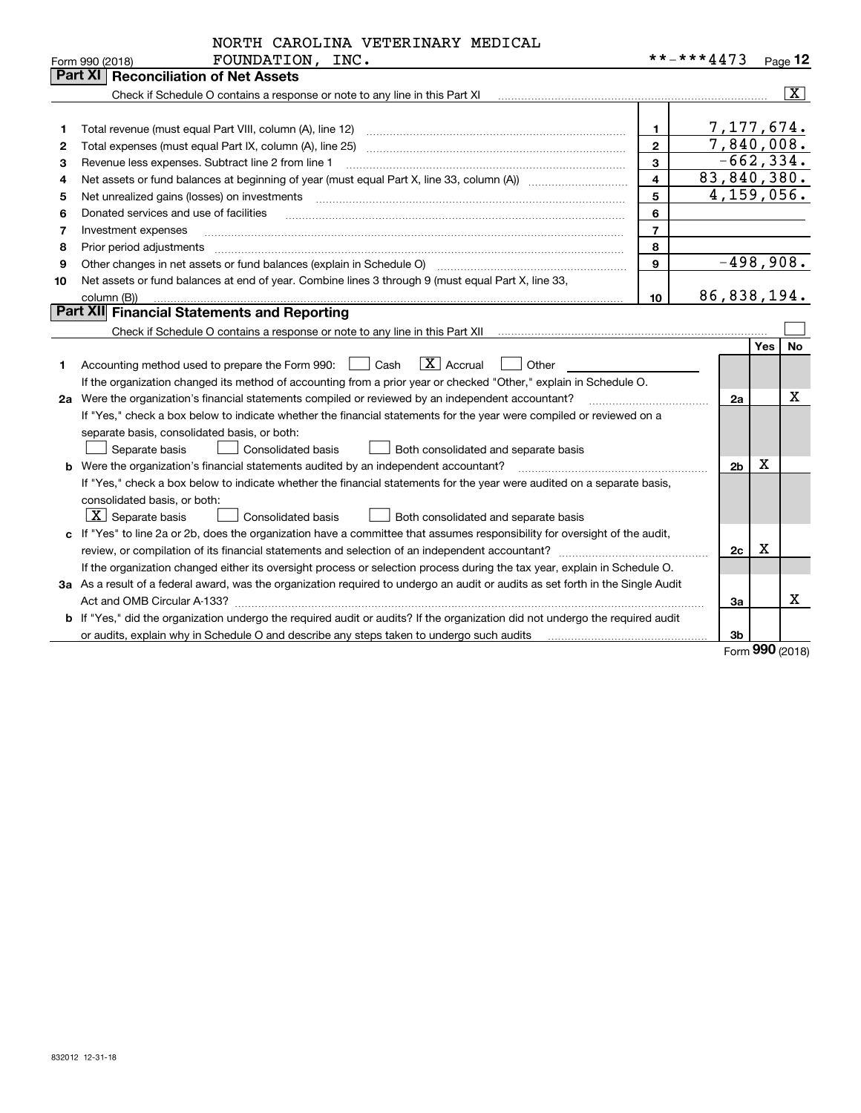|  | NORTH CAROLINA VETERINARY MEDICAL |  |
|--|-----------------------------------|--|

|    | FOUNDATION,<br>INC.<br>Form 990 (2018)                                                                                               |                         | **-***4473     |     | Page $12$               |
|----|--------------------------------------------------------------------------------------------------------------------------------------|-------------------------|----------------|-----|-------------------------|
|    | Part XI<br><b>Reconciliation of Net Assets</b>                                                                                       |                         |                |     |                         |
|    | Check if Schedule O contains a response or note to any line in this Part XI                                                          |                         |                |     | $\overline{\mathbf{x}}$ |
|    |                                                                                                                                      |                         |                |     |                         |
|    |                                                                                                                                      | 1                       | 7,177,674.     |     |                         |
| 2  |                                                                                                                                      | $\mathbf{2}$            | 7,840,008.     |     |                         |
| 3  | Revenue less expenses. Subtract line 2 from line 1                                                                                   | 3                       | $-662, 334.$   |     |                         |
| 4  |                                                                                                                                      | $\overline{\mathbf{4}}$ | 83,840,380.    |     |                         |
| 5  | Net unrealized gains (losses) on investments                                                                                         | 5                       | 4,159,056.     |     |                         |
| 6  | Donated services and use of facilities                                                                                               | 6                       |                |     |                         |
| 7  | Investment expenses                                                                                                                  | $\overline{7}$          |                |     |                         |
| 8  | Prior period adjustments                                                                                                             | 8                       |                |     |                         |
| 9  | Other changes in net assets or fund balances (explain in Schedule O)                                                                 | 9                       | $-498,908.$    |     |                         |
| 10 | Net assets or fund balances at end of year. Combine lines 3 through 9 (must equal Part X, line 33,                                   |                         |                |     |                         |
|    | column (B))                                                                                                                          | 10                      | 86,838,194.    |     |                         |
|    | Part XII Financial Statements and Reporting                                                                                          |                         |                |     |                         |
|    | Check if Schedule O contains a response or note to any line in this Part XII [11] [11] [11] [11] [11] [11] [11                       |                         |                |     |                         |
|    |                                                                                                                                      |                         |                | Yes | No                      |
| 1  | $\boxed{\mathbf{X}}$ Accrual<br>Accounting method used to prepare the Form 990: [130] Cash<br>$\vert$ $\vert$ Other                  |                         |                |     |                         |
|    | If the organization changed its method of accounting from a prior year or checked "Other," explain in Schedule O.                    |                         |                |     |                         |
|    | 2a Were the organization's financial statements compiled or reviewed by an independent accountant?                                   |                         | 2a             |     | Χ                       |
|    | If "Yes," check a box below to indicate whether the financial statements for the year were compiled or reviewed on a                 |                         |                |     |                         |
|    | separate basis, consolidated basis, or both:                                                                                         |                         |                |     |                         |
|    | Separate basis<br>Consolidated basis<br>Both consolidated and separate basis                                                         |                         |                |     |                         |
|    | <b>b</b> Were the organization's financial statements audited by an independent accountant?                                          |                         | 2 <sub>b</sub> | X   |                         |
|    | If "Yes," check a box below to indicate whether the financial statements for the year were audited on a separate basis,              |                         |                |     |                         |
|    | consolidated basis, or both:                                                                                                         |                         |                |     |                         |
|    | $\vert$ X $\vert$ Separate basis<br><b>Consolidated basis</b><br>Both consolidated and separate basis                                |                         |                |     |                         |
|    | c If "Yes" to line 2a or 2b, does the organization have a committee that assumes responsibility for oversight of the audit,          |                         |                |     |                         |
|    |                                                                                                                                      |                         | 2c             | x   |                         |
|    | If the organization changed either its oversight process or selection process during the tax year, explain in Schedule O.            |                         |                |     |                         |
|    | 3a As a result of a federal award, was the organization required to undergo an audit or audits as set forth in the Single Audit      |                         |                |     |                         |
|    |                                                                                                                                      |                         | За             |     | x                       |
|    | <b>b</b> If "Yes," did the organization undergo the required audit or audits? If the organization did not undergo the required audit |                         |                |     |                         |
|    | or audits, explain why in Schedule O and describe any steps taken to undergo such audits                                             |                         | 3b             |     |                         |

Form (2018) **990**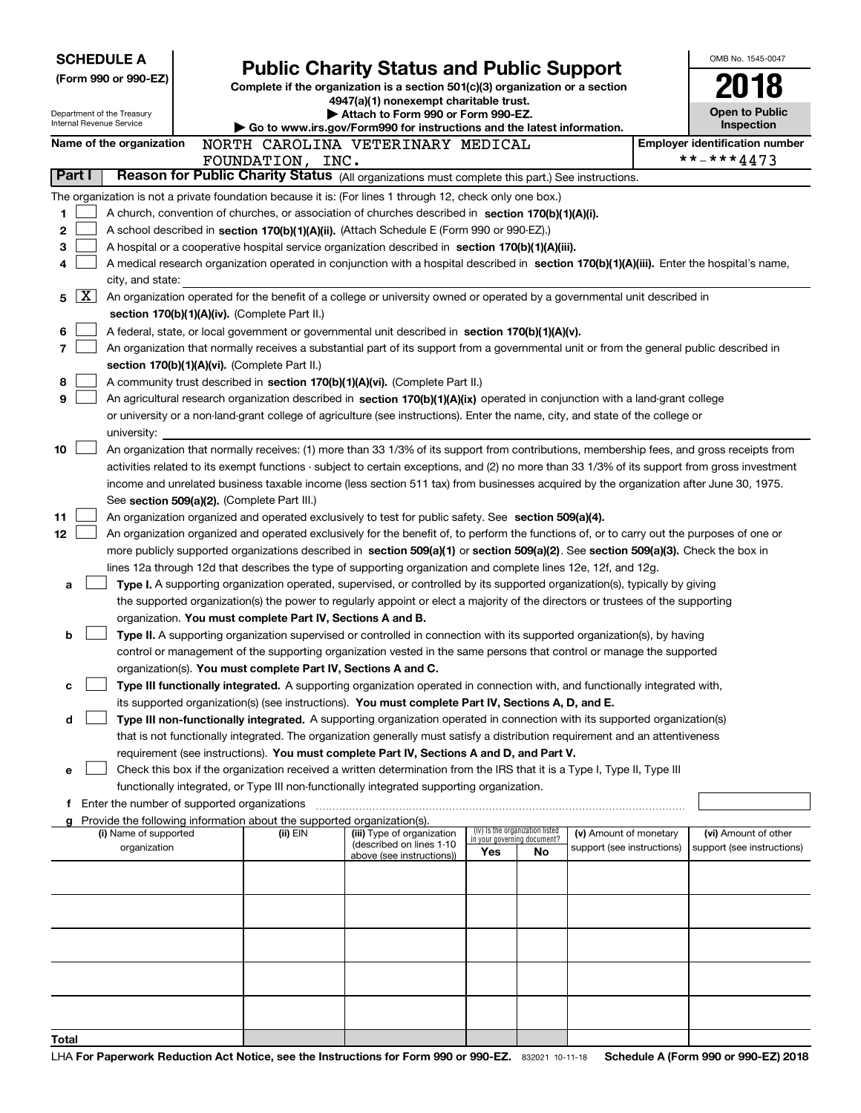| <b>SCHEDULE A</b>        |                                 |                                             |  | <b>Public Charity Status and Public Support</b>                               |                                                                                                                                               |     |                                 |                                                      | OMB No. 1545-0047 |                                                    |  |
|--------------------------|---------------------------------|---------------------------------------------|--|-------------------------------------------------------------------------------|-----------------------------------------------------------------------------------------------------------------------------------------------|-----|---------------------------------|------------------------------------------------------|-------------------|----------------------------------------------------|--|
|                          |                                 | (Form 990 or 990-EZ)                        |  | Complete if the organization is a section 501(c)(3) organization or a section |                                                                                                                                               |     |                                 |                                                      |                   |                                                    |  |
|                          |                                 |                                             |  |                                                                               |                                                                                                                                               |     |                                 |                                                      |                   |                                                    |  |
|                          |                                 | Department of the Treasury                  |  | 4947(a)(1) nonexempt charitable trust.<br>Attach to Form 990 or Form 990-EZ.  |                                                                                                                                               |     |                                 |                                                      |                   | <b>Open to Public</b>                              |  |
|                          | <b>Internal Revenue Service</b> |                                             |  |                                                                               | Go to www.irs.gov/Form990 for instructions and the latest information.                                                                        |     |                                 |                                                      |                   | <b>Inspection</b>                                  |  |
| Name of the organization |                                 |                                             |  |                                                                               | NORTH CAROLINA VETERINARY MEDICAL                                                                                                             |     |                                 |                                                      |                   | <b>Employer identification number</b>              |  |
|                          |                                 |                                             |  | FOUNDATION, INC.                                                              |                                                                                                                                               |     |                                 |                                                      |                   | **-***4473                                         |  |
| Part I                   |                                 |                                             |  |                                                                               | Reason for Public Charity Status (All organizations must complete this part.) See instructions.                                               |     |                                 |                                                      |                   |                                                    |  |
|                          |                                 |                                             |  |                                                                               | The organization is not a private foundation because it is: (For lines 1 through 12, check only one box.)                                     |     |                                 |                                                      |                   |                                                    |  |
| 1                        |                                 |                                             |  |                                                                               | A church, convention of churches, or association of churches described in section 170(b)(1)(A)(i).                                            |     |                                 |                                                      |                   |                                                    |  |
| 2                        |                                 |                                             |  |                                                                               | A school described in section 170(b)(1)(A)(ii). (Attach Schedule E (Form 990 or 990-EZ).)                                                     |     |                                 |                                                      |                   |                                                    |  |
| З                        |                                 |                                             |  |                                                                               | A hospital or a cooperative hospital service organization described in section 170(b)(1)(A)(iii).                                             |     |                                 |                                                      |                   |                                                    |  |
|                          |                                 |                                             |  |                                                                               | A medical research organization operated in conjunction with a hospital described in section 170(b)(1)(A)(iii). Enter the hospital's name,    |     |                                 |                                                      |                   |                                                    |  |
|                          |                                 | city, and state:                            |  |                                                                               |                                                                                                                                               |     |                                 |                                                      |                   |                                                    |  |
| 5                        | $\mathbf{X}$                    |                                             |  |                                                                               | An organization operated for the benefit of a college or university owned or operated by a governmental unit described in                     |     |                                 |                                                      |                   |                                                    |  |
|                          |                                 |                                             |  | section 170(b)(1)(A)(iv). (Complete Part II.)                                 |                                                                                                                                               |     |                                 |                                                      |                   |                                                    |  |
| 6                        |                                 |                                             |  |                                                                               | A federal, state, or local government or governmental unit described in section 170(b)(1)(A)(v).                                              |     |                                 |                                                      |                   |                                                    |  |
| 7                        |                                 |                                             |  |                                                                               | An organization that normally receives a substantial part of its support from a governmental unit or from the general public described in     |     |                                 |                                                      |                   |                                                    |  |
|                          |                                 |                                             |  | section 170(b)(1)(A)(vi). (Complete Part II.)                                 |                                                                                                                                               |     |                                 |                                                      |                   |                                                    |  |
| 8                        |                                 |                                             |  |                                                                               | A community trust described in section 170(b)(1)(A)(vi). (Complete Part II.)                                                                  |     |                                 |                                                      |                   |                                                    |  |
| 9                        |                                 |                                             |  |                                                                               | An agricultural research organization described in section 170(b)(1)(A)(ix) operated in conjunction with a land-grant college                 |     |                                 |                                                      |                   |                                                    |  |
|                          |                                 |                                             |  |                                                                               | or university or a non-land-grant college of agriculture (see instructions). Enter the name, city, and state of the college or                |     |                                 |                                                      |                   |                                                    |  |
|                          |                                 | university:                                 |  |                                                                               |                                                                                                                                               |     |                                 |                                                      |                   |                                                    |  |
| 10                       |                                 |                                             |  |                                                                               | An organization that normally receives: (1) more than 33 1/3% of its support from contributions, membership fees, and gross receipts from     |     |                                 |                                                      |                   |                                                    |  |
|                          |                                 |                                             |  |                                                                               | activities related to its exempt functions - subject to certain exceptions, and (2) no more than 33 1/3% of its support from gross investment |     |                                 |                                                      |                   |                                                    |  |
|                          |                                 |                                             |  |                                                                               | income and unrelated business taxable income (less section 511 tax) from businesses acquired by the organization after June 30, 1975.         |     |                                 |                                                      |                   |                                                    |  |
|                          |                                 |                                             |  | See section 509(a)(2). (Complete Part III.)                                   |                                                                                                                                               |     |                                 |                                                      |                   |                                                    |  |
| 11                       |                                 |                                             |  |                                                                               | An organization organized and operated exclusively to test for public safety. See section 509(a)(4).                                          |     |                                 |                                                      |                   |                                                    |  |
| 12                       |                                 |                                             |  |                                                                               | An organization organized and operated exclusively for the benefit of, to perform the functions of, or to carry out the purposes of one or    |     |                                 |                                                      |                   |                                                    |  |
|                          |                                 |                                             |  |                                                                               | more publicly supported organizations described in section 509(a)(1) or section 509(a)(2). See section 509(a)(3). Check the box in            |     |                                 |                                                      |                   |                                                    |  |
|                          |                                 |                                             |  |                                                                               | lines 12a through 12d that describes the type of supporting organization and complete lines 12e, 12f, and 12g.                                |     |                                 |                                                      |                   |                                                    |  |
| а                        |                                 |                                             |  |                                                                               | Type I. A supporting organization operated, supervised, or controlled by its supported organization(s), typically by giving                   |     |                                 |                                                      |                   |                                                    |  |
|                          |                                 |                                             |  |                                                                               | the supported organization(s) the power to regularly appoint or elect a majority of the directors or trustees of the supporting               |     |                                 |                                                      |                   |                                                    |  |
|                          |                                 |                                             |  | organization. You must complete Part IV, Sections A and B.                    |                                                                                                                                               |     |                                 |                                                      |                   |                                                    |  |
| b                        |                                 |                                             |  |                                                                               | Type II. A supporting organization supervised or controlled in connection with its supported organization(s), by having                       |     |                                 |                                                      |                   |                                                    |  |
|                          |                                 |                                             |  |                                                                               | control or management of the supporting organization vested in the same persons that control or manage the supported                          |     |                                 |                                                      |                   |                                                    |  |
|                          |                                 |                                             |  | organization(s). You must complete Part IV, Sections A and C.                 |                                                                                                                                               |     |                                 |                                                      |                   |                                                    |  |
| с                        |                                 |                                             |  |                                                                               | Type III functionally integrated. A supporting organization operated in connection with, and functionally integrated with,                    |     |                                 |                                                      |                   |                                                    |  |
|                          |                                 |                                             |  |                                                                               | its supported organization(s) (see instructions). You must complete Part IV, Sections A, D, and E.                                            |     |                                 |                                                      |                   |                                                    |  |
| d                        |                                 |                                             |  |                                                                               | Type III non-functionally integrated. A supporting organization operated in connection with its supported organization(s)                     |     |                                 |                                                      |                   |                                                    |  |
|                          |                                 |                                             |  |                                                                               | that is not functionally integrated. The organization generally must satisfy a distribution requirement and an attentiveness                  |     |                                 |                                                      |                   |                                                    |  |
|                          |                                 |                                             |  |                                                                               | requirement (see instructions). You must complete Part IV, Sections A and D, and Part V.                                                      |     |                                 |                                                      |                   |                                                    |  |
| е                        |                                 |                                             |  |                                                                               | Check this box if the organization received a written determination from the IRS that it is a Type I, Type II, Type III                       |     |                                 |                                                      |                   |                                                    |  |
|                          |                                 |                                             |  |                                                                               | functionally integrated, or Type III non-functionally integrated supporting organization.                                                     |     |                                 |                                                      |                   |                                                    |  |
| f                        |                                 | Enter the number of supported organizations |  |                                                                               |                                                                                                                                               |     |                                 |                                                      |                   |                                                    |  |
|                          |                                 |                                             |  | Provide the following information about the supported organization(s).        |                                                                                                                                               |     | (iv) Is the organization listed |                                                      |                   |                                                    |  |
|                          |                                 | (i) Name of supported<br>organization       |  | (ii) EIN                                                                      | (iii) Type of organization<br>(described on lines 1-10                                                                                        |     | in your governing document?     | (v) Amount of monetary<br>support (see instructions) |                   | (vi) Amount of other<br>support (see instructions) |  |
|                          |                                 |                                             |  |                                                                               | above (see instructions))                                                                                                                     | Yes | No.                             |                                                      |                   |                                                    |  |
|                          |                                 |                                             |  |                                                                               |                                                                                                                                               |     |                                 |                                                      |                   |                                                    |  |
|                          |                                 |                                             |  |                                                                               |                                                                                                                                               |     |                                 |                                                      |                   |                                                    |  |
|                          |                                 |                                             |  |                                                                               |                                                                                                                                               |     |                                 |                                                      |                   |                                                    |  |
|                          |                                 |                                             |  |                                                                               |                                                                                                                                               |     |                                 |                                                      |                   |                                                    |  |
|                          |                                 |                                             |  |                                                                               |                                                                                                                                               |     |                                 |                                                      |                   |                                                    |  |
|                          |                                 |                                             |  |                                                                               |                                                                                                                                               |     |                                 |                                                      |                   |                                                    |  |
|                          |                                 |                                             |  |                                                                               |                                                                                                                                               |     |                                 |                                                      |                   |                                                    |  |
|                          |                                 |                                             |  |                                                                               |                                                                                                                                               |     |                                 |                                                      |                   |                                                    |  |
|                          |                                 |                                             |  |                                                                               |                                                                                                                                               |     |                                 |                                                      |                   |                                                    |  |
|                          |                                 |                                             |  |                                                                               |                                                                                                                                               |     |                                 |                                                      |                   |                                                    |  |
| Total                    |                                 |                                             |  |                                                                               |                                                                                                                                               |     |                                 |                                                      |                   |                                                    |  |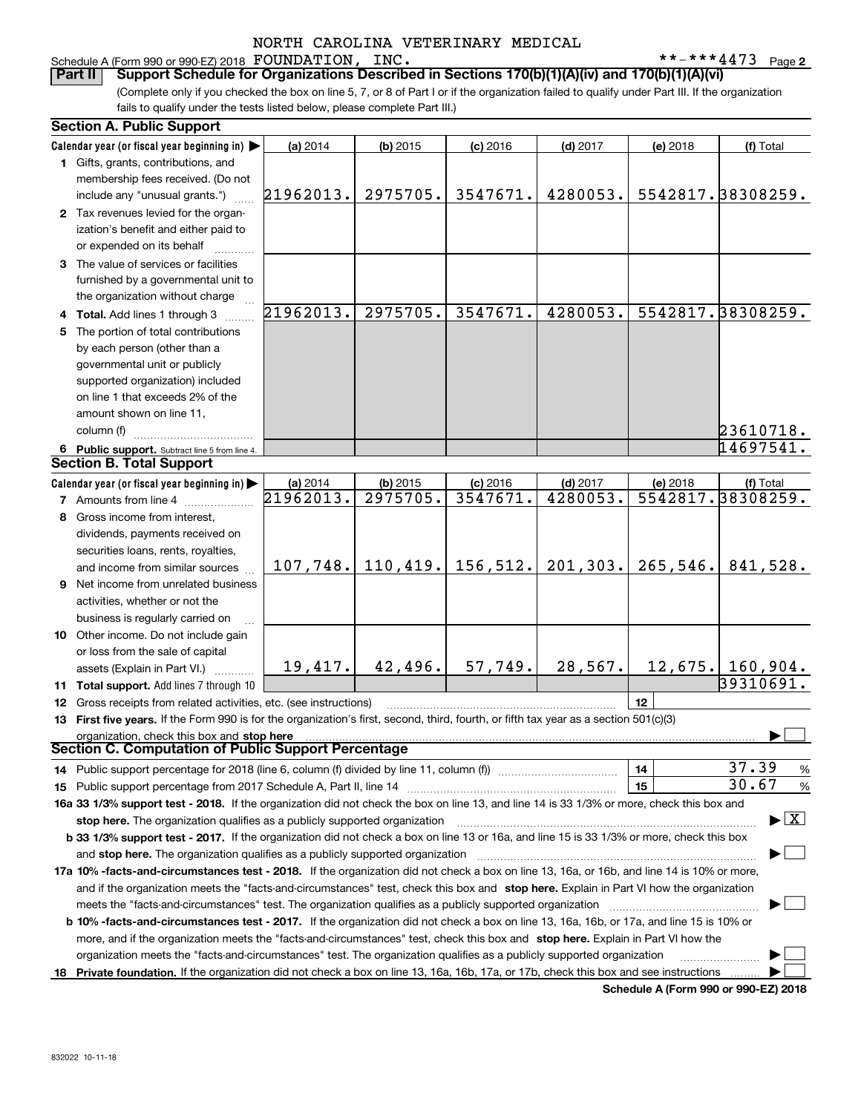#### **2** Schedule A (Form 990 or 990-EZ) 2018 Page FOUNDATION, INC. \*\*-\*\*\*4473

(Complete only if you checked the box on line 5, 7, or 8 of Part I or if the organization failed to qualify under Part III. If the organization **Part II Support Schedule for Organizations Described in Sections 170(b)(1)(A)(iv) and 170(b)(1)(A)(vi)**

fails to qualify under the tests listed below, please complete Part III.)

|    | <b>Section A. Public Support</b>                                                                                                           |                       |                                 |                        |                        |          |                                         |  |
|----|--------------------------------------------------------------------------------------------------------------------------------------------|-----------------------|---------------------------------|------------------------|------------------------|----------|-----------------------------------------|--|
|    | Calendar year (or fiscal year beginning in)                                                                                                | (a) 2014              | $(b)$ 2015                      | $(c)$ 2016             | $(d)$ 2017             | (e) 2018 | (f) Total                               |  |
|    | 1 Gifts, grants, contributions, and                                                                                                        |                       |                                 |                        |                        |          |                                         |  |
|    | membership fees received. (Do not                                                                                                          |                       |                                 |                        |                        |          |                                         |  |
|    | include any "unusual grants.")                                                                                                             | 21962013.             | 2975705.                        | 3547671.               | 4280053.               |          | 5542817.38308259.                       |  |
|    | 2 Tax revenues levied for the organ-                                                                                                       |                       |                                 |                        |                        |          |                                         |  |
|    | ization's benefit and either paid to                                                                                                       |                       |                                 |                        |                        |          |                                         |  |
|    | or expended on its behalf                                                                                                                  |                       |                                 |                        |                        |          |                                         |  |
|    | 3 The value of services or facilities                                                                                                      |                       |                                 |                        |                        |          |                                         |  |
|    | furnished by a governmental unit to                                                                                                        |                       |                                 |                        |                        |          |                                         |  |
|    | the organization without charge                                                                                                            |                       |                                 |                        |                        |          |                                         |  |
|    | 4 Total. Add lines 1 through 3                                                                                                             | 21962013.             | 2975705.                        | 3547671.               | 4280053.               |          | 5542817.38308259.                       |  |
| 5. | The portion of total contributions                                                                                                         |                       |                                 |                        |                        |          |                                         |  |
|    | by each person (other than a                                                                                                               |                       |                                 |                        |                        |          |                                         |  |
|    | governmental unit or publicly                                                                                                              |                       |                                 |                        |                        |          |                                         |  |
|    | supported organization) included                                                                                                           |                       |                                 |                        |                        |          |                                         |  |
|    | on line 1 that exceeds 2% of the                                                                                                           |                       |                                 |                        |                        |          |                                         |  |
|    | amount shown on line 11,                                                                                                                   |                       |                                 |                        |                        |          |                                         |  |
|    | column (f)                                                                                                                                 |                       |                                 |                        |                        |          | 23610718.                               |  |
|    |                                                                                                                                            |                       |                                 |                        |                        |          | 14697541.                               |  |
|    | 6 Public support. Subtract line 5 from line 4.<br><b>Section B. Total Support</b>                                                          |                       |                                 |                        |                        |          |                                         |  |
|    |                                                                                                                                            |                       |                                 |                        |                        |          |                                         |  |
|    | Calendar year (or fiscal year beginning in)                                                                                                | (a) 2014<br>21962013. | $(b)$ 2015<br>2975705.          | $(c)$ 2016<br>3547671. | $(d)$ 2017<br>4280053. | (e) 2018 | (f) Total<br>5542817.38308259.          |  |
|    | 7 Amounts from line 4                                                                                                                      |                       |                                 |                        |                        |          |                                         |  |
|    | 8 Gross income from interest,                                                                                                              |                       |                                 |                        |                        |          |                                         |  |
|    | dividends, payments received on                                                                                                            |                       |                                 |                        |                        |          |                                         |  |
|    | securities loans, rents, royalties,                                                                                                        |                       |                                 |                        |                        |          |                                         |  |
|    | and income from similar sources                                                                                                            |                       | $107, 748.$ 110, 419. 156, 512. |                        | 201, 303.              | 265,546. | 841,528.                                |  |
| 9  | Net income from unrelated business                                                                                                         |                       |                                 |                        |                        |          |                                         |  |
|    | activities, whether or not the                                                                                                             |                       |                                 |                        |                        |          |                                         |  |
|    | business is regularly carried on                                                                                                           |                       |                                 |                        |                        |          |                                         |  |
|    | 10 Other income. Do not include gain                                                                                                       |                       |                                 |                        |                        |          |                                         |  |
|    | or loss from the sale of capital                                                                                                           |                       |                                 |                        |                        |          |                                         |  |
|    | assets (Explain in Part VI.)                                                                                                               | 19,417.               | 42,496.                         | 57,749.                | 28, 567.               |          | $12, 675.$ 160, 904.                    |  |
|    | 11 Total support. Add lines 7 through 10                                                                                                   |                       |                                 |                        |                        |          | 39310691.                               |  |
| 12 | Gross receipts from related activities, etc. (see instructions)                                                                            |                       |                                 |                        |                        | 12       |                                         |  |
|    | 13 First five years. If the Form 990 is for the organization's first, second, third, fourth, or fifth tax year as a section 501(c)(3)      |                       |                                 |                        |                        |          |                                         |  |
|    | organization, check this box and stop here                                                                                                 |                       |                                 |                        |                        |          |                                         |  |
|    | <b>Section C. Computation of Public Support Percentage</b>                                                                                 |                       |                                 |                        |                        |          |                                         |  |
|    | 14 Public support percentage for 2018 (line 6, column (f) divided by line 11, column (f) <i>mummumumum</i>                                 |                       |                                 |                        |                        | 14       | 37.39<br>%                              |  |
|    |                                                                                                                                            |                       |                                 |                        |                        | 15       | 30.67<br>%                              |  |
|    | 16a 33 1/3% support test - 2018. If the organization did not check the box on line 13, and line 14 is 33 1/3% or more, check this box and  |                       |                                 |                        |                        |          |                                         |  |
|    | stop here. The organization qualifies as a publicly supported organization                                                                 |                       |                                 |                        |                        |          | $\blacktriangleright$ $\vert$ X $\vert$ |  |
|    | b 33 1/3% support test - 2017. If the organization did not check a box on line 13 or 16a, and line 15 is 33 1/3% or more, check this box   |                       |                                 |                        |                        |          |                                         |  |
|    | and stop here. The organization qualifies as a publicly supported organization                                                             |                       |                                 |                        |                        |          |                                         |  |
|    | 17a 10% -facts-and-circumstances test - 2018. If the organization did not check a box on line 13, 16a, or 16b, and line 14 is 10% or more, |                       |                                 |                        |                        |          |                                         |  |
|    | and if the organization meets the "facts-and-circumstances" test, check this box and stop here. Explain in Part VI how the organization    |                       |                                 |                        |                        |          |                                         |  |
|    | meets the "facts-and-circumstances" test. The organization qualifies as a publicly supported organization                                  |                       |                                 |                        |                        |          |                                         |  |
|    | b 10% -facts-and-circumstances test - 2017. If the organization did not check a box on line 13, 16a, 16b, or 17a, and line 15 is 10% or    |                       |                                 |                        |                        |          |                                         |  |
|    | more, and if the organization meets the "facts-and-circumstances" test, check this box and stop here. Explain in Part VI how the           |                       |                                 |                        |                        |          |                                         |  |
|    | organization meets the "facts-and-circumstances" test. The organization qualifies as a publicly supported organization                     |                       |                                 |                        |                        |          |                                         |  |
| 18 | Private foundation. If the organization did not check a box on line 13, 16a, 16b, 17a, or 17b, check this box and see instructions         |                       |                                 |                        |                        |          |                                         |  |

**Schedule A (Form 990 or 990-EZ) 2018**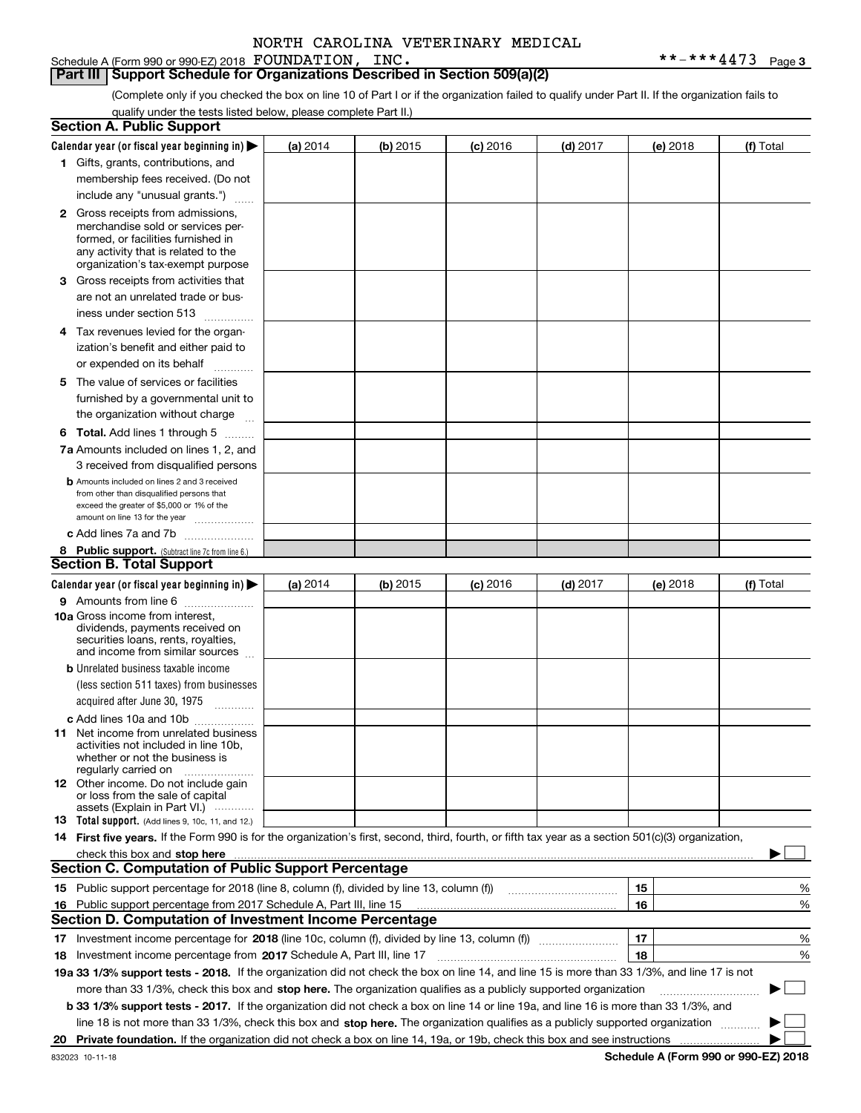Schedule A (Form 990 or 990-EZ) 2018 Page FOUNDATION, INC. \*\*-\*\*\*4473

**Part III Support Schedule for Organizations Described in Section 509(a)(2)** 

(Complete only if you checked the box on line 10 of Part I or if the organization failed to qualify under Part II. If the organization fails to qualify under the tests listed below, please complete Part II.)

|    | <b>Section A. Public Support</b>                                                                                                                    |            |            |            |            |          |             |
|----|-----------------------------------------------------------------------------------------------------------------------------------------------------|------------|------------|------------|------------|----------|-------------|
|    | Calendar year (or fiscal year beginning in) $\blacktriangleright$                                                                                   | (a) 2014   | (b) 2015   | $(c)$ 2016 | $(d)$ 2017 | (e) 2018 | (f) Total   |
|    | 1 Gifts, grants, contributions, and                                                                                                                 |            |            |            |            |          |             |
|    | membership fees received. (Do not                                                                                                                   |            |            |            |            |          |             |
|    | include any "unusual grants.")                                                                                                                      |            |            |            |            |          |             |
|    | <b>2</b> Gross receipts from admissions,                                                                                                            |            |            |            |            |          |             |
|    | merchandise sold or services per-                                                                                                                   |            |            |            |            |          |             |
|    | formed, or facilities furnished in                                                                                                                  |            |            |            |            |          |             |
|    | any activity that is related to the<br>organization's tax-exempt purpose                                                                            |            |            |            |            |          |             |
|    | 3 Gross receipts from activities that                                                                                                               |            |            |            |            |          |             |
|    | are not an unrelated trade or bus-                                                                                                                  |            |            |            |            |          |             |
|    | iness under section 513                                                                                                                             |            |            |            |            |          |             |
|    | 4 Tax revenues levied for the organ-                                                                                                                |            |            |            |            |          |             |
|    | ization's benefit and either paid to                                                                                                                |            |            |            |            |          |             |
|    | or expended on its behalf                                                                                                                           |            |            |            |            |          |             |
|    | .                                                                                                                                                   |            |            |            |            |          |             |
|    | 5 The value of services or facilities<br>furnished by a governmental unit to                                                                        |            |            |            |            |          |             |
|    |                                                                                                                                                     |            |            |            |            |          |             |
|    | the organization without charge                                                                                                                     |            |            |            |            |          |             |
|    | <b>6 Total.</b> Add lines 1 through 5                                                                                                               |            |            |            |            |          |             |
|    | 7a Amounts included on lines 1, 2, and                                                                                                              |            |            |            |            |          |             |
|    | 3 received from disqualified persons                                                                                                                |            |            |            |            |          |             |
|    | <b>b</b> Amounts included on lines 2 and 3 received<br>from other than disqualified persons that                                                    |            |            |            |            |          |             |
|    | exceed the greater of \$5,000 or 1% of the                                                                                                          |            |            |            |            |          |             |
|    | amount on line 13 for the year                                                                                                                      |            |            |            |            |          |             |
|    | c Add lines 7a and 7b                                                                                                                               |            |            |            |            |          |             |
|    | 8 Public support. (Subtract line 7c from line 6.)                                                                                                   |            |            |            |            |          |             |
|    | <b>Section B. Total Support</b>                                                                                                                     |            |            |            |            |          |             |
|    | Calendar year (or fiscal year beginning in) $\blacktriangleright$                                                                                   | (a) $2014$ | $(b)$ 2015 | $(c)$ 2016 | $(d)$ 2017 | (e) 2018 | (f) Total   |
|    | 9 Amounts from line 6                                                                                                                               |            |            |            |            |          |             |
|    | <b>10a</b> Gross income from interest,<br>dividends, payments received on                                                                           |            |            |            |            |          |             |
|    | securities loans, rents, royalties,                                                                                                                 |            |            |            |            |          |             |
|    | and income from similar sources                                                                                                                     |            |            |            |            |          |             |
|    | <b>b</b> Unrelated business taxable income                                                                                                          |            |            |            |            |          |             |
|    | (less section 511 taxes) from businesses                                                                                                            |            |            |            |            |          |             |
|    | acquired after June 30, 1975                                                                                                                        |            |            |            |            |          |             |
|    | c Add lines 10a and 10b                                                                                                                             |            |            |            |            |          |             |
|    | 11 Net income from unrelated business                                                                                                               |            |            |            |            |          |             |
|    | activities not included in line 10b,<br>whether or not the business is                                                                              |            |            |            |            |          |             |
|    | regularly carried on                                                                                                                                |            |            |            |            |          |             |
|    | <b>12</b> Other income. Do not include gain                                                                                                         |            |            |            |            |          |             |
|    | or loss from the sale of capital<br>assets (Explain in Part VI.)                                                                                    |            |            |            |            |          |             |
|    | 13 Total support. (Add lines 9, 10c, 11, and 12.)                                                                                                   |            |            |            |            |          |             |
|    | 14 First five years. If the Form 990 is for the organization's first, second, third, fourth, or fifth tax year as a section 501(c)(3) organization, |            |            |            |            |          |             |
|    | check this box and stop here <i>macuum macuum macuum macuum macuum macuum macuum macuum macuum</i>                                                  |            |            |            |            |          |             |
|    | <b>Section C. Computation of Public Support Percentage</b>                                                                                          |            |            |            |            |          |             |
|    | 15 Public support percentage for 2018 (line 8, column (f), divided by line 13, column (f))                                                          |            |            |            |            | 15       | %           |
| 16 | Public support percentage from 2017 Schedule A, Part III, line 15                                                                                   |            |            |            |            | 16       | %           |
|    | Section D. Computation of Investment Income Percentage                                                                                              |            |            |            |            |          |             |
|    | 17 Investment income percentage for 2018 (line 10c, column (f), divided by line 13, column (f))                                                     |            |            |            |            | 17       | %           |
|    | 18 Investment income percentage from 2017 Schedule A, Part III, line 17                                                                             |            |            |            |            | 18       | %           |
|    | 19a 33 1/3% support tests - 2018. If the organization did not check the box on line 14, and line 15 is more than 33 1/3%, and line 17 is not        |            |            |            |            |          |             |
|    | more than 33 1/3%, check this box and stop here. The organization qualifies as a publicly supported organization                                    |            |            |            |            |          | $\sim$<br>▶ |
|    | b 33 1/3% support tests - 2017. If the organization did not check a box on line 14 or line 19a, and line 16 is more than 33 1/3%, and               |            |            |            |            |          |             |
|    | line 18 is not more than 33 1/3%, check this box and stop here. The organization qualifies as a publicly supported organization                     |            |            |            |            |          |             |
|    |                                                                                                                                                     |            |            |            |            |          |             |
| 20 |                                                                                                                                                     |            |            |            |            |          |             |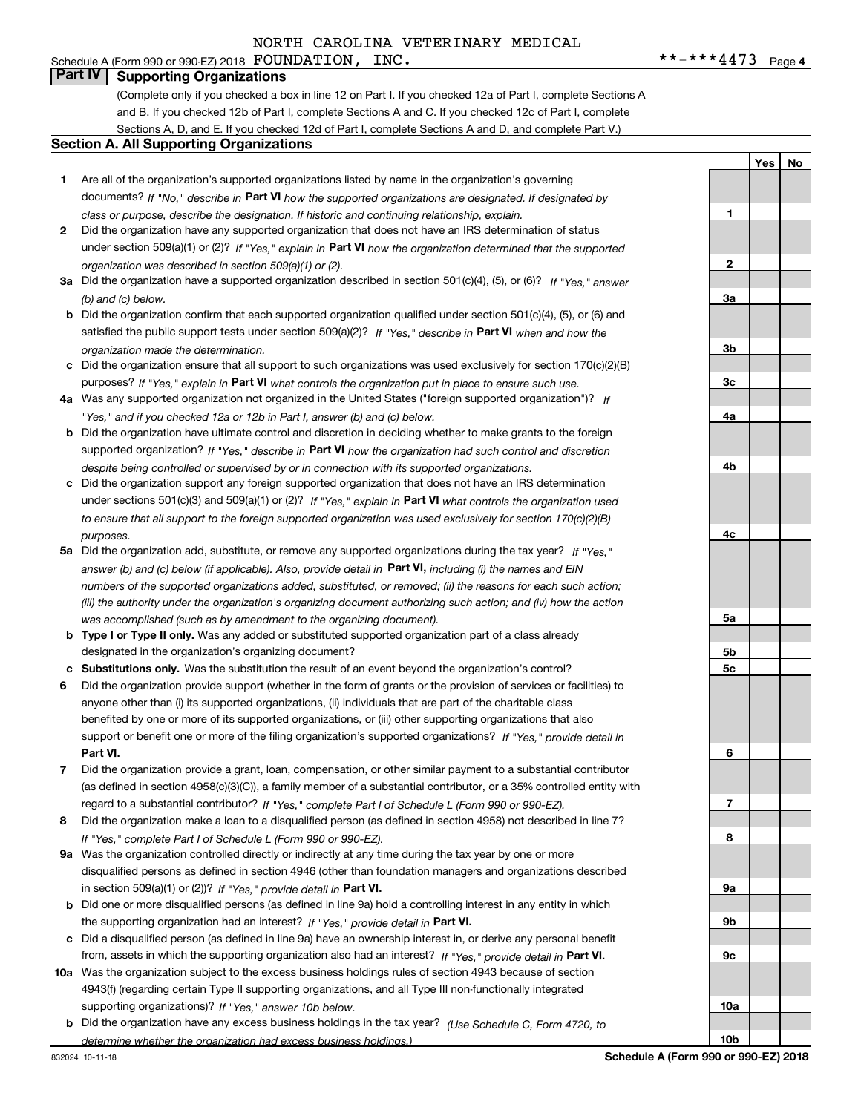#### Schedule A (Form 990 or 990-EZ) 2018 Page FOUNDATION, INC. \*\*-\*\*\*4473 **Part IV Supporting Organizations**

(Complete only if you checked a box in line 12 on Part I. If you checked 12a of Part I, complete Sections A and B. If you checked 12b of Part I, complete Sections A and C. If you checked 12c of Part I, complete Sections A, D, and E. If you checked 12d of Part I, complete Sections A and D, and complete Part V.)

#### **Section A. All Supporting Organizations**

- **1** Are all of the organization's supported organizations listed by name in the organization's governing documents? If "No," describe in **Part VI** how the supported organizations are designated. If designated by *class or purpose, describe the designation. If historic and continuing relationship, explain.*
- **2** Did the organization have any supported organization that does not have an IRS determination of status under section 509(a)(1) or (2)? If "Yes," explain in Part VI how the organization determined that the supported *organization was described in section 509(a)(1) or (2).*
- **3a** Did the organization have a supported organization described in section 501(c)(4), (5), or (6)? If "Yes," answer *(b) and (c) below.*
- **b** Did the organization confirm that each supported organization qualified under section 501(c)(4), (5), or (6) and satisfied the public support tests under section 509(a)(2)? If "Yes," describe in **Part VI** when and how the *organization made the determination.*
- **c**Did the organization ensure that all support to such organizations was used exclusively for section 170(c)(2)(B) purposes? If "Yes," explain in **Part VI** what controls the organization put in place to ensure such use.
- **4a***If* Was any supported organization not organized in the United States ("foreign supported organization")? *"Yes," and if you checked 12a or 12b in Part I, answer (b) and (c) below.*
- **b** Did the organization have ultimate control and discretion in deciding whether to make grants to the foreign supported organization? If "Yes," describe in **Part VI** how the organization had such control and discretion *despite being controlled or supervised by or in connection with its supported organizations.*
- **c** Did the organization support any foreign supported organization that does not have an IRS determination under sections 501(c)(3) and 509(a)(1) or (2)? If "Yes," explain in **Part VI** what controls the organization used *to ensure that all support to the foreign supported organization was used exclusively for section 170(c)(2)(B) purposes.*
- **5a***If "Yes,"* Did the organization add, substitute, or remove any supported organizations during the tax year? answer (b) and (c) below (if applicable). Also, provide detail in **Part VI,** including (i) the names and EIN *numbers of the supported organizations added, substituted, or removed; (ii) the reasons for each such action; (iii) the authority under the organization's organizing document authorizing such action; and (iv) how the action was accomplished (such as by amendment to the organizing document).*
- **b** Type I or Type II only. Was any added or substituted supported organization part of a class already designated in the organization's organizing document?
- **cSubstitutions only.**  Was the substitution the result of an event beyond the organization's control?
- **6** Did the organization provide support (whether in the form of grants or the provision of services or facilities) to **Part VI.** *If "Yes," provide detail in* support or benefit one or more of the filing organization's supported organizations? anyone other than (i) its supported organizations, (ii) individuals that are part of the charitable class benefited by one or more of its supported organizations, or (iii) other supporting organizations that also
- **7**Did the organization provide a grant, loan, compensation, or other similar payment to a substantial contributor *If "Yes," complete Part I of Schedule L (Form 990 or 990-EZ).* regard to a substantial contributor? (as defined in section 4958(c)(3)(C)), a family member of a substantial contributor, or a 35% controlled entity with
- **8** Did the organization make a loan to a disqualified person (as defined in section 4958) not described in line 7? *If "Yes," complete Part I of Schedule L (Form 990 or 990-EZ).*
- **9a** Was the organization controlled directly or indirectly at any time during the tax year by one or more in section 509(a)(1) or (2))? If "Yes," *provide detail in* <code>Part VI.</code> disqualified persons as defined in section 4946 (other than foundation managers and organizations described
- **b** Did one or more disqualified persons (as defined in line 9a) hold a controlling interest in any entity in which the supporting organization had an interest? If "Yes," provide detail in P**art VI**.
- **c**Did a disqualified person (as defined in line 9a) have an ownership interest in, or derive any personal benefit from, assets in which the supporting organization also had an interest? If "Yes," provide detail in P**art VI.**
- **10a** Was the organization subject to the excess business holdings rules of section 4943 because of section supporting organizations)? If "Yes," answer 10b below. 4943(f) (regarding certain Type II supporting organizations, and all Type III non-functionally integrated
- **b** Did the organization have any excess business holdings in the tax year? (Use Schedule C, Form 4720, to *determine whether the organization had excess business holdings.)*

**3a3b3c4a4b4c5a5b5c6789a 9b9c10a**

832024 10-11-18

**Schedule A (Form 990 or 990-EZ) 2018**

**10b**

**1**

**2**

**YesNo**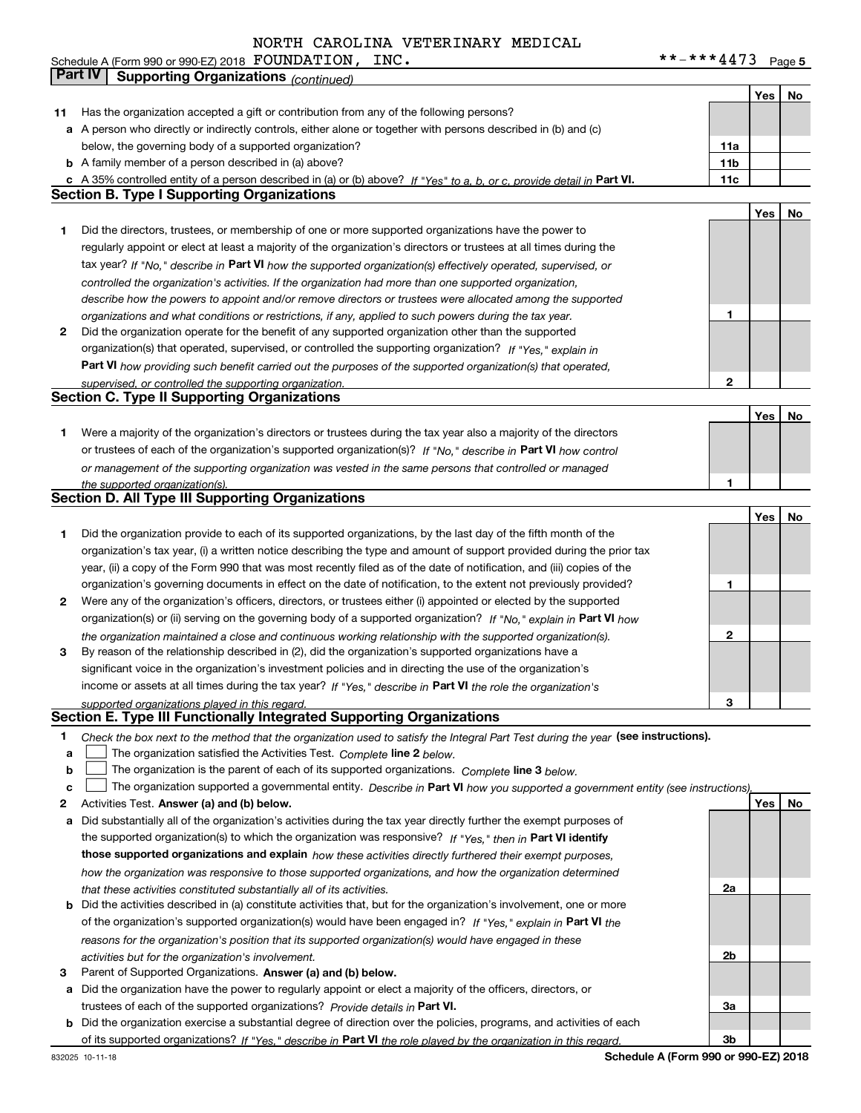|    | <b>Part IV</b>                                                                                                                    |                 |     |    |
|----|-----------------------------------------------------------------------------------------------------------------------------------|-----------------|-----|----|
|    | <b>Supporting Organizations (continued)</b>                                                                                       |                 |     |    |
|    |                                                                                                                                   |                 | Yes | No |
| 11 | Has the organization accepted a gift or contribution from any of the following persons?                                           |                 |     |    |
|    | a A person who directly or indirectly controls, either alone or together with persons described in (b) and (c)                    |                 |     |    |
|    | below, the governing body of a supported organization?                                                                            | 11a             |     |    |
|    | <b>b</b> A family member of a person described in (a) above?                                                                      | 11 <sub>b</sub> |     |    |
|    | c A 35% controlled entity of a person described in (a) or (b) above? If "Yes" to a, b, or c, provide detail in Part VI.           | 11c             |     |    |
|    | <b>Section B. Type I Supporting Organizations</b>                                                                                 |                 |     |    |
|    |                                                                                                                                   |                 | Yes | No |
| 1  | Did the directors, trustees, or membership of one or more supported organizations have the power to                               |                 |     |    |
|    | regularly appoint or elect at least a majority of the organization's directors or trustees at all times during the                |                 |     |    |
|    | tax year? If "No," describe in Part VI how the supported organization(s) effectively operated, supervised, or                     |                 |     |    |
|    | controlled the organization's activities. If the organization had more than one supported organization,                           |                 |     |    |
|    | describe how the powers to appoint and/or remove directors or trustees were allocated among the supported                         |                 |     |    |
|    | organizations and what conditions or restrictions, if any, applied to such powers during the tax year.                            | 1               |     |    |
| 2  | Did the organization operate for the benefit of any supported organization other than the supported                               |                 |     |    |
|    | organization(s) that operated, supervised, or controlled the supporting organization? If "Yes," explain in                        |                 |     |    |
|    | Part VI how providing such benefit carried out the purposes of the supported organization(s) that operated,                       |                 |     |    |
|    | supervised, or controlled the supporting organization.                                                                            | 2               |     |    |
|    | <b>Section C. Type II Supporting Organizations</b>                                                                                |                 |     |    |
|    |                                                                                                                                   |                 | Yes | No |
| 1  | Were a majority of the organization's directors or trustees during the tax year also a majority of the directors                  |                 |     |    |
|    | or trustees of each of the organization's supported organization(s)? If "No," describe in Part VI how control                     |                 |     |    |
|    | or management of the supporting organization was vested in the same persons that controlled or managed                            |                 |     |    |
|    | the supported organization(s).                                                                                                    | 1               |     |    |
|    | <b>Section D. All Type III Supporting Organizations</b>                                                                           |                 |     |    |
|    |                                                                                                                                   |                 | Yes | No |
| 1  | Did the organization provide to each of its supported organizations, by the last day of the fifth month of the                    |                 |     |    |
|    | organization's tax year, (i) a written notice describing the type and amount of support provided during the prior tax             |                 |     |    |
|    | year, (ii) a copy of the Form 990 that was most recently filed as of the date of notification, and (iii) copies of the            |                 |     |    |
|    | organization's governing documents in effect on the date of notification, to the extent not previously provided?                  | 1               |     |    |
| 2  | Were any of the organization's officers, directors, or trustees either (i) appointed or elected by the supported                  |                 |     |    |
|    | organization(s) or (ii) serving on the governing body of a supported organization? If "No," explain in Part VI how                |                 |     |    |
|    | the organization maintained a close and continuous working relationship with the supported organization(s).                       | 2               |     |    |
| з  | By reason of the relationship described in (2), did the organization's supported organizations have a                             |                 |     |    |
|    | significant voice in the organization's investment policies and in directing the use of the organization's                        |                 |     |    |
|    | income or assets at all times during the tax year? If "Yes," describe in Part VI the role the organization's                      |                 |     |    |
|    | supported organizations played in this regard.                                                                                    | 3               |     |    |
|    | Section E. Type III Functionally Integrated Supporting Organizations                                                              |                 |     |    |
| 1  | Check the box next to the method that the organization used to satisfy the Integral Part Test during the year (see instructions). |                 |     |    |
| а  | The organization satisfied the Activities Test. Complete line 2 below.                                                            |                 |     |    |
| b  | The organization is the parent of each of its supported organizations. Complete line 3 below.                                     |                 |     |    |
| c  | The organization supported a governmental entity. Describe in Part VI how you supported a government entity (see instructions)    |                 |     |    |
| 2  | Activities Test. Answer (a) and (b) below.                                                                                        |                 | Yes | No |
| а  | Did substantially all of the organization's activities during the tax year directly further the exempt purposes of                |                 |     |    |
|    | the supported organization(s) to which the organization was responsive? If "Yes," then in Part VI identify                        |                 |     |    |
|    | those supported organizations and explain how these activities directly furthered their exempt purposes,                          |                 |     |    |
|    | how the organization was responsive to those supported organizations, and how the organization determined                         |                 |     |    |
|    | that these activities constituted substantially all of its activities.                                                            | 2a              |     |    |
|    | <b>b</b> Did the activities described in (a) constitute activities that, but for the organization's involvement, one or more      |                 |     |    |
|    | of the organization's supported organization(s) would have been engaged in? If "Yes," explain in Part VI the                      |                 |     |    |
|    |                                                                                                                                   |                 |     |    |
|    | reasons for the organization's position that its supported organization(s) would have engaged in these                            | 2b              |     |    |
|    | activities but for the organization's involvement.                                                                                |                 |     |    |

- **3** Parent of Supported Organizations. Answer (a) and (b) below.
- **a** Did the organization have the power to regularly appoint or elect a majority of the officers, directors, or trustees of each of the supported organizations? *Provide details in* Part VI.

**b** Did the organization exercise a substantial degree of direction over the policies, programs, and activities of each of its supported organizations? If "Yes," describe in Part VI the role played by the organization in this regard.

**3a**

**3b**

### Schedule A (Form 990 or 990-EZ) 2018 Page FOUNDATION, INC. \*\*-\*\*\*4473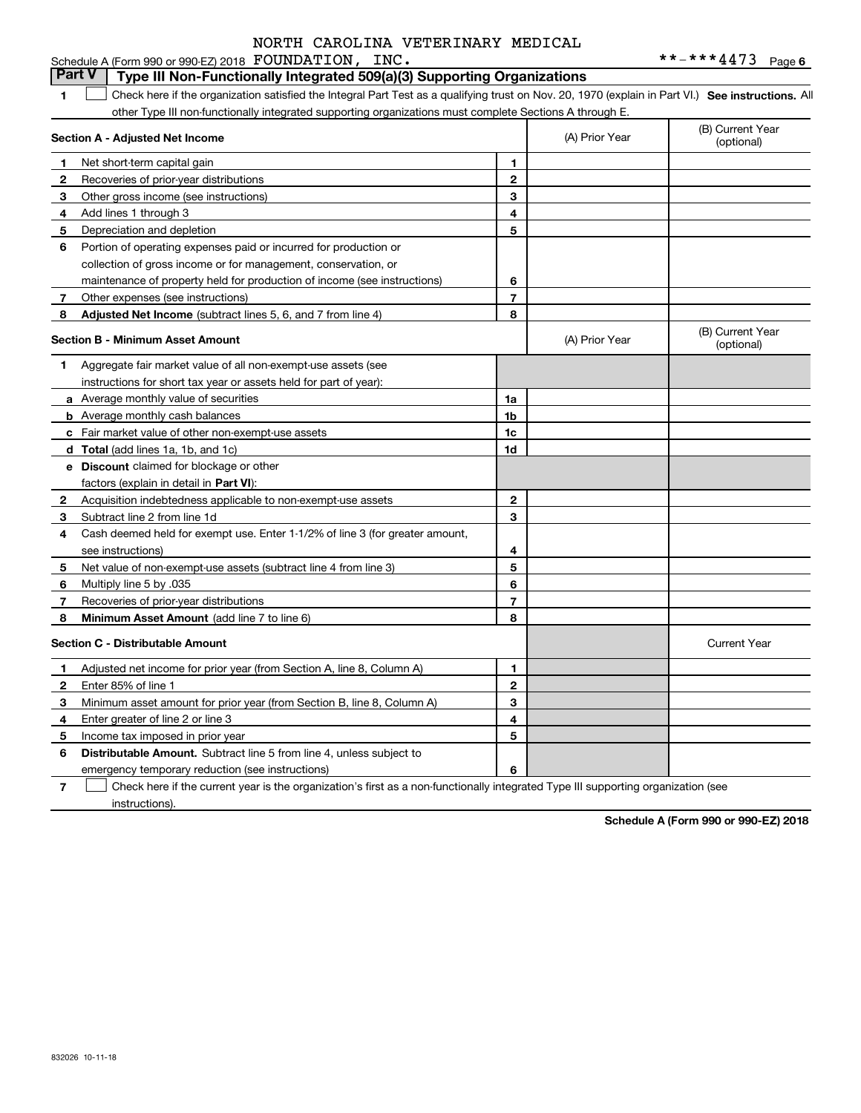#### **1SEP 10. See instructions.** All antegral Part Test as a qualifying trust on Nov. 20, 1970 (explain in Part VI.) See instructions. All **Section A - Adjusted Net Income 123** Other gross income (see instructions) **4**Add lines 1 through 3 **56** Portion of operating expenses paid or incurred for production or **78** Adjusted Net Income (subtract lines 5, 6, and 7 from line 4) **8 8 1234567Section B - Minimum Asset Amount 1**Aggregate fair market value of all non-exempt-use assets (see **2**Acquisition indebtedness applicable to non-exempt-use assets **3** Subtract line 2 from line 1d **4**Cash deemed held for exempt use. Enter 1-1/2% of line 3 (for greater amount, **5** Net value of non-exempt-use assets (subtract line 4 from line 3) **678a** Average monthly value of securities **b** Average monthly cash balances **c**Fair market value of other non-exempt-use assets **dTotal**  (add lines 1a, 1b, and 1c) **eDiscount** claimed for blockage or other **1a1b1c1d2345678**factors (explain in detail in **Part VI**): **Minimum Asset Amount**  (add line 7 to line 6) **Section C - Distributable Amount 123456123456Distributable Amount.** Subtract line 5 from line 4, unless subject to other Type III non-functionally integrated supporting organizations must complete Sections A through E. (B) Current Year (optional)(A) Prior Year Net short-term capital gain Recoveries of prior-year distributions Depreciation and depletion collection of gross income or for management, conservation, or maintenance of property held for production of income (see instructions) Other expenses (see instructions) (B) Current Year (optional)(A) Prior Year instructions for short tax year or assets held for part of year): see instructions) Multiply line 5 by .035 Recoveries of prior-year distributions Current Year Adjusted net income for prior year (from Section A, line 8, Column A) Enter 85% of line 1 Minimum asset amount for prior year (from Section B, line 8, Column A) Enter greater of line 2 or line 3 Income tax imposed in prior year emergency temporary reduction (see instructions) **Part V** Type III Non-Functionally Integrated 509(a)(3) Supporting Organizations  $\mathcal{L}^{\text{max}}$

**7**Check here if the current year is the organization's first as a non-functionally integrated Type III supporting organization (see instructions). $\mathcal{L}^{\text{max}}$ 

**Schedule A (Form 990 or 990-EZ) 2018**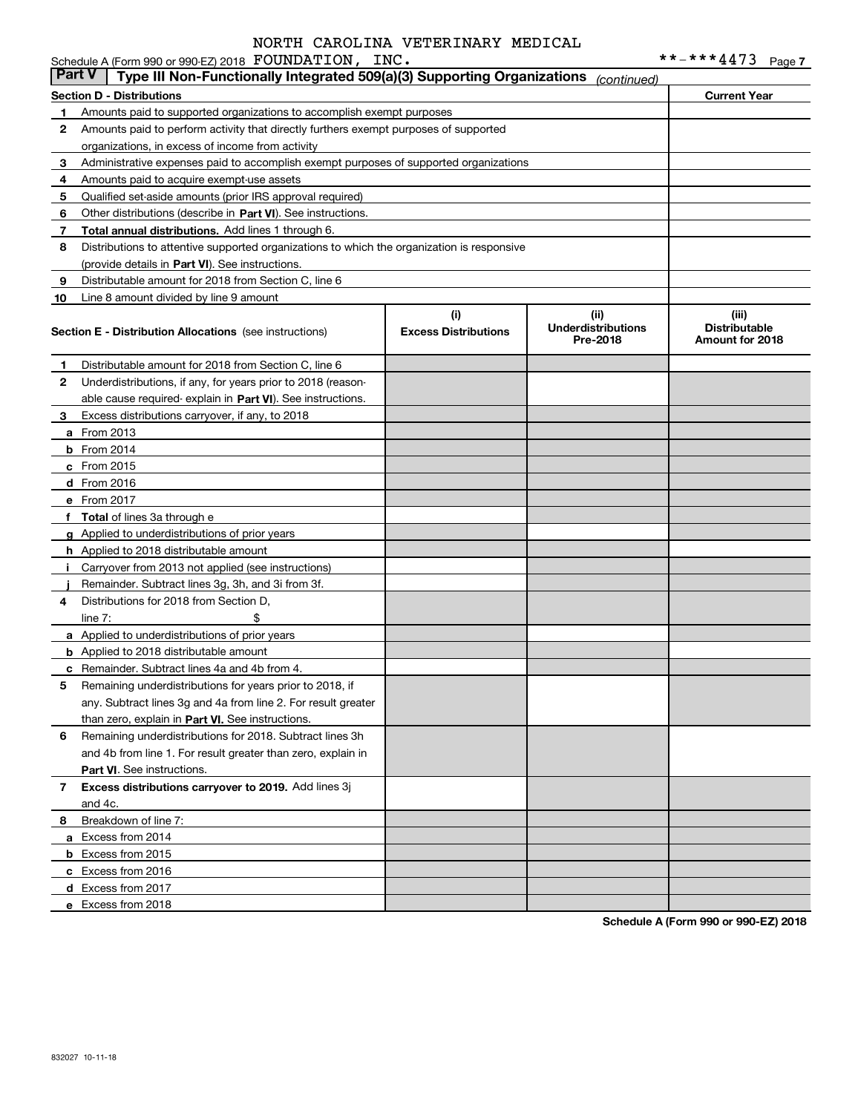|        | Schedule A (Form 990 or 990-EZ) 2018 FOUNDATION, INC.                                      |                                    |                                               | **-***4473                                       | Page 7 |
|--------|--------------------------------------------------------------------------------------------|------------------------------------|-----------------------------------------------|--------------------------------------------------|--------|
| Part V | Type III Non-Functionally Integrated 509(a)(3) Supporting Organizations                    |                                    | (continued)                                   |                                                  |        |
|        | <b>Section D - Distributions</b>                                                           |                                    |                                               | <b>Current Year</b>                              |        |
| 1      | Amounts paid to supported organizations to accomplish exempt purposes                      |                                    |                                               |                                                  |        |
| 2      | Amounts paid to perform activity that directly furthers exempt purposes of supported       |                                    |                                               |                                                  |        |
|        | organizations, in excess of income from activity                                           |                                    |                                               |                                                  |        |
| 3      | Administrative expenses paid to accomplish exempt purposes of supported organizations      |                                    |                                               |                                                  |        |
| 4      | Amounts paid to acquire exempt-use assets                                                  |                                    |                                               |                                                  |        |
| 5      | Qualified set-aside amounts (prior IRS approval required)                                  |                                    |                                               |                                                  |        |
| 6      | Other distributions (describe in Part VI). See instructions.                               |                                    |                                               |                                                  |        |
| 7      | Total annual distributions. Add lines 1 through 6.                                         |                                    |                                               |                                                  |        |
| 8      | Distributions to attentive supported organizations to which the organization is responsive |                                    |                                               |                                                  |        |
|        | (provide details in Part VI). See instructions.                                            |                                    |                                               |                                                  |        |
| 9      | Distributable amount for 2018 from Section C, line 6                                       |                                    |                                               |                                                  |        |
| 10     | Line 8 amount divided by line 9 amount                                                     |                                    |                                               |                                                  |        |
|        | <b>Section E - Distribution Allocations</b> (see instructions)                             | (i)<br><b>Excess Distributions</b> | (ii)<br><b>Underdistributions</b><br>Pre-2018 | (iii)<br><b>Distributable</b><br>Amount for 2018 |        |
| 1      | Distributable amount for 2018 from Section C, line 6                                       |                                    |                                               |                                                  |        |
| 2      | Underdistributions, if any, for years prior to 2018 (reason-                               |                                    |                                               |                                                  |        |
|        | able cause required- explain in Part VI). See instructions.                                |                                    |                                               |                                                  |        |
| 3      | Excess distributions carryover, if any, to 2018                                            |                                    |                                               |                                                  |        |
|        | <b>a</b> From 2013                                                                         |                                    |                                               |                                                  |        |
|        | $b$ From 2014                                                                              |                                    |                                               |                                                  |        |
|        | $c$ From 2015                                                                              |                                    |                                               |                                                  |        |
|        | d From 2016                                                                                |                                    |                                               |                                                  |        |
|        | e From 2017                                                                                |                                    |                                               |                                                  |        |
|        | f Total of lines 3a through e                                                              |                                    |                                               |                                                  |        |
|        | g Applied to underdistributions of prior years                                             |                                    |                                               |                                                  |        |
|        | <b>h</b> Applied to 2018 distributable amount                                              |                                    |                                               |                                                  |        |
|        | Carryover from 2013 not applied (see instructions)                                         |                                    |                                               |                                                  |        |
|        | Remainder. Subtract lines 3g, 3h, and 3i from 3f.                                          |                                    |                                               |                                                  |        |
| 4      | Distributions for 2018 from Section D.                                                     |                                    |                                               |                                                  |        |
|        | \$<br>line $7:$                                                                            |                                    |                                               |                                                  |        |
|        | a Applied to underdistributions of prior years                                             |                                    |                                               |                                                  |        |
|        | <b>b</b> Applied to 2018 distributable amount                                              |                                    |                                               |                                                  |        |
|        | <b>c</b> Remainder. Subtract lines 4a and 4b from 4.                                       |                                    |                                               |                                                  |        |
|        | Remaining underdistributions for years prior to 2018, if                                   |                                    |                                               |                                                  |        |
|        | any. Subtract lines 3g and 4a from line 2. For result greater                              |                                    |                                               |                                                  |        |
|        | than zero, explain in Part VI. See instructions.                                           |                                    |                                               |                                                  |        |
| 6      | Remaining underdistributions for 2018. Subtract lines 3h                                   |                                    |                                               |                                                  |        |
|        | and 4b from line 1. For result greater than zero, explain in                               |                                    |                                               |                                                  |        |
|        | <b>Part VI.</b> See instructions.                                                          |                                    |                                               |                                                  |        |
| 7      | Excess distributions carryover to 2019. Add lines 3j                                       |                                    |                                               |                                                  |        |
|        | and 4c.                                                                                    |                                    |                                               |                                                  |        |
| 8      | Breakdown of line 7:                                                                       |                                    |                                               |                                                  |        |
|        | a Excess from 2014                                                                         |                                    |                                               |                                                  |        |
|        | <b>b</b> Excess from 2015                                                                  |                                    |                                               |                                                  |        |
|        | c Excess from 2016                                                                         |                                    |                                               |                                                  |        |
|        | d Excess from 2017                                                                         |                                    |                                               |                                                  |        |
|        | e Excess from 2018                                                                         |                                    |                                               |                                                  |        |
|        |                                                                                            |                                    |                                               |                                                  |        |

**Schedule A (Form 990 or 990-EZ) 2018**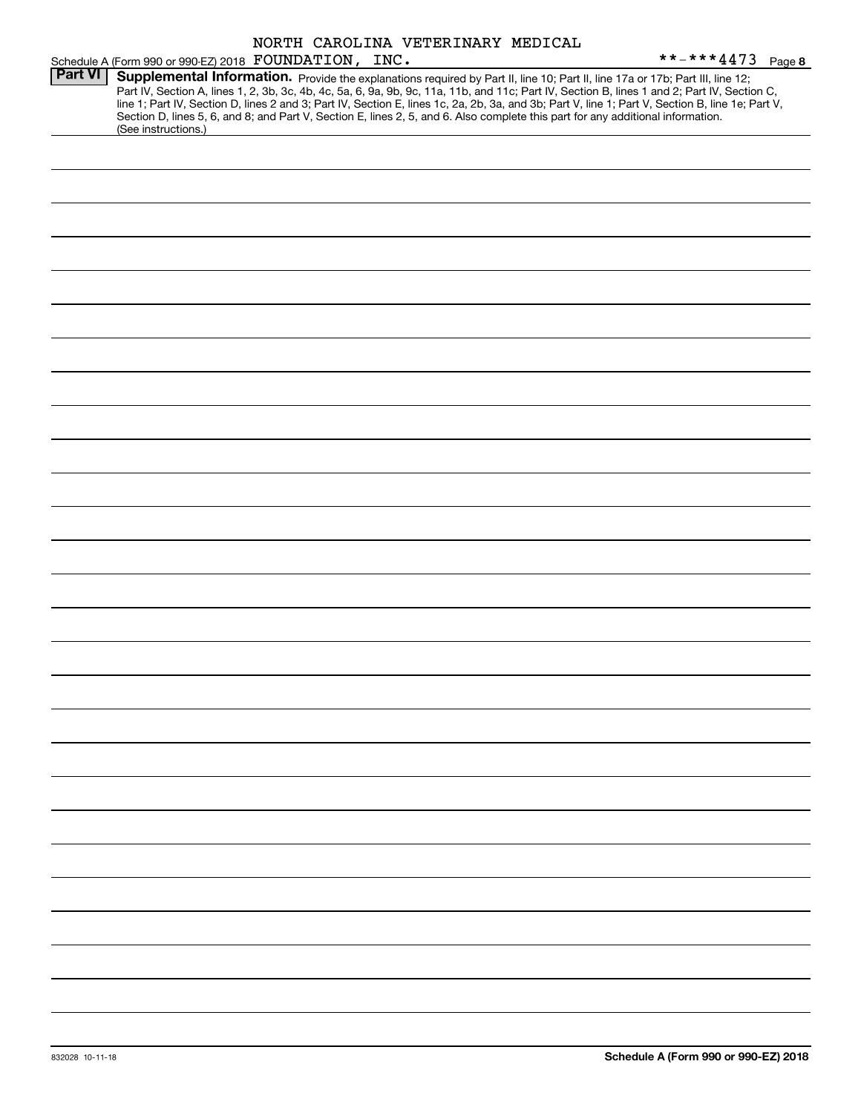|                | Schedule A (Form 990 or 990-EZ) 2018 FOUNDATION, INC.                                                                                                  |  | NORTH CAROLINA VETERINARY MEDICAL |  | **-***4473<br>Page 8                                                                                                                                                                                                                                                                                                                                                                                                              |
|----------------|--------------------------------------------------------------------------------------------------------------------------------------------------------|--|-----------------------------------|--|-----------------------------------------------------------------------------------------------------------------------------------------------------------------------------------------------------------------------------------------------------------------------------------------------------------------------------------------------------------------------------------------------------------------------------------|
| <b>Part VI</b> | Section D, lines 5, 6, and 8; and Part V, Section E, lines 2, 5, and 6. Also complete this part for any additional information.<br>(See instructions.) |  |                                   |  | Supplemental Information. Provide the explanations required by Part II, line 10; Part II, line 17a or 17b; Part III, line 12;<br>Part IV, Section A, lines 1, 2, 3b, 3c, 4b, 4c, 5a, 6, 9a, 9b, 9c, 11a, 11b, and 11c; Part IV, Section B, lines 1 and 2; Part IV, Section C,<br>line 1; Part IV, Section D, lines 2 and 3; Part IV, Section E, lines 1c, 2a, 2b, 3a, and 3b; Part V, line 1; Part V, Section B, line 1e; Part V, |
|                |                                                                                                                                                        |  |                                   |  |                                                                                                                                                                                                                                                                                                                                                                                                                                   |
|                |                                                                                                                                                        |  |                                   |  |                                                                                                                                                                                                                                                                                                                                                                                                                                   |
|                |                                                                                                                                                        |  |                                   |  |                                                                                                                                                                                                                                                                                                                                                                                                                                   |
|                |                                                                                                                                                        |  |                                   |  |                                                                                                                                                                                                                                                                                                                                                                                                                                   |
|                |                                                                                                                                                        |  |                                   |  |                                                                                                                                                                                                                                                                                                                                                                                                                                   |
|                |                                                                                                                                                        |  |                                   |  |                                                                                                                                                                                                                                                                                                                                                                                                                                   |
|                |                                                                                                                                                        |  |                                   |  |                                                                                                                                                                                                                                                                                                                                                                                                                                   |
|                |                                                                                                                                                        |  |                                   |  |                                                                                                                                                                                                                                                                                                                                                                                                                                   |
|                |                                                                                                                                                        |  |                                   |  |                                                                                                                                                                                                                                                                                                                                                                                                                                   |
|                |                                                                                                                                                        |  |                                   |  |                                                                                                                                                                                                                                                                                                                                                                                                                                   |
|                |                                                                                                                                                        |  |                                   |  |                                                                                                                                                                                                                                                                                                                                                                                                                                   |
|                |                                                                                                                                                        |  |                                   |  |                                                                                                                                                                                                                                                                                                                                                                                                                                   |
|                |                                                                                                                                                        |  |                                   |  |                                                                                                                                                                                                                                                                                                                                                                                                                                   |
|                |                                                                                                                                                        |  |                                   |  |                                                                                                                                                                                                                                                                                                                                                                                                                                   |
|                |                                                                                                                                                        |  |                                   |  |                                                                                                                                                                                                                                                                                                                                                                                                                                   |
|                |                                                                                                                                                        |  |                                   |  |                                                                                                                                                                                                                                                                                                                                                                                                                                   |
|                |                                                                                                                                                        |  |                                   |  |                                                                                                                                                                                                                                                                                                                                                                                                                                   |
|                |                                                                                                                                                        |  |                                   |  |                                                                                                                                                                                                                                                                                                                                                                                                                                   |
|                |                                                                                                                                                        |  |                                   |  |                                                                                                                                                                                                                                                                                                                                                                                                                                   |
|                |                                                                                                                                                        |  |                                   |  |                                                                                                                                                                                                                                                                                                                                                                                                                                   |
|                |                                                                                                                                                        |  |                                   |  |                                                                                                                                                                                                                                                                                                                                                                                                                                   |
|                |                                                                                                                                                        |  |                                   |  |                                                                                                                                                                                                                                                                                                                                                                                                                                   |
|                |                                                                                                                                                        |  |                                   |  |                                                                                                                                                                                                                                                                                                                                                                                                                                   |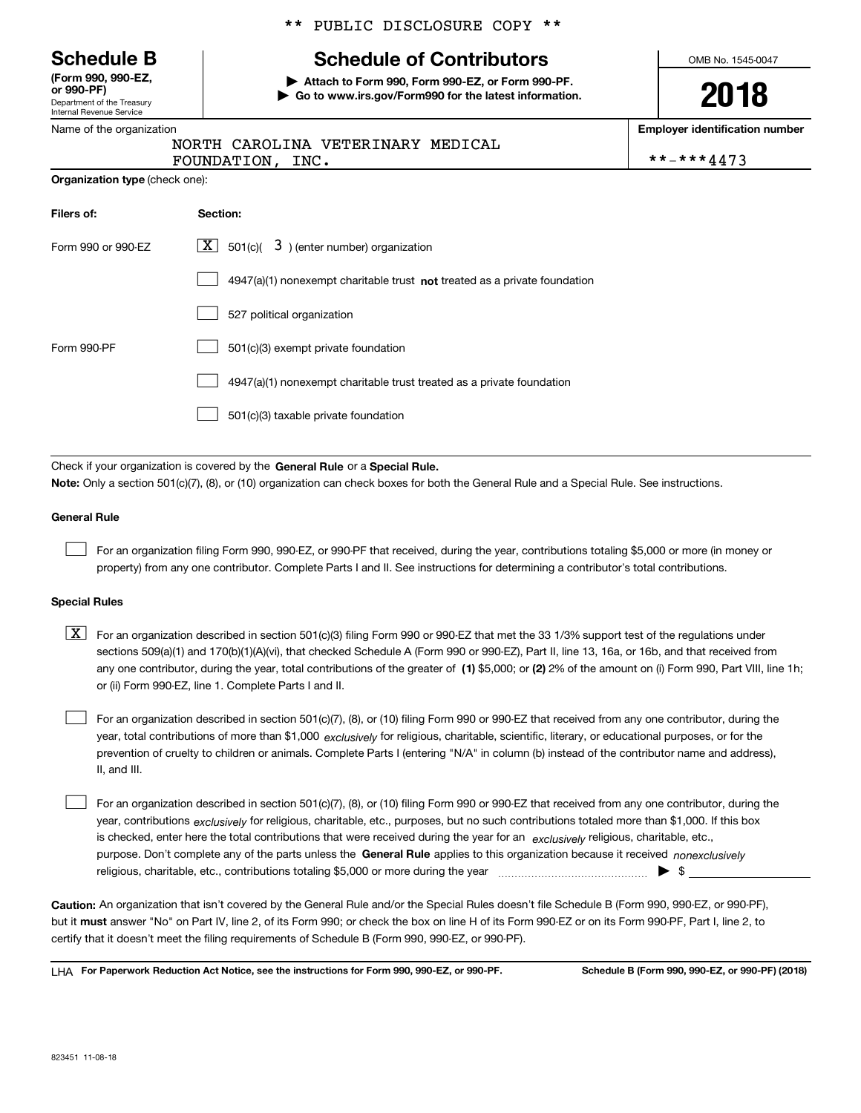Department of the Treasury Internal Revenue Service **(Form 990, 990-EZ, or 990-PF)**

|  | Name of the organization |
|--|--------------------------|
|  |                          |

#### \*\* PUBLIC DISCLOSURE COPY \*\*

### **Schedule B Schedule of Contributors**

**| Attach to Form 990, Form 990-EZ, or Form 990-PF. | Go to www.irs.gov/Form990 for the latest information.** OMB No. 1545-0047

**2018**

**Employer identification number**

|                  | NORTH CAROLINA VETERINARY MEDICAL |            |
|------------------|-----------------------------------|------------|
| FOUNDATION, INC. |                                   | **-***4473 |

| <b>Organization type (check one):</b> |                                                                                    |  |  |  |  |
|---------------------------------------|------------------------------------------------------------------------------------|--|--|--|--|
| Filers of:                            | Section:                                                                           |  |  |  |  |
| Form 990 or 990-EZ                    | $\boxed{\text{X}}$ 501(c)( 3) (enter number) organization                          |  |  |  |  |
|                                       | $4947(a)(1)$ nonexempt charitable trust <b>not</b> treated as a private foundation |  |  |  |  |
|                                       | 527 political organization                                                         |  |  |  |  |
| Form 990-PF                           | 501(c)(3) exempt private foundation                                                |  |  |  |  |
|                                       | 4947(a)(1) nonexempt charitable trust treated as a private foundation              |  |  |  |  |
|                                       | 501(c)(3) taxable private foundation                                               |  |  |  |  |

Check if your organization is covered by the **General Rule** or a **Special Rule. Note:**  Only a section 501(c)(7), (8), or (10) organization can check boxes for both the General Rule and a Special Rule. See instructions.

#### **General Rule**

 $\mathcal{L}^{\text{max}}$ 

For an organization filing Form 990, 990-EZ, or 990-PF that received, during the year, contributions totaling \$5,000 or more (in money or property) from any one contributor. Complete Parts I and II. See instructions for determining a contributor's total contributions.

#### **Special Rules**

any one contributor, during the year, total contributions of the greater of  $\,$  (1) \$5,000; or **(2)** 2% of the amount on (i) Form 990, Part VIII, line 1h;  $\boxed{\textbf{X}}$  For an organization described in section 501(c)(3) filing Form 990 or 990-EZ that met the 33 1/3% support test of the regulations under sections 509(a)(1) and 170(b)(1)(A)(vi), that checked Schedule A (Form 990 or 990-EZ), Part II, line 13, 16a, or 16b, and that received from or (ii) Form 990-EZ, line 1. Complete Parts I and II.

year, total contributions of more than \$1,000 *exclusively* for religious, charitable, scientific, literary, or educational purposes, or for the For an organization described in section 501(c)(7), (8), or (10) filing Form 990 or 990-EZ that received from any one contributor, during the prevention of cruelty to children or animals. Complete Parts I (entering "N/A" in column (b) instead of the contributor name and address), II, and III.  $\mathcal{L}^{\text{max}}$ 

purpose. Don't complete any of the parts unless the **General Rule** applies to this organization because it received *nonexclusively* year, contributions <sub>exclusively</sub> for religious, charitable, etc., purposes, but no such contributions totaled more than \$1,000. If this box is checked, enter here the total contributions that were received during the year for an  $\;$ exclusively religious, charitable, etc., For an organization described in section 501(c)(7), (8), or (10) filing Form 990 or 990-EZ that received from any one contributor, during the religious, charitable, etc., contributions totaling \$5,000 or more during the year  $\Box$ — $\Box$   $\Box$  $\mathcal{L}^{\text{max}}$ 

**Caution:**  An organization that isn't covered by the General Rule and/or the Special Rules doesn't file Schedule B (Form 990, 990-EZ, or 990-PF),  **must** but it answer "No" on Part IV, line 2, of its Form 990; or check the box on line H of its Form 990-EZ or on its Form 990-PF, Part I, line 2, to certify that it doesn't meet the filing requirements of Schedule B (Form 990, 990-EZ, or 990-PF).

**For Paperwork Reduction Act Notice, see the instructions for Form 990, 990-EZ, or 990-PF. Schedule B (Form 990, 990-EZ, or 990-PF) (2018)** LHA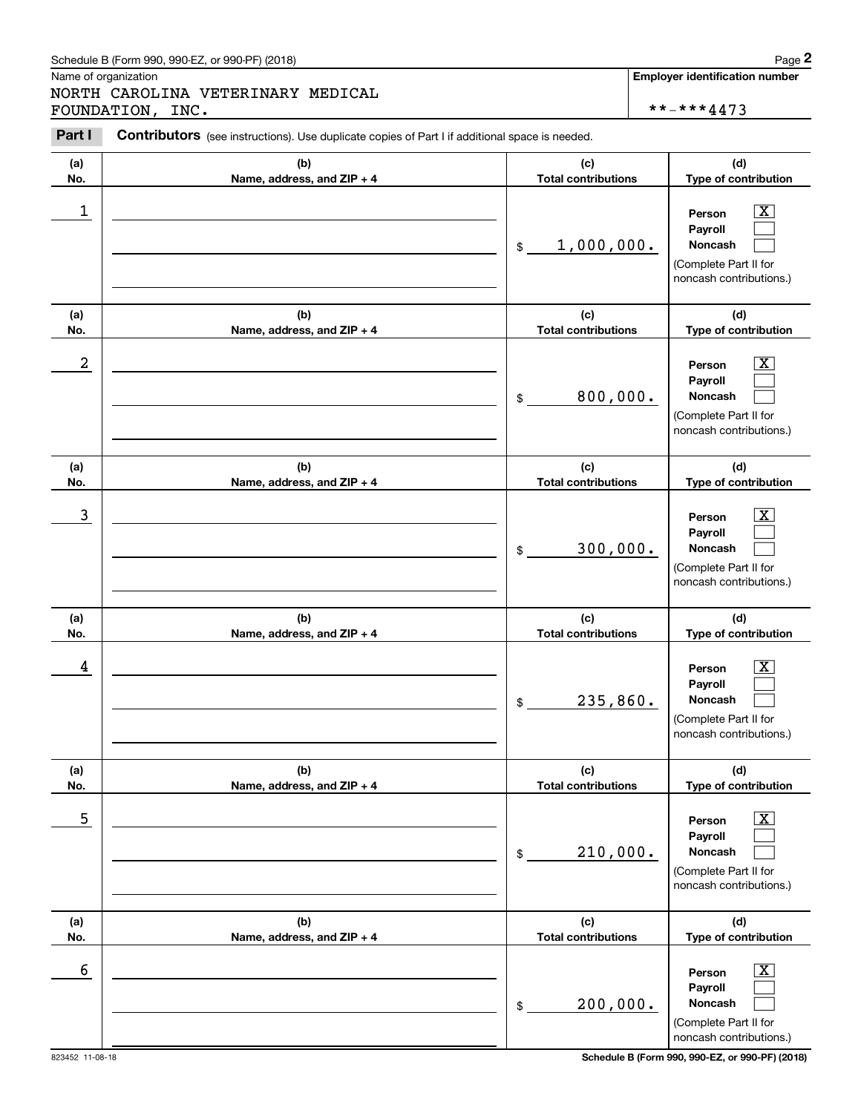#### Schedule B (Form 990, 990-EZ, or 990-PF) (2018)  $Page$  2

Name of organization

Chedule B (Form 990, 990-EZ, or 990-PF) (2018)<br>
Iame of organization<br> **IORTH CAROLINA VETERINARY MEDICAL**<br> **Part I Contributors** (see instructions). Use duplicate copies of Part I if additional space is needed.<br> **Part I** NORTH CAROLINA VETERINARY MEDICAL FOUNDATION, INC.  $\star \star - \star \star 4473$ 

**Employer identification number**

**(a)No.(b)Name, address, and ZIP + 4 (c)Total contributions (d)Type of contribution PersonPayrollNoncash (a)No.(b)Name, address, and ZIP + 4 (c)Total contributions (d)Type of contribution PersonPayrollNoncash (a)No.(b)Name, address, and ZIP + 4 (c)Total contributions (d)Type of contribution Person PayrollNoncash (a) No.(b) Name, address, and ZIP + 4 (c) Total contributions (d) Type of contribution PersonPayrollNoncash(a) No.(b) Name, address, and ZIP + 4 (c) Total contributions (d) Type of contribution PersonPayrollNoncash (a) No.(b)Name, address, and ZIP + 4 (c) Total contributions (d)Type of contribution PersonPayrollNoncash Contributors** (see instructions). Use duplicate copies of Part I if additional space is needed. \$(Complete Part II for noncash contributions.) \$(Complete Part II for noncash contributions.) \$(Complete Part II for noncash contributions.) \$(Complete Part II for noncash contributions.) \$(Complete Part II for noncash contributions.) \$(Complete Part II for noncash contributions.)  $|X|$  $\mathcal{L}^{\text{max}}$  $\mathcal{L}^{\text{max}}$  $\boxed{\text{X}}$  $\mathcal{L}^{\text{max}}$  $\mathcal{L}^{\text{max}}$  $|X|$  $\mathcal{L}^{\text{max}}$  $\mathcal{L}^{\text{max}}$  $|X|$  $\mathcal{L}^{\text{max}}$  $\mathcal{L}^{\text{max}}$  $|X|$  $\mathcal{L}^{\text{max}}$  $\mathcal{L}^{\text{max}}$  $\boxed{\text{X}}$  $\mathcal{L}^{\text{max}}$  $\mathcal{L}^{\text{max}}$  $\begin{array}{c|c|c|c|c|c} 1 & \hspace{1.5cm} & \hspace{1.5cm} & \hspace{1.5cm} & \hspace{1.5cm} & \hspace{1.5cm} & \hspace{1.5cm} & \hspace{1.5cm} & \hspace{1.5cm} & \hspace{1.5cm} & \hspace{1.5cm} & \hspace{1.5cm} & \hspace{1.5cm} & \hspace{1.5cm} & \hspace{1.5cm} & \hspace{1.5cm} & \hspace{1.5cm} & \hspace{1.5cm} & \hspace{1.5cm} & \hspace{1.5cm} & \hspace{1.5cm} &$ 1,000,000.  $2$  | Person  $\overline{\text{X}}$ 800,000.  $\overline{3}$  | Person  $\overline{X}$ 300,000.  $4$  | Person  $\overline{\text{X}}$ 235,860.  $\sim$  5 | Person X 210,000.  $\sim$  6 | Person X 200,000.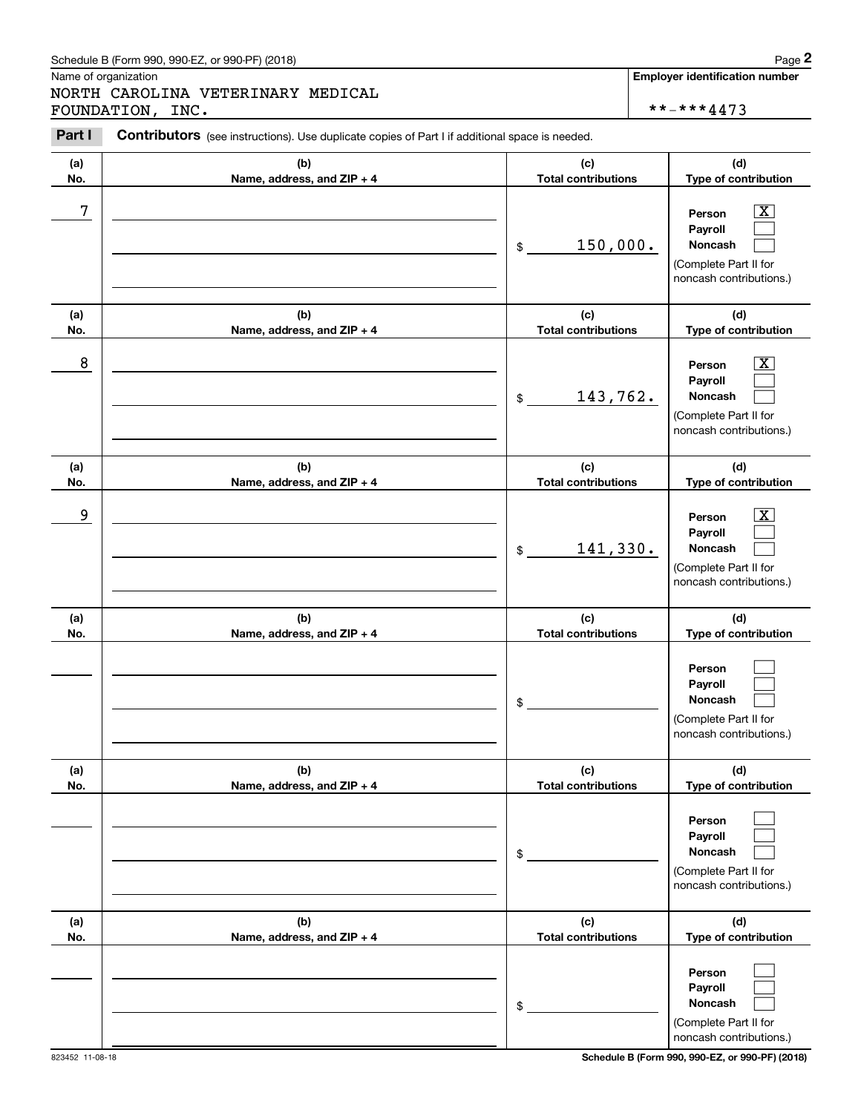### Schedule B (Form 990, 990-EZ, or 990-PF) (2018) Page 2

Name of organization

Chedule B (Form 990, 990-EZ, or 990-PF) (2018)<br>
Iame of organization<br> **IORTH CAROLINA VETERINARY MEDICAL**<br> **Part I Contributors** (see instructions). Use duplicate copies of Part I if additional space is needed.<br> **Part I** NORTH CAROLINA VETERINARY MEDICAL FOUNDATION, INC.  $****4473$ 

| Part I     | <b>Contributors</b> (see instructions). Use duplicate copies of Part I if additional space is needed. |                                              |                                                                                                                          |
|------------|-------------------------------------------------------------------------------------------------------|----------------------------------------------|--------------------------------------------------------------------------------------------------------------------------|
| (a)<br>No. | (b)<br>Name, address, and ZIP + 4                                                                     | (c)<br><b>Total contributions</b>            | (d)<br>Type of contribution                                                                                              |
| 7          |                                                                                                       | 150,000.<br>\$                               | $\mathbf{X}$<br>Person<br>Payroll<br>Noncash<br>(Complete Part II for<br>noncash contributions.)                         |
| (a)        | (b)                                                                                                   | (c)                                          | (d)                                                                                                                      |
| No.<br>8   | Name, address, and ZIP + 4                                                                            | <b>Total contributions</b><br>143,762.<br>\$ | Type of contribution<br>$\mathbf{X}$<br>Person<br>Payroll<br>Noncash<br>(Complete Part II for<br>noncash contributions.) |
| (a)<br>No. | (b)<br>Name, address, and ZIP + 4                                                                     | (c)<br><b>Total contributions</b>            | (d)<br>Type of contribution                                                                                              |
| 9          |                                                                                                       | 141,330.<br>\$                               | $\overline{\text{X}}$<br>Person<br>Payroll<br>Noncash<br>(Complete Part II for<br>noncash contributions.)                |
| (a)        | (b)                                                                                                   | (c)                                          | (d)                                                                                                                      |
| No.        | Name, address, and ZIP + 4                                                                            | <b>Total contributions</b><br>\$             | Type of contribution<br>Person<br>Payroll<br>Noncash<br>(Complete Part II for<br>noncash contributions.)                 |
| (a)<br>No. | (b)<br>Name, address, and ZIP + 4                                                                     | (c)<br><b>Total contributions</b>            | (d)<br>Type of contribution                                                                                              |
|            |                                                                                                       | \$                                           | Person<br>Payroll<br>Noncash<br>(Complete Part II for<br>noncash contributions.)                                         |
| (a)        | (b)                                                                                                   | (c)                                          | (d)                                                                                                                      |
| No.        | Name, address, and ZIP + 4                                                                            | <b>Total contributions</b><br>\$             | Type of contribution<br>Person<br>Payroll<br>Noncash<br>(Complete Part II for<br>noncash contributions.)                 |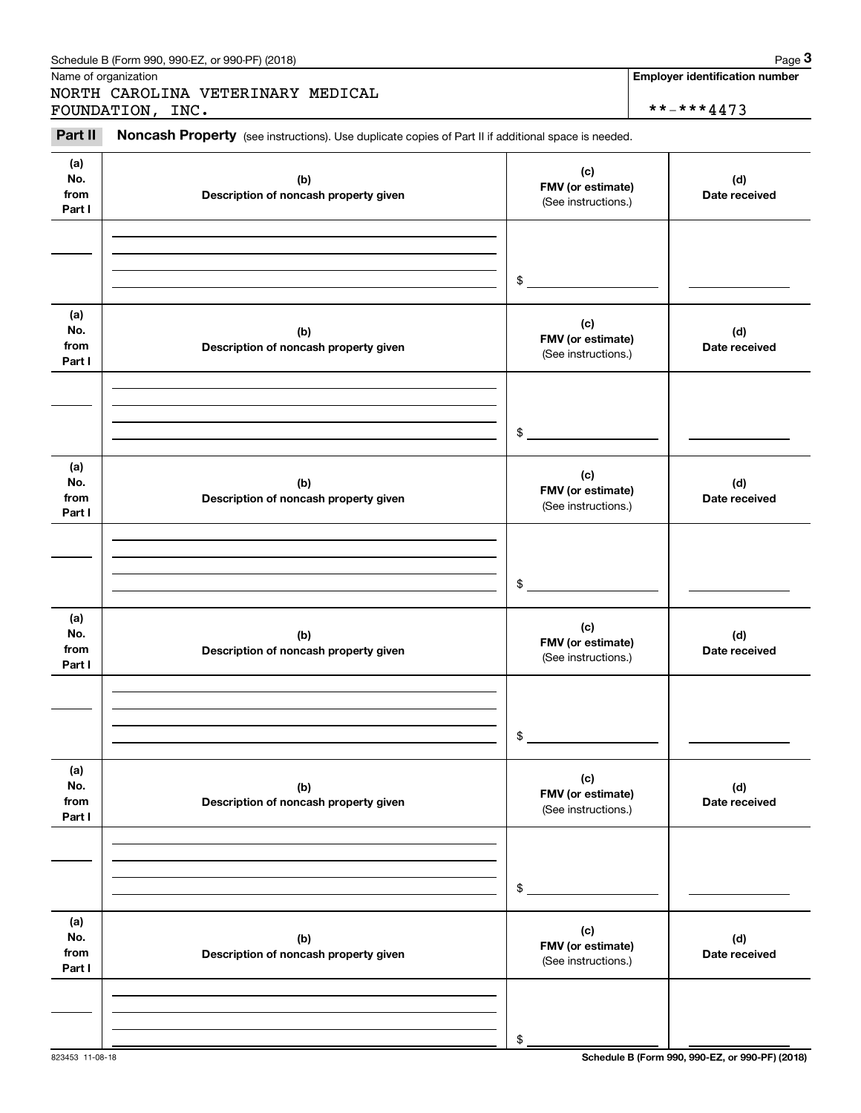| Schedule B (Form 990, 990-EZ, or 990-PF) (2018) | Page |
|-------------------------------------------------|------|
|-------------------------------------------------|------|

Name of organization

Chedule B (Form 990, 990-EZ, or 990-PF) (2018)<br>
Iame of organization<br> **IORTH CAROLINA VETERINARY MEDICAL**<br> **3Part II Noncash Property** (see instructions). Use duplicate copies of Part II if additional space is needed.<br> NORTH CAROLINA VETERINARY MEDICAL FOUNDATION, INC.  $\qquad \qquad \qquad \qquad$  \*\*-\*\*\*4473

**Employer identification number**

#### **(a)No.fromPart I (c) FMV (or estimate) (b) Description of noncash property given (d) Date received (a)No.fromPart I (c) FMV (or estimate) (b) Description of noncash property given (d) Date received (a)No.fromPart I (c)FMV (or estimate) (b) Description of noncash property given (d) Date received (a) No.fromPart I (c) FMV (or estimate) (b)Description of noncash property given (d)Date received (a) No.fromPart I (c) FMV (or estimate) (b) Description of noncash property given (d) Date received (a) No.fromPart I (c)FMV (or estimate) (b)Description of noncash property given (d)Date received** (See instructions.) \$(See instructions.) \$(See instructions.) \$(See instructions.) \$(See instructions.) \$(See instructions.) \$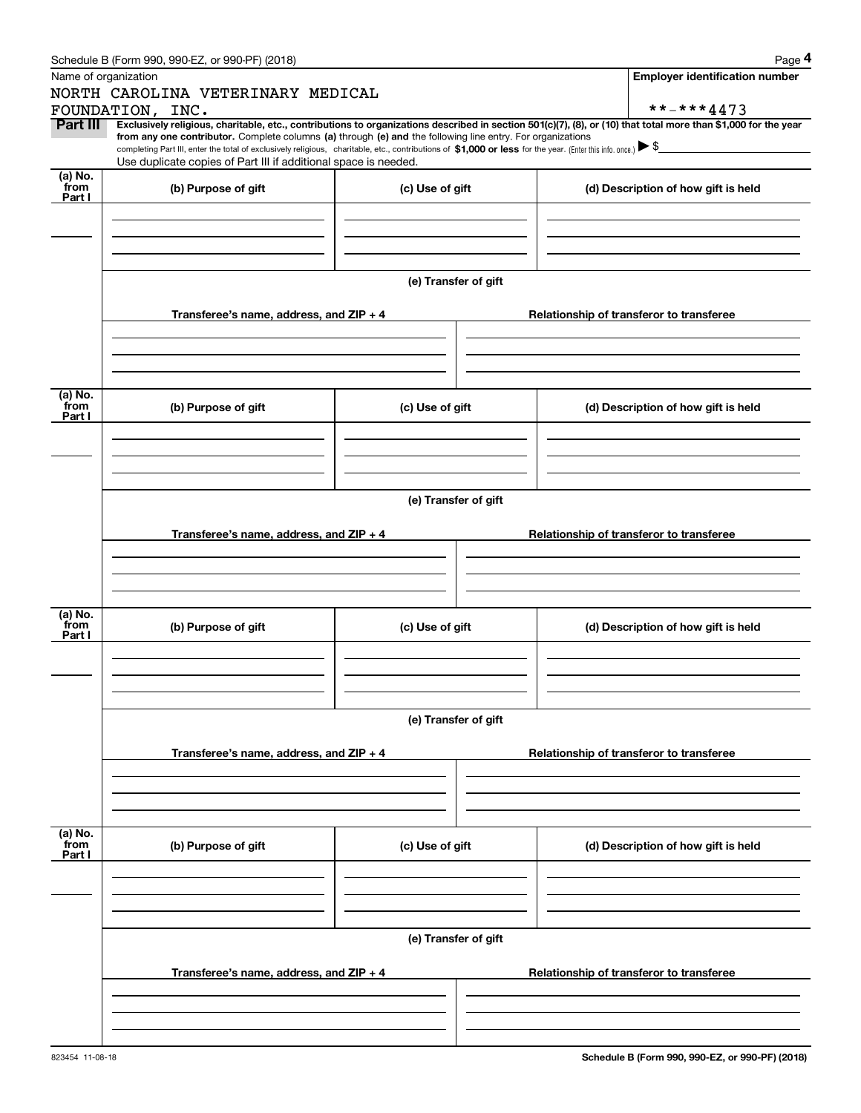|                                     | Schedule B (Form 990, 990-EZ, or 990-PF) (2018)                                                                                                                                   |                      | Page 4                                                                                                                                                         |  |  |  |  |  |  |  |
|-------------------------------------|-----------------------------------------------------------------------------------------------------------------------------------------------------------------------------------|----------------------|----------------------------------------------------------------------------------------------------------------------------------------------------------------|--|--|--|--|--|--|--|
|                                     | Name of organization                                                                                                                                                              |                      | <b>Employer identification number</b>                                                                                                                          |  |  |  |  |  |  |  |
|                                     | NORTH CAROLINA VETERINARY MEDICAL                                                                                                                                                 |                      |                                                                                                                                                                |  |  |  |  |  |  |  |
|                                     | FOUNDATION, INC.                                                                                                                                                                  |                      | **-***4473                                                                                                                                                     |  |  |  |  |  |  |  |
| Part III                            | from any one contributor. Complete columns (a) through (e) and the following line entry. For organizations                                                                        |                      | Exclusively religious, charitable, etc., contributions to organizations described in section 501(c)(7), (8), or (10) that total more than \$1,000 for the year |  |  |  |  |  |  |  |
|                                     | completing Part III, enter the total of exclusively religious, charitable, etc., contributions of \$1,000 or less for the year. (Enter this info. once.) $\blacktriangleright$ \$ |                      |                                                                                                                                                                |  |  |  |  |  |  |  |
|                                     | Use duplicate copies of Part III if additional space is needed.                                                                                                                   |                      |                                                                                                                                                                |  |  |  |  |  |  |  |
| (a) No.<br>from                     | (b) Purpose of gift                                                                                                                                                               | (c) Use of gift      | (d) Description of how gift is held                                                                                                                            |  |  |  |  |  |  |  |
| Part I                              |                                                                                                                                                                                   |                      |                                                                                                                                                                |  |  |  |  |  |  |  |
|                                     |                                                                                                                                                                                   |                      |                                                                                                                                                                |  |  |  |  |  |  |  |
|                                     |                                                                                                                                                                                   |                      |                                                                                                                                                                |  |  |  |  |  |  |  |
|                                     |                                                                                                                                                                                   |                      |                                                                                                                                                                |  |  |  |  |  |  |  |
|                                     |                                                                                                                                                                                   | (e) Transfer of gift |                                                                                                                                                                |  |  |  |  |  |  |  |
|                                     |                                                                                                                                                                                   |                      |                                                                                                                                                                |  |  |  |  |  |  |  |
|                                     | Transferee's name, address, and $ZIP + 4$                                                                                                                                         |                      | Relationship of transferor to transferee                                                                                                                       |  |  |  |  |  |  |  |
|                                     |                                                                                                                                                                                   |                      |                                                                                                                                                                |  |  |  |  |  |  |  |
|                                     |                                                                                                                                                                                   |                      |                                                                                                                                                                |  |  |  |  |  |  |  |
|                                     |                                                                                                                                                                                   |                      |                                                                                                                                                                |  |  |  |  |  |  |  |
| (a) No.                             |                                                                                                                                                                                   |                      |                                                                                                                                                                |  |  |  |  |  |  |  |
| from                                | (b) Purpose of gift                                                                                                                                                               | (c) Use of gift      | (d) Description of how gift is held                                                                                                                            |  |  |  |  |  |  |  |
| Part I                              |                                                                                                                                                                                   |                      |                                                                                                                                                                |  |  |  |  |  |  |  |
|                                     |                                                                                                                                                                                   |                      |                                                                                                                                                                |  |  |  |  |  |  |  |
|                                     |                                                                                                                                                                                   |                      |                                                                                                                                                                |  |  |  |  |  |  |  |
|                                     |                                                                                                                                                                                   |                      |                                                                                                                                                                |  |  |  |  |  |  |  |
|                                     | (e) Transfer of gift                                                                                                                                                              |                      |                                                                                                                                                                |  |  |  |  |  |  |  |
|                                     |                                                                                                                                                                                   |                      |                                                                                                                                                                |  |  |  |  |  |  |  |
|                                     | Transferee's name, address, and $ZIP + 4$                                                                                                                                         |                      | Relationship of transferor to transferee                                                                                                                       |  |  |  |  |  |  |  |
|                                     |                                                                                                                                                                                   |                      |                                                                                                                                                                |  |  |  |  |  |  |  |
|                                     |                                                                                                                                                                                   |                      |                                                                                                                                                                |  |  |  |  |  |  |  |
|                                     |                                                                                                                                                                                   |                      |                                                                                                                                                                |  |  |  |  |  |  |  |
| (a) $\overline{\text{No.}}$<br>from |                                                                                                                                                                                   |                      |                                                                                                                                                                |  |  |  |  |  |  |  |
| Part I                              | (b) Purpose of gift                                                                                                                                                               | (c) Use of gift      | (d) Description of how gift is held                                                                                                                            |  |  |  |  |  |  |  |
|                                     |                                                                                                                                                                                   |                      |                                                                                                                                                                |  |  |  |  |  |  |  |
|                                     |                                                                                                                                                                                   |                      |                                                                                                                                                                |  |  |  |  |  |  |  |
|                                     |                                                                                                                                                                                   |                      |                                                                                                                                                                |  |  |  |  |  |  |  |
|                                     |                                                                                                                                                                                   | (e) Transfer of gift |                                                                                                                                                                |  |  |  |  |  |  |  |
|                                     |                                                                                                                                                                                   |                      |                                                                                                                                                                |  |  |  |  |  |  |  |
|                                     | Transferee's name, address, and $ZIP + 4$                                                                                                                                         |                      | Relationship of transferor to transferee                                                                                                                       |  |  |  |  |  |  |  |
|                                     |                                                                                                                                                                                   |                      |                                                                                                                                                                |  |  |  |  |  |  |  |
|                                     |                                                                                                                                                                                   |                      |                                                                                                                                                                |  |  |  |  |  |  |  |
|                                     |                                                                                                                                                                                   |                      |                                                                                                                                                                |  |  |  |  |  |  |  |
|                                     |                                                                                                                                                                                   |                      |                                                                                                                                                                |  |  |  |  |  |  |  |
| (a) No.<br>from                     | (b) Purpose of gift                                                                                                                                                               | (c) Use of gift      | (d) Description of how gift is held                                                                                                                            |  |  |  |  |  |  |  |
| Part I                              |                                                                                                                                                                                   |                      |                                                                                                                                                                |  |  |  |  |  |  |  |
|                                     |                                                                                                                                                                                   |                      |                                                                                                                                                                |  |  |  |  |  |  |  |
|                                     |                                                                                                                                                                                   |                      |                                                                                                                                                                |  |  |  |  |  |  |  |
|                                     |                                                                                                                                                                                   |                      |                                                                                                                                                                |  |  |  |  |  |  |  |
|                                     |                                                                                                                                                                                   | (e) Transfer of gift |                                                                                                                                                                |  |  |  |  |  |  |  |
|                                     |                                                                                                                                                                                   |                      |                                                                                                                                                                |  |  |  |  |  |  |  |
|                                     | Transferee's name, address, and ZIP + 4                                                                                                                                           |                      | Relationship of transferor to transferee                                                                                                                       |  |  |  |  |  |  |  |
|                                     |                                                                                                                                                                                   |                      |                                                                                                                                                                |  |  |  |  |  |  |  |
|                                     |                                                                                                                                                                                   |                      |                                                                                                                                                                |  |  |  |  |  |  |  |
|                                     |                                                                                                                                                                                   |                      |                                                                                                                                                                |  |  |  |  |  |  |  |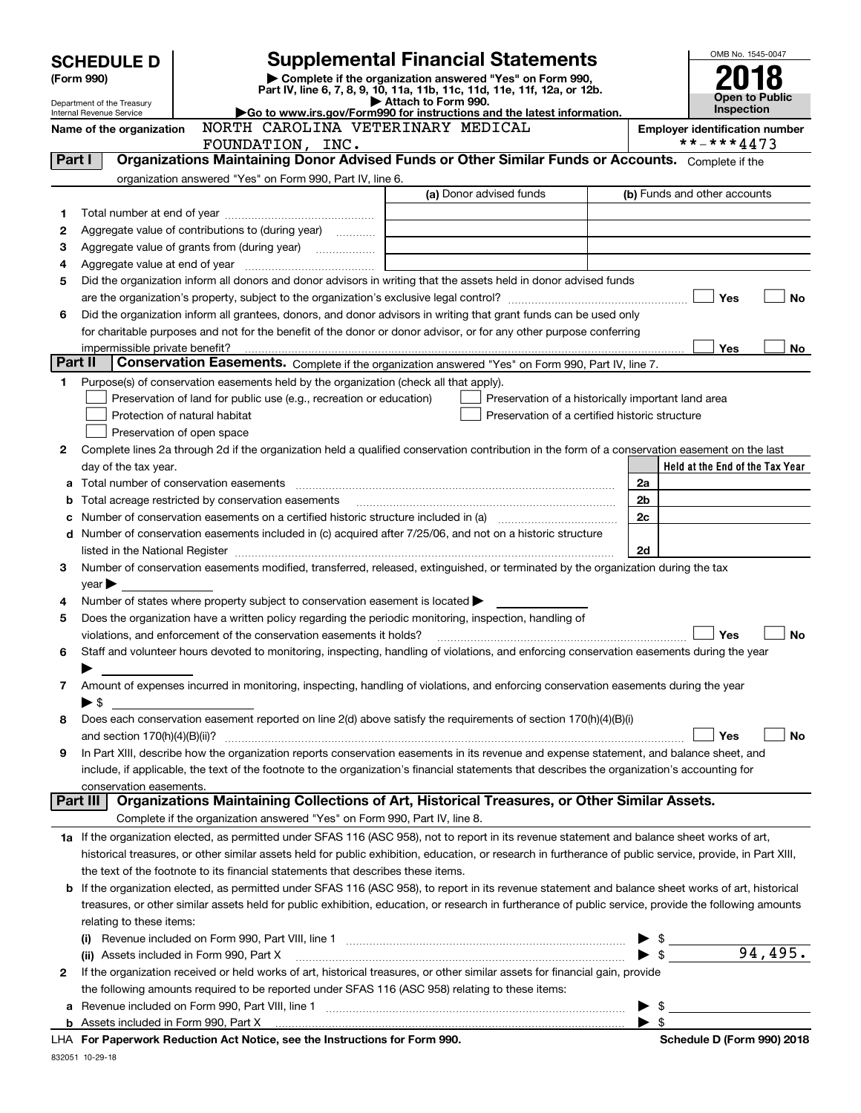| <b>SCHEDULE D</b><br>(Form 990) |                                                                                                                | <b>Supplemental Financial Statements</b><br>Complete if the organization answered "Yes" on Form 990,                                                                                                                          | OMB No. 1545-0047                                                                                                     |  |                          |                                                                 |
|---------------------------------|----------------------------------------------------------------------------------------------------------------|-------------------------------------------------------------------------------------------------------------------------------------------------------------------------------------------------------------------------------|-----------------------------------------------------------------------------------------------------------------------|--|--------------------------|-----------------------------------------------------------------|
|                                 |                                                                                                                |                                                                                                                                                                                                                               | Part IV, line 6, 7, 8, 9, 10, 11a, 11b, 11c, 11d, 11e, 11f, 12a, or 12b.<br>Attach to Form 990.                       |  |                          | <b>Open to Public</b>                                           |
|                                 | Department of the Treasury<br>Internal Revenue Service                                                         |                                                                                                                                                                                                                               | Go to www.irs.gov/Form990 for instructions and the latest information.                                                |  |                          | <b>Inspection</b>                                               |
|                                 | Name of the organization                                                                                       | NORTH CAROLINA VETERINARY MEDICAL                                                                                                                                                                                             |                                                                                                                       |  |                          | <b>Employer identification number</b>                           |
|                                 |                                                                                                                | FOUNDATION, INC.                                                                                                                                                                                                              |                                                                                                                       |  |                          | **-***4473                                                      |
| Part I                          |                                                                                                                | Organizations Maintaining Donor Advised Funds or Other Similar Funds or Accounts. Complete if the                                                                                                                             |                                                                                                                       |  |                          |                                                                 |
|                                 |                                                                                                                | organization answered "Yes" on Form 990, Part IV, line 6.                                                                                                                                                                     |                                                                                                                       |  |                          |                                                                 |
|                                 |                                                                                                                |                                                                                                                                                                                                                               | (a) Donor advised funds                                                                                               |  |                          | (b) Funds and other accounts                                    |
| 1                               |                                                                                                                |                                                                                                                                                                                                                               |                                                                                                                       |  |                          |                                                                 |
| 2                               |                                                                                                                | Aggregate value of contributions to (during year)                                                                                                                                                                             |                                                                                                                       |  |                          |                                                                 |
| 3                               |                                                                                                                |                                                                                                                                                                                                                               | <u> 1989 - Johann Barn, mars ann an t-Amhainn an t-Amhainn an t-Amhainn an t-Amhainn an t-Amhainn an t-Amhainn an</u> |  |                          |                                                                 |
| 4                               |                                                                                                                |                                                                                                                                                                                                                               |                                                                                                                       |  |                          |                                                                 |
| 5                               |                                                                                                                | Did the organization inform all donors and donor advisors in writing that the assets held in donor advised funds                                                                                                              |                                                                                                                       |  |                          |                                                                 |
|                                 |                                                                                                                |                                                                                                                                                                                                                               |                                                                                                                       |  |                          | Yes<br>No                                                       |
| 6                               |                                                                                                                | Did the organization inform all grantees, donors, and donor advisors in writing that grant funds can be used only                                                                                                             |                                                                                                                       |  |                          |                                                                 |
|                                 |                                                                                                                | for charitable purposes and not for the benefit of the donor or donor advisor, or for any other purpose conferring                                                                                                            |                                                                                                                       |  |                          |                                                                 |
|                                 | impermissible private benefit?                                                                                 |                                                                                                                                                                                                                               |                                                                                                                       |  |                          | Yes<br>No                                                       |
| Part II                         |                                                                                                                | Conservation Easements. Complete if the organization answered "Yes" on Form 990, Part IV, line 7.                                                                                                                             |                                                                                                                       |  |                          |                                                                 |
| 1.                              |                                                                                                                | Purpose(s) of conservation easements held by the organization (check all that apply).                                                                                                                                         |                                                                                                                       |  |                          |                                                                 |
|                                 |                                                                                                                | Preservation of land for public use (e.g., recreation or education)                                                                                                                                                           | Preservation of a historically important land area                                                                    |  |                          |                                                                 |
|                                 |                                                                                                                | Protection of natural habitat                                                                                                                                                                                                 | Preservation of a certified historic structure                                                                        |  |                          |                                                                 |
|                                 |                                                                                                                | Preservation of open space                                                                                                                                                                                                    |                                                                                                                       |  |                          |                                                                 |
| 2                               |                                                                                                                | Complete lines 2a through 2d if the organization held a qualified conservation contribution in the form of a conservation easement on the last                                                                                |                                                                                                                       |  |                          |                                                                 |
|                                 | day of the tax year.                                                                                           |                                                                                                                                                                                                                               |                                                                                                                       |  |                          | Held at the End of the Tax Year                                 |
| a                               |                                                                                                                |                                                                                                                                                                                                                               |                                                                                                                       |  | 2a                       |                                                                 |
| b                               |                                                                                                                | Total acreage restricted by conservation easements                                                                                                                                                                            |                                                                                                                       |  | 2 <sub>b</sub>           |                                                                 |
| с                               | Number of conservation easements on a certified historic structure included in (a) manufacture included in (a) |                                                                                                                                                                                                                               |                                                                                                                       |  |                          |                                                                 |
|                                 |                                                                                                                | d Number of conservation easements included in (c) acquired after 7/25/06, and not on a historic structure                                                                                                                    |                                                                                                                       |  |                          |                                                                 |
|                                 |                                                                                                                | listed in the National Register [111] Marshall Register [11] Marshall Register [11] Marshall Register [11] Marshall Register [11] Marshall Register [11] Marshall Register [11] Marshall Register [11] Marshall Register [11] |                                                                                                                       |  | 2d                       |                                                                 |
| 3                               |                                                                                                                | Number of conservation easements modified, transferred, released, extinguished, or terminated by the organization during the tax                                                                                              |                                                                                                                       |  |                          |                                                                 |
|                                 | $year \triangleright$                                                                                          |                                                                                                                                                                                                                               |                                                                                                                       |  |                          |                                                                 |
| 4                               |                                                                                                                | Number of states where property subject to conservation easement is located                                                                                                                                                   |                                                                                                                       |  |                          |                                                                 |
| 5                               |                                                                                                                | Does the organization have a written policy regarding the periodic monitoring, inspection, handling of                                                                                                                        |                                                                                                                       |  |                          |                                                                 |
|                                 |                                                                                                                | violations, and enforcement of the conservation easements it holds?                                                                                                                                                           |                                                                                                                       |  |                          | <b>No</b><br>Yes                                                |
| 6                               |                                                                                                                | Staff and volunteer hours devoted to monitoring, inspecting, handling of violations, and enforcing conservation easements during the year                                                                                     |                                                                                                                       |  |                          |                                                                 |
|                                 |                                                                                                                |                                                                                                                                                                                                                               |                                                                                                                       |  |                          |                                                                 |
| 7                               |                                                                                                                | Amount of expenses incurred in monitoring, inspecting, handling of violations, and enforcing conservation easements during the year                                                                                           |                                                                                                                       |  |                          |                                                                 |
|                                 | $\blacktriangleright$ \$                                                                                       |                                                                                                                                                                                                                               |                                                                                                                       |  |                          |                                                                 |
| 8                               |                                                                                                                | Does each conservation easement reported on line 2(d) above satisfy the requirements of section 170(h)(4)(B)(i)                                                                                                               |                                                                                                                       |  |                          |                                                                 |
|                                 |                                                                                                                |                                                                                                                                                                                                                               |                                                                                                                       |  |                          | Yes<br>No                                                       |
| 9                               |                                                                                                                | In Part XIII, describe how the organization reports conservation easements in its revenue and expense statement, and balance sheet, and                                                                                       |                                                                                                                       |  |                          |                                                                 |
|                                 |                                                                                                                | include, if applicable, the text of the footnote to the organization's financial statements that describes the organization's accounting for                                                                                  |                                                                                                                       |  |                          |                                                                 |
|                                 | conservation easements.                                                                                        |                                                                                                                                                                                                                               |                                                                                                                       |  |                          |                                                                 |
|                                 | Part III                                                                                                       | Organizations Maintaining Collections of Art, Historical Treasures, or Other Similar Assets.                                                                                                                                  |                                                                                                                       |  |                          |                                                                 |
|                                 |                                                                                                                | Complete if the organization answered "Yes" on Form 990, Part IV, line 8.                                                                                                                                                     |                                                                                                                       |  |                          |                                                                 |
|                                 |                                                                                                                | 1a If the organization elected, as permitted under SFAS 116 (ASC 958), not to report in its revenue statement and balance sheet works of art,                                                                                 |                                                                                                                       |  |                          |                                                                 |
|                                 |                                                                                                                | historical treasures, or other similar assets held for public exhibition, education, or research in furtherance of public service, provide, in Part XIII,                                                                     |                                                                                                                       |  |                          |                                                                 |
|                                 |                                                                                                                | the text of the footnote to its financial statements that describes these items.                                                                                                                                              |                                                                                                                       |  |                          |                                                                 |
| b                               |                                                                                                                | If the organization elected, as permitted under SFAS 116 (ASC 958), to report in its revenue statement and balance sheet works of art, historical                                                                             |                                                                                                                       |  |                          |                                                                 |
|                                 |                                                                                                                | treasures, or other similar assets held for public exhibition, education, or research in furtherance of public service, provide the following amounts                                                                         |                                                                                                                       |  |                          |                                                                 |
|                                 | relating to these items:                                                                                       |                                                                                                                                                                                                                               |                                                                                                                       |  |                          |                                                                 |
|                                 | (i)                                                                                                            |                                                                                                                                                                                                                               |                                                                                                                       |  |                          | $\begin{array}{c} \bullet \ \ast \\ \bullet \ \ast \end{array}$ |
|                                 |                                                                                                                | (ii) Assets included in Form 990, Part X                                                                                                                                                                                      |                                                                                                                       |  |                          | 94,495.                                                         |
| 2                               |                                                                                                                | If the organization received or held works of art, historical treasures, or other similar assets for financial gain, provide                                                                                                  |                                                                                                                       |  |                          |                                                                 |
|                                 |                                                                                                                | the following amounts required to be reported under SFAS 116 (ASC 958) relating to these items:                                                                                                                               |                                                                                                                       |  |                          |                                                                 |
|                                 |                                                                                                                |                                                                                                                                                                                                                               |                                                                                                                       |  |                          | $\blacktriangleright$ \$                                        |
|                                 |                                                                                                                |                                                                                                                                                                                                                               |                                                                                                                       |  | $\blacktriangleright$ \$ |                                                                 |
|                                 |                                                                                                                |                                                                                                                                                                                                                               |                                                                                                                       |  |                          |                                                                 |

**For Paperwork Reduction Act Notice, see the Instructions for Form 990. Schedule D (Form 990) 2018** LHA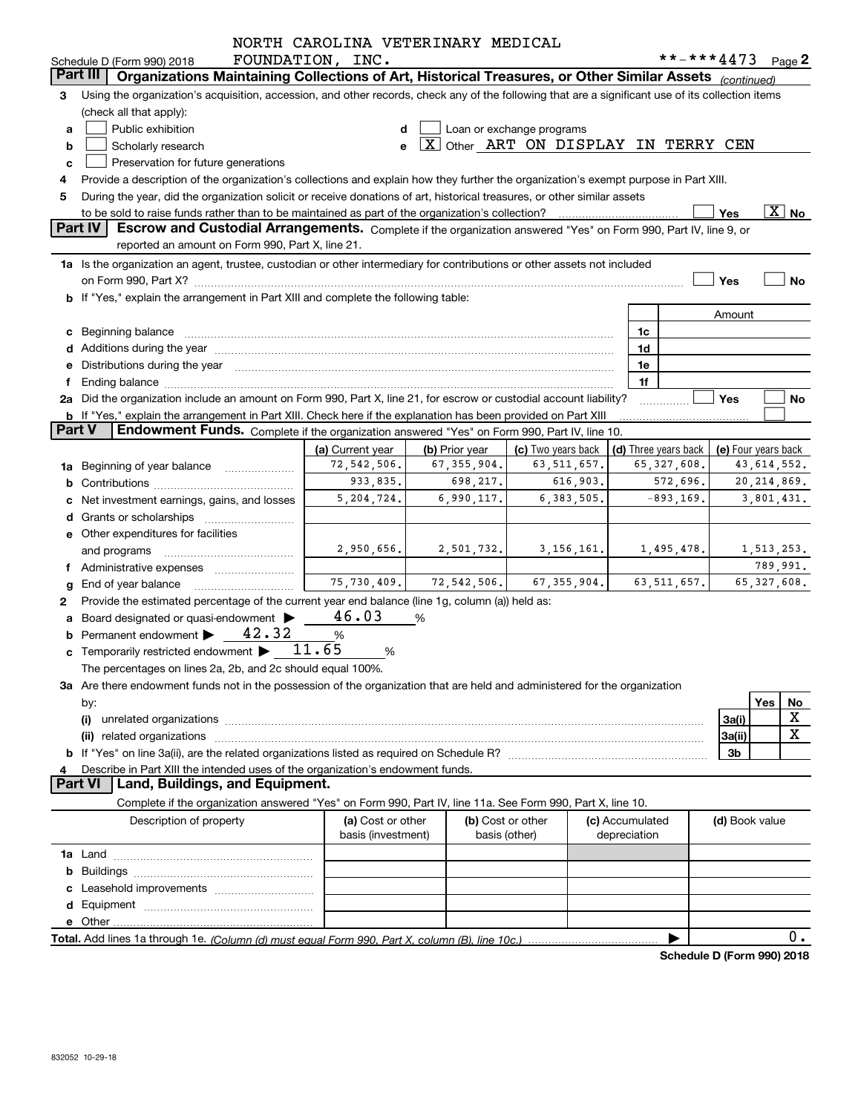|               |                                                                                                                                                                                                                                | NORTH CAROLINA VETERINARY MEDICAL       |                |                                     |                                 |                      |                     |                          |
|---------------|--------------------------------------------------------------------------------------------------------------------------------------------------------------------------------------------------------------------------------|-----------------------------------------|----------------|-------------------------------------|---------------------------------|----------------------|---------------------|--------------------------|
|               | Schedule D (Form 990) 2018                                                                                                                                                                                                     | FOUNDATION, INC.                        |                |                                     |                                 |                      | **-***4473 Page 2   |                          |
|               | Part III<br>Organizations Maintaining Collections of Art, Historical Treasures, or Other Similar Assets (continued)                                                                                                            |                                         |                |                                     |                                 |                      |                     |                          |
| 3             | Using the organization's acquisition, accession, and other records, check any of the following that are a significant use of its collection items                                                                              |                                         |                |                                     |                                 |                      |                     |                          |
|               | (check all that apply):                                                                                                                                                                                                        |                                         |                |                                     |                                 |                      |                     |                          |
| a             | Public exhibition                                                                                                                                                                                                              | d                                       |                | Loan or exchange programs           |                                 |                      |                     |                          |
| b             | Scholarly research                                                                                                                                                                                                             |                                         |                | X Other ART ON DISPLAY IN TERRY CEN |                                 |                      |                     |                          |
| c             | Preservation for future generations                                                                                                                                                                                            |                                         |                |                                     |                                 |                      |                     |                          |
|               | Provide a description of the organization's collections and explain how they further the organization's exempt purpose in Part XIII.                                                                                           |                                         |                |                                     |                                 |                      |                     |                          |
| 5             | During the year, did the organization solicit or receive donations of art, historical treasures, or other similar assets                                                                                                       |                                         |                |                                     |                                 |                      |                     |                          |
|               | to be sold to raise funds rather than to be maintained as part of the organization's collection?                                                                                                                               |                                         |                |                                     |                                 |                      | Yes                 | $\overline{\text{X}}$ No |
|               | <b>Part IV</b><br>Escrow and Custodial Arrangements. Complete if the organization answered "Yes" on Form 990, Part IV, line 9, or                                                                                              |                                         |                |                                     |                                 |                      |                     |                          |
|               | reported an amount on Form 990, Part X, line 21.                                                                                                                                                                               |                                         |                |                                     |                                 |                      |                     |                          |
|               | 1a Is the organization an agent, trustee, custodian or other intermediary for contributions or other assets not included                                                                                                       |                                         |                |                                     |                                 |                      |                     |                          |
|               |                                                                                                                                                                                                                                |                                         |                |                                     |                                 |                      | Yes                 | No                       |
|               | b If "Yes," explain the arrangement in Part XIII and complete the following table:                                                                                                                                             |                                         |                |                                     |                                 |                      |                     |                          |
|               |                                                                                                                                                                                                                                |                                         |                |                                     |                                 |                      | Amount              |                          |
|               | c Beginning balance                                                                                                                                                                                                            |                                         |                |                                     |                                 | 1c                   |                     |                          |
|               | d Additions during the year manufactured and an account of the year manufactured and account of the year manufactured and account of the year manufactured and account of the year manufactured and account of the year manufa |                                         |                |                                     |                                 | 1d                   |                     |                          |
|               | e Distributions during the year manufactured and continuum and contact the control of the Distributions during the year                                                                                                        |                                         |                |                                     |                                 | 1e                   |                     |                          |
|               |                                                                                                                                                                                                                                |                                         |                |                                     |                                 | 1f                   |                     |                          |
|               | 2a Did the organization include an amount on Form 990, Part X, line 21, for escrow or custodial account liability?                                                                                                             |                                         |                |                                     |                                 |                      | Yes                 | No                       |
|               | b If "Yes," explain the arrangement in Part XIII. Check here if the explanation has been provided on Part XIII                                                                                                                 |                                         |                |                                     |                                 |                      |                     |                          |
| <b>Part V</b> | <b>Endowment Funds.</b> Complete if the organization answered "Yes" on Form 990, Part IV, line 10.                                                                                                                             |                                         |                |                                     |                                 |                      |                     |                          |
|               |                                                                                                                                                                                                                                | (a) Current year                        | (b) Prior year | (c) Two years back                  |                                 | (d) Three years back | (e) Four years back |                          |
|               | <b>1a</b> Beginning of year balance <i>manument</i>                                                                                                                                                                            | 72,542,506.                             | 67, 355, 904.  | 63, 511, 657.                       |                                 | 65,327,608.          |                     | 43, 614, 552.            |
|               |                                                                                                                                                                                                                                | 933,835.                                | 698,217.       | 616,903.                            |                                 | 572,696.             |                     | 20, 214, 869.            |
|               | Net investment earnings, gains, and losses                                                                                                                                                                                     | 5, 204, 724.                            | 6,990,117.     | 6,383,505.                          |                                 | $-893, 169.$         |                     | 3,801,431.               |
|               |                                                                                                                                                                                                                                |                                         |                |                                     |                                 |                      |                     |                          |
|               | e Other expenditures for facilities                                                                                                                                                                                            |                                         |                |                                     |                                 |                      |                     |                          |
|               |                                                                                                                                                                                                                                | 2,950,656.                              | 2,501,732.     | 3,156,161.                          |                                 | 1,495,478.           |                     | 1,513,253.               |
|               | and programs                                                                                                                                                                                                                   |                                         |                |                                     |                                 |                      |                     | 789,991.                 |
|               | f Administrative expenses                                                                                                                                                                                                      | 75,730,409.                             | 72, 542, 506.  | 67, 355, 904.                       |                                 | 63, 511, 657.        |                     | 65, 327, 608.            |
|               | <b>g</b> End of year balance $\ldots$                                                                                                                                                                                          |                                         |                |                                     |                                 |                      |                     |                          |
| 2             | Provide the estimated percentage of the current year end balance (line 1g, column (a)) held as:                                                                                                                                | 46.03                                   |                |                                     |                                 |                      |                     |                          |
|               | a Board designated or quasi-endowment >                                                                                                                                                                                        |                                         | %              |                                     |                                 |                      |                     |                          |
|               | 42.32<br>Permanent endowment                                                                                                                                                                                                   | $\%$                                    |                |                                     |                                 |                      |                     |                          |
|               | c Temporarily restricted endowment $\blacktriangleright$ 11.65                                                                                                                                                                 | %                                       |                |                                     |                                 |                      |                     |                          |
|               | The percentages on lines 2a, 2b, and 2c should equal 100%.                                                                                                                                                                     |                                         |                |                                     |                                 |                      |                     |                          |
|               | 3a Are there endowment funds not in the possession of the organization that are held and administered for the organization                                                                                                     |                                         |                |                                     |                                 |                      |                     |                          |
|               | by:                                                                                                                                                                                                                            |                                         |                |                                     |                                 |                      |                     | Yes<br>No                |
|               | (i)                                                                                                                                                                                                                            |                                         |                |                                     |                                 |                      | 3a(i)               | X                        |
|               |                                                                                                                                                                                                                                |                                         |                |                                     |                                 |                      | 3a(ii)              | X                        |
|               |                                                                                                                                                                                                                                |                                         |                |                                     |                                 |                      | 3b                  |                          |
| 4             | Describe in Part XIII the intended uses of the organization's endowment funds.                                                                                                                                                 |                                         |                |                                     |                                 |                      |                     |                          |
|               | <b>Part VI</b><br>Land, Buildings, and Equipment.                                                                                                                                                                              |                                         |                |                                     |                                 |                      |                     |                          |
|               | Complete if the organization answered "Yes" on Form 990, Part IV, line 11a. See Form 990, Part X, line 10.                                                                                                                     |                                         |                |                                     |                                 |                      |                     |                          |
|               | Description of property                                                                                                                                                                                                        | (a) Cost or other<br>basis (investment) |                | (b) Cost or other<br>basis (other)  | (c) Accumulated<br>depreciation |                      | (d) Book value      |                          |
|               |                                                                                                                                                                                                                                |                                         |                |                                     |                                 |                      |                     |                          |
| b             |                                                                                                                                                                                                                                |                                         |                |                                     |                                 |                      |                     |                          |
|               | Leasehold improvements                                                                                                                                                                                                         |                                         |                |                                     |                                 |                      |                     |                          |
|               |                                                                                                                                                                                                                                |                                         |                |                                     |                                 |                      |                     |                          |
|               |                                                                                                                                                                                                                                |                                         |                |                                     |                                 |                      |                     |                          |
|               |                                                                                                                                                                                                                                |                                         |                |                                     |                                 |                      |                     | $0$ .                    |
|               |                                                                                                                                                                                                                                |                                         |                |                                     |                                 |                      |                     |                          |

**Schedule D (Form 990) 2018**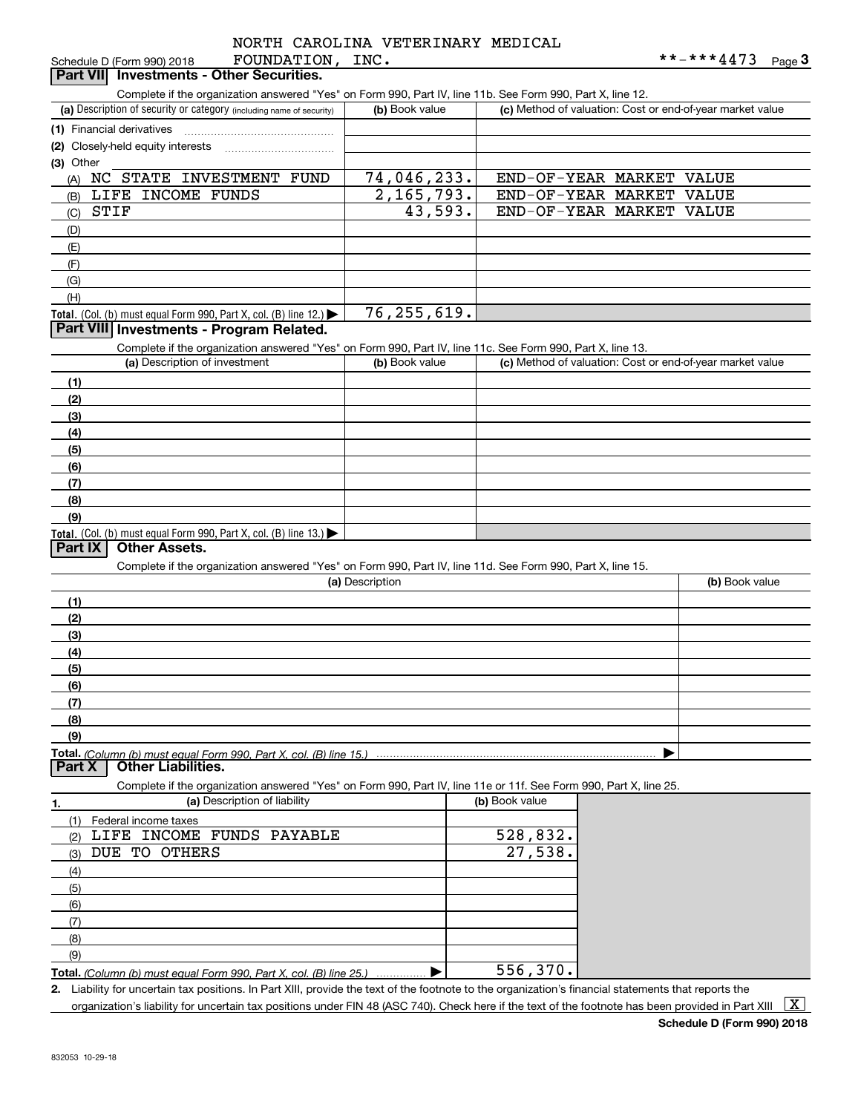|          |      | NORTH CAROLINA VETERINARY MEDICAL |  |
|----------|------|-----------------------------------|--|
| ᇚᇬᇚᇚᇬᇚᇊᇚ | TNTC |                                   |  |

| FOUNDATION,<br>Schedule D (Form 990) 2018                                                                                                            | INC.            |                                                           | **-***4473<br>Page $3$ |
|------------------------------------------------------------------------------------------------------------------------------------------------------|-----------------|-----------------------------------------------------------|------------------------|
| <b>Investments - Other Securities.</b><br>Part VII                                                                                                   |                 |                                                           |                        |
| Complete if the organization answered "Yes" on Form 990, Part IV, line 11b. See Form 990, Part X, line 12.                                           |                 |                                                           |                        |
| (a) Description of security or category (including name of security)                                                                                 | (b) Book value  | (c) Method of valuation: Cost or end-of-year market value |                        |
| (1) Financial derivatives                                                                                                                            |                 |                                                           |                        |
|                                                                                                                                                      |                 |                                                           |                        |
| (2) Closely-held equity interests                                                                                                                    |                 |                                                           |                        |
| (3) Other                                                                                                                                            |                 |                                                           |                        |
| NC STATE INVESTMENT FUND<br>(A)                                                                                                                      | 74,046,233.     | END-OF-YEAR MARKET                                        | VALUE                  |
| LIFE INCOME FUNDS<br>(B)                                                                                                                             | 2, 165, 793.    | END-OF-YEAR MARKET                                        | VALUE                  |
| <b>STIF</b><br>(C)                                                                                                                                   | 43,593.         | END-OF-YEAR MARKET                                        | VALUE                  |
| (D)                                                                                                                                                  |                 |                                                           |                        |
| (E)                                                                                                                                                  |                 |                                                           |                        |
| (F)                                                                                                                                                  |                 |                                                           |                        |
| (G)                                                                                                                                                  |                 |                                                           |                        |
| (H)                                                                                                                                                  |                 |                                                           |                        |
| Total. (Col. (b) must equal Form 990, Part X, col. (B) line 12.)                                                                                     | 76, 255, 619.   |                                                           |                        |
| Part VIII Investments - Program Related.                                                                                                             |                 |                                                           |                        |
|                                                                                                                                                      |                 |                                                           |                        |
| Complete if the organization answered "Yes" on Form 990, Part IV, line 11c. See Form 990, Part X, line 13.                                           |                 |                                                           |                        |
| (a) Description of investment                                                                                                                        | (b) Book value  | (c) Method of valuation: Cost or end-of-year market value |                        |
| (1)                                                                                                                                                  |                 |                                                           |                        |
| (2)                                                                                                                                                  |                 |                                                           |                        |
| (3)                                                                                                                                                  |                 |                                                           |                        |
| (4)                                                                                                                                                  |                 |                                                           |                        |
| (5)                                                                                                                                                  |                 |                                                           |                        |
| (6)                                                                                                                                                  |                 |                                                           |                        |
| (7)                                                                                                                                                  |                 |                                                           |                        |
| (8)                                                                                                                                                  |                 |                                                           |                        |
| (9)                                                                                                                                                  |                 |                                                           |                        |
|                                                                                                                                                      |                 |                                                           |                        |
| Total. (Col. (b) must equal Form 990, Part X, col. (B) line 13.) $\blacktriangleright$<br><b>Other Assets.</b><br>Part IX                            |                 |                                                           |                        |
|                                                                                                                                                      |                 |                                                           |                        |
| Complete if the organization answered "Yes" on Form 990, Part IV, line 11d. See Form 990, Part X, line 15.                                           |                 |                                                           |                        |
|                                                                                                                                                      | (a) Description |                                                           | (b) Book value         |
| (1)                                                                                                                                                  |                 |                                                           |                        |
| (2)                                                                                                                                                  |                 |                                                           |                        |
| (3)                                                                                                                                                  |                 |                                                           |                        |
| (4)                                                                                                                                                  |                 |                                                           |                        |
| (5)                                                                                                                                                  |                 |                                                           |                        |
| (6)                                                                                                                                                  |                 |                                                           |                        |
| (7)                                                                                                                                                  |                 |                                                           |                        |
|                                                                                                                                                      |                 |                                                           |                        |
| (8)                                                                                                                                                  |                 |                                                           |                        |
| (9)                                                                                                                                                  |                 |                                                           |                        |
|                                                                                                                                                      |                 |                                                           |                        |
| <b>Other Liabilities.</b><br>Part X                                                                                                                  |                 |                                                           |                        |
| Complete if the organization answered "Yes" on Form 990, Part IV, line 11e or 11f. See Form 990, Part X, line 25.                                    |                 |                                                           |                        |
| (a) Description of liability<br>1.                                                                                                                   |                 | (b) Book value                                            |                        |
| Federal income taxes<br>(1)                                                                                                                          |                 |                                                           |                        |
| LIFE INCOME FUNDS PAYABLE<br>(2)                                                                                                                     |                 | 528,832.                                                  |                        |
| DUE TO OTHERS<br>(3)                                                                                                                                 |                 | 27,538.                                                   |                        |
| (4)                                                                                                                                                  |                 |                                                           |                        |
| (5)                                                                                                                                                  |                 |                                                           |                        |
| (6)                                                                                                                                                  |                 |                                                           |                        |
|                                                                                                                                                      |                 |                                                           |                        |
| (7)                                                                                                                                                  |                 |                                                           |                        |
| (8)                                                                                                                                                  |                 |                                                           |                        |
| (9)                                                                                                                                                  |                 |                                                           |                        |
| Total. (Column (b) must equal Form 990, Part X, col. (B) line 25.)                                                                                   |                 | 556,370.                                                  |                        |
| 2. Liability for uncertain tax positions. In Part XIII, provide the text of the footnote to the organization's financial statements that reports the |                 |                                                           |                        |

organization's liability for uncertain tax positions under FIN 48 (ASC 740). Check here if the text of the footnote has been provided in Part XIII  $~\boxed{\rm X}$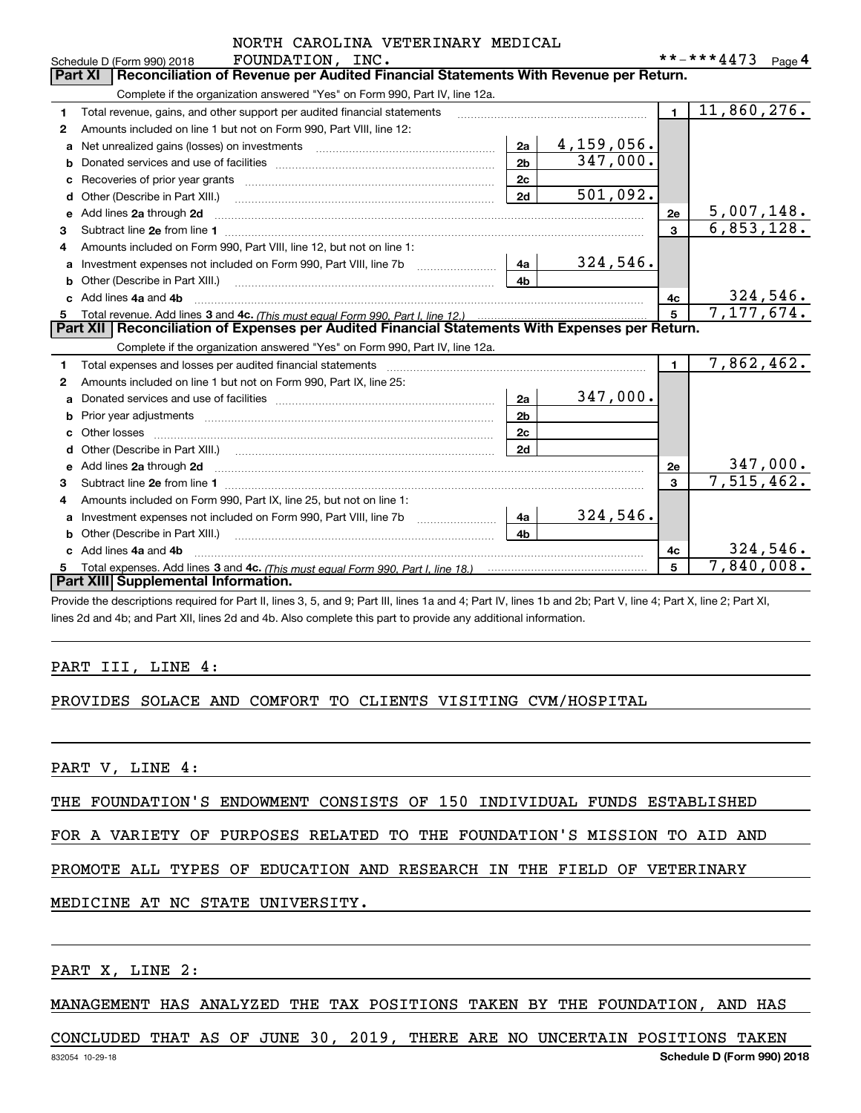|    | NORTH CAROLINA VETERINARY MEDICAL                                                                                                            |                |                   |                   |                              |  |  |  |  |
|----|----------------------------------------------------------------------------------------------------------------------------------------------|----------------|-------------------|-------------------|------------------------------|--|--|--|--|
|    | FOUNDATION, INC.<br>Schedule D (Form 990) 2018                                                                                               |                |                   | **-***4473 Page 4 |                              |  |  |  |  |
|    | Reconciliation of Revenue per Audited Financial Statements With Revenue per Return.<br><b>Part XI</b>                                        |                |                   |                   |                              |  |  |  |  |
|    | Complete if the organization answered "Yes" on Form 990, Part IV, line 12a.                                                                  |                |                   |                   |                              |  |  |  |  |
| 1. | Total revenue, gains, and other support per audited financial statements                                                                     |                |                   | $\blacksquare$    | 11,860,276.                  |  |  |  |  |
| 2  | Amounts included on line 1 but not on Form 990, Part VIII, line 12:                                                                          |                |                   |                   |                              |  |  |  |  |
| a  |                                                                                                                                              | 2a             | <u>4,159,056.</u> |                   |                              |  |  |  |  |
|    |                                                                                                                                              | 2 <sub>b</sub> | 347,000.          |                   |                              |  |  |  |  |
|    |                                                                                                                                              | 2c             |                   |                   |                              |  |  |  |  |
| d  | Other (Describe in Part XIII.)                                                                                                               | 2d             | 501,092.          |                   |                              |  |  |  |  |
| e  | Add lines 2a through 2d                                                                                                                      |                |                   | 2e                | 5,007,148.                   |  |  |  |  |
| 3  |                                                                                                                                              |                |                   | 3                 | 6,853,128.                   |  |  |  |  |
| 4  | Amounts included on Form 990, Part VIII, line 12, but not on line 1:                                                                         |                |                   |                   |                              |  |  |  |  |
| a  | Investment expenses not included on Form 990, Part VIII, line 7b [111] [11] Investment expenses not included on Form 990, Part VIII, line 7b | 4a             | 324,546.          |                   |                              |  |  |  |  |
|    |                                                                                                                                              | 4 <sub>h</sub> |                   |                   |                              |  |  |  |  |
|    | Add lines 4a and 4b                                                                                                                          |                |                   | 4с                | $\frac{324,546}{7,177,674.}$ |  |  |  |  |
| 5  |                                                                                                                                              |                |                   | 5                 |                              |  |  |  |  |
|    | Part XII   Reconciliation of Expenses per Audited Financial Statements With Expenses per Return.                                             |                |                   |                   |                              |  |  |  |  |
|    | Complete if the organization answered "Yes" on Form 990, Part IV, line 12a.                                                                  |                |                   |                   |                              |  |  |  |  |
| 1  |                                                                                                                                              |                |                   | $\mathbf{1}$      | 7,862,462.                   |  |  |  |  |
| 2  | Amounts included on line 1 but not on Form 990, Part IX, line 25:                                                                            |                |                   |                   |                              |  |  |  |  |
| a  |                                                                                                                                              | 2a             | 347,000.          |                   |                              |  |  |  |  |
| b  |                                                                                                                                              | 2 <sub>b</sub> |                   |                   |                              |  |  |  |  |
|    |                                                                                                                                              | 2 <sub>c</sub> |                   |                   |                              |  |  |  |  |
| d  |                                                                                                                                              | 2d             |                   |                   |                              |  |  |  |  |
|    |                                                                                                                                              |                |                   | 2e                | 347,000.                     |  |  |  |  |
| 3  |                                                                                                                                              |                |                   | 3                 | 7,515,462.                   |  |  |  |  |
| 4  | Amounts included on Form 990, Part IX, line 25, but not on line 1:                                                                           |                |                   |                   |                              |  |  |  |  |
| a  | Investment expenses not included on Form 990, Part VIII, line 7b                                                                             | 4a             | 324,546.          |                   |                              |  |  |  |  |
|    |                                                                                                                                              | 4b             |                   |                   |                              |  |  |  |  |
|    | Add lines 4a and 4b                                                                                                                          |                |                   | 4c                | 324,546.                     |  |  |  |  |
|    |                                                                                                                                              |                |                   | 5                 | 7,840,008.                   |  |  |  |  |
|    | Part XIII Supplemental Information.                                                                                                          |                |                   |                   |                              |  |  |  |  |

Provide the descriptions required for Part II, lines 3, 5, and 9; Part III, lines 1a and 4; Part IV, lines 1b and 2b; Part V, line 4; Part X, line 2; Part XI, lines 2d and 4b; and Part XII, lines 2d and 4b. Also complete this part to provide any additional information.

#### PART III, LINE 4:

#### PROVIDES SOLACE AND COMFORT TO CLIENTS VISITING CVM/HOSPITAL

PART V, LINE 4:

THE FOUNDATION'S ENDOWMENT CONSISTS OF 150 INDIVIDUAL FUNDS ESTABLISHED

FOR A VARIETY OF PURPOSES RELATED TO THE FOUNDATION'S MISSION TO AID AND

PROMOTE ALL TYPES OF EDUCATION AND RESEARCH IN THE FIELD OF VETERINARY

#### MEDICINE AT NC STATE UNIVERSITY.

PART X, LINE 2:

MANAGEMENT HAS ANALYZED THE TAX POSITIONS TAKEN BY THE FOUNDATION, AND HAS

#### CONCLUDED THAT AS OF JUNE 30, 2019, THERE ARE NO UNCERTAIN POSITIONS TAKEN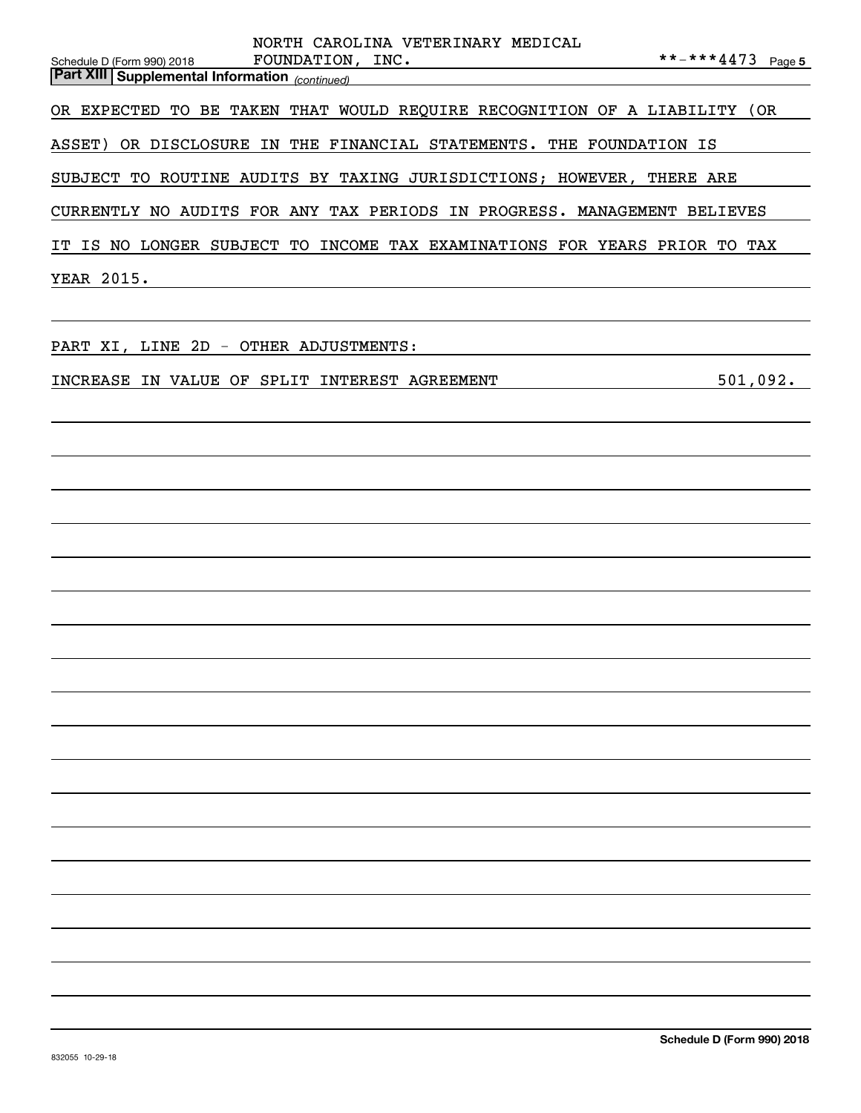| NORTH CAROLINA VETERINARY MEDICAL<br>**-***4473 Page 5<br>Schedule D (Form 990) 2018 FOUNDATION, INC.<br>Part XIII Supplemental Information <sub>(continued)</sub> |
|--------------------------------------------------------------------------------------------------------------------------------------------------------------------|
| OR EXPECTED TO BE TAKEN THAT WOULD REQUIRE RECOGNITION OF A LIABILITY (OR                                                                                          |
| ASSET) OR DISCLOSURE IN THE FINANCIAL STATEMENTS. THE FOUNDATION IS                                                                                                |
| SUBJECT TO ROUTINE AUDITS BY TAXING JURISDICTIONS; HOWEVER, THERE ARE                                                                                              |
| CURRENTLY NO AUDITS FOR ANY TAX PERIODS IN PROGRESS. MANAGEMENT BELIEVES                                                                                           |
| IT IS NO LONGER SUBJECT TO INCOME TAX EXAMINATIONS FOR YEARS PRIOR TO TAX                                                                                          |
| YEAR 2015.                                                                                                                                                         |
|                                                                                                                                                                    |
| PART XI, LINE 2D - OTHER ADJUSTMENTS:                                                                                                                              |
| 501,092.<br>INCREASE IN VALUE OF SPLIT INTEREST AGREEMENT                                                                                                          |
|                                                                                                                                                                    |
|                                                                                                                                                                    |
|                                                                                                                                                                    |
|                                                                                                                                                                    |
|                                                                                                                                                                    |
|                                                                                                                                                                    |
|                                                                                                                                                                    |
|                                                                                                                                                                    |
|                                                                                                                                                                    |
|                                                                                                                                                                    |
|                                                                                                                                                                    |
|                                                                                                                                                                    |
|                                                                                                                                                                    |
|                                                                                                                                                                    |
|                                                                                                                                                                    |
|                                                                                                                                                                    |
|                                                                                                                                                                    |
|                                                                                                                                                                    |
| Schedule D (Form 990) 2018                                                                                                                                         |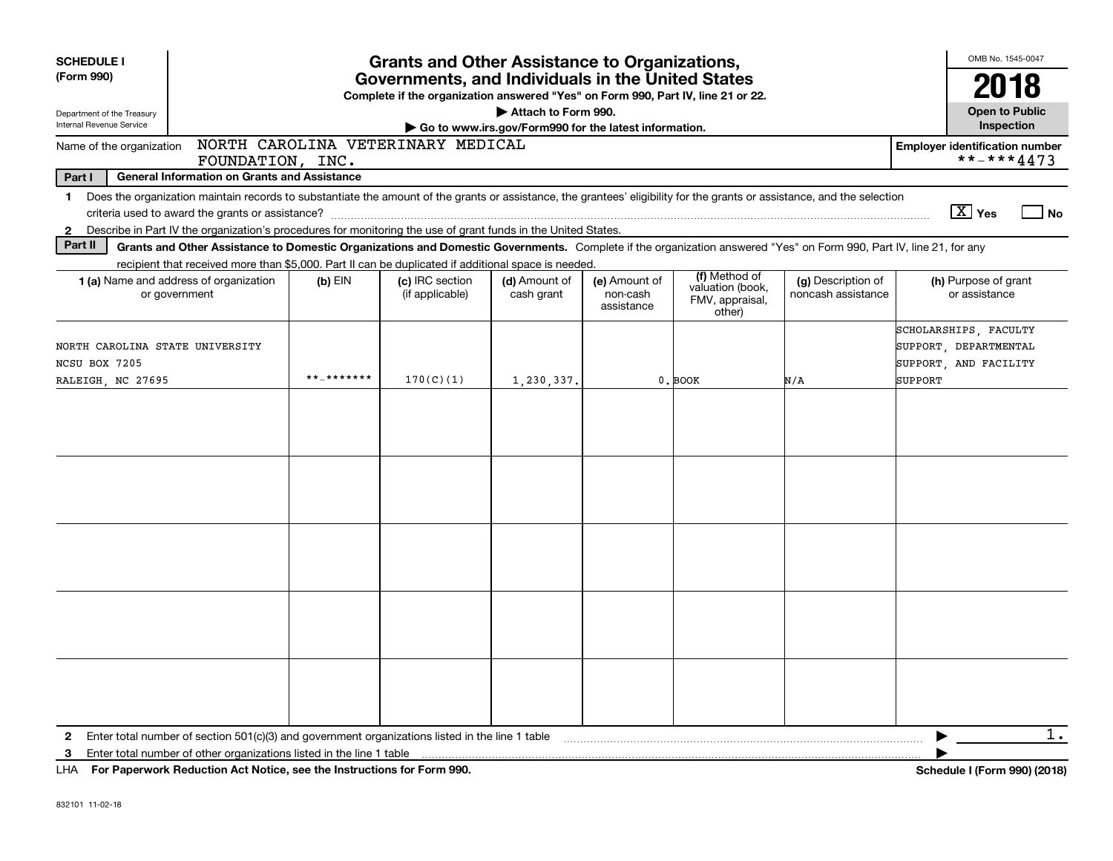| <b>SCHEDULE I</b><br>(Form 990)                                       |                                                                                                                                                                                                                                                                          |               | <b>Grants and Other Assistance to Organizations,</b><br>Governments, and Individuals in the United States<br>Complete if the organization answered "Yes" on Form 990, Part IV, line 21 or 22. |                                                                              |                                         |                                                                |                                          | OMB No. 1545-0047<br>2018                                                          |
|-----------------------------------------------------------------------|--------------------------------------------------------------------------------------------------------------------------------------------------------------------------------------------------------------------------------------------------------------------------|---------------|-----------------------------------------------------------------------------------------------------------------------------------------------------------------------------------------------|------------------------------------------------------------------------------|-----------------------------------------|----------------------------------------------------------------|------------------------------------------|------------------------------------------------------------------------------------|
| Department of the Treasury<br>Internal Revenue Service                |                                                                                                                                                                                                                                                                          |               |                                                                                                                                                                                               | Attach to Form 990.<br>Go to www.irs.gov/Form990 for the latest information. |                                         |                                                                |                                          | <b>Open to Public</b><br>Inspection                                                |
| Name of the organization                                              | FOUNDATION, INC.                                                                                                                                                                                                                                                         |               | NORTH CAROLINA VETERINARY MEDICAL                                                                                                                                                             |                                                                              |                                         |                                                                |                                          | <b>Employer identification number</b><br>**-***4473                                |
| Part I                                                                | <b>General Information on Grants and Assistance</b>                                                                                                                                                                                                                      |               |                                                                                                                                                                                               |                                                                              |                                         |                                                                |                                          |                                                                                    |
| 1.                                                                    | Does the organization maintain records to substantiate the amount of the grants or assistance, the grantees' eligibility for the grants or assistance, and the selection                                                                                                 |               |                                                                                                                                                                                               |                                                                              |                                         |                                                                |                                          |                                                                                    |
|                                                                       |                                                                                                                                                                                                                                                                          |               |                                                                                                                                                                                               |                                                                              |                                         |                                                                |                                          | $\boxed{\text{X}}$ Yes<br><b>No</b>                                                |
| $\mathbf{2}$<br>Part II                                               | Describe in Part IV the organization's procedures for monitoring the use of grant funds in the United States.                                                                                                                                                            |               |                                                                                                                                                                                               |                                                                              |                                         |                                                                |                                          |                                                                                    |
|                                                                       | Grants and Other Assistance to Domestic Organizations and Domestic Governments. Complete if the organization answered "Yes" on Form 990, Part IV, line 21, for any<br>recipient that received more than \$5,000. Part II can be duplicated if additional space is needed |               |                                                                                                                                                                                               |                                                                              |                                         |                                                                |                                          |                                                                                    |
|                                                                       | <b>1 (a)</b> Name and address of organization<br>or government                                                                                                                                                                                                           | $(b)$ EIN     | (c) IRC section<br>(if applicable)                                                                                                                                                            | (d) Amount of<br>cash grant                                                  | (e) Amount of<br>non-cash<br>assistance | (f) Method of<br>valuation (book,<br>FMV, appraisal,<br>other) | (g) Description of<br>noncash assistance | (h) Purpose of grant<br>or assistance                                              |
| NORTH CAROLINA STATE UNIVERSITY<br>NCSU BOX 7205<br>RALEIGH, NC 27695 |                                                                                                                                                                                                                                                                          | $***$ ******* | 170(C)(1)                                                                                                                                                                                     | 1,230,337.                                                                   |                                         | 0. BOOK                                                        | N/A                                      | SCHOLARSHIPS, FACULTY<br>SUPPORT, DEPARTMENTAL<br>SUPPORT, AND FACILITY<br>SUPPORT |
|                                                                       |                                                                                                                                                                                                                                                                          |               |                                                                                                                                                                                               |                                                                              |                                         |                                                                |                                          |                                                                                    |
|                                                                       |                                                                                                                                                                                                                                                                          |               |                                                                                                                                                                                               |                                                                              |                                         |                                                                |                                          |                                                                                    |
|                                                                       |                                                                                                                                                                                                                                                                          |               |                                                                                                                                                                                               |                                                                              |                                         |                                                                |                                          |                                                                                    |
|                                                                       |                                                                                                                                                                                                                                                                          |               |                                                                                                                                                                                               |                                                                              |                                         |                                                                |                                          |                                                                                    |
|                                                                       |                                                                                                                                                                                                                                                                          |               |                                                                                                                                                                                               |                                                                              |                                         |                                                                |                                          |                                                                                    |
| $\mathbf{2}$                                                          | Enter total number of section 501(c)(3) and government organizations listed in the line 1 table                                                                                                                                                                          |               |                                                                                                                                                                                               |                                                                              |                                         |                                                                |                                          | 1.                                                                                 |
| 3                                                                     | Enter total number of other organizations listed in the line 1 table                                                                                                                                                                                                     |               |                                                                                                                                                                                               |                                                                              |                                         |                                                                |                                          |                                                                                    |
|                                                                       | LHA For Paperwork Reduction Act Notice, see the Instructions for Form 990.                                                                                                                                                                                               |               |                                                                                                                                                                                               |                                                                              |                                         |                                                                |                                          | Schedule I (Form 990) (2018)                                                       |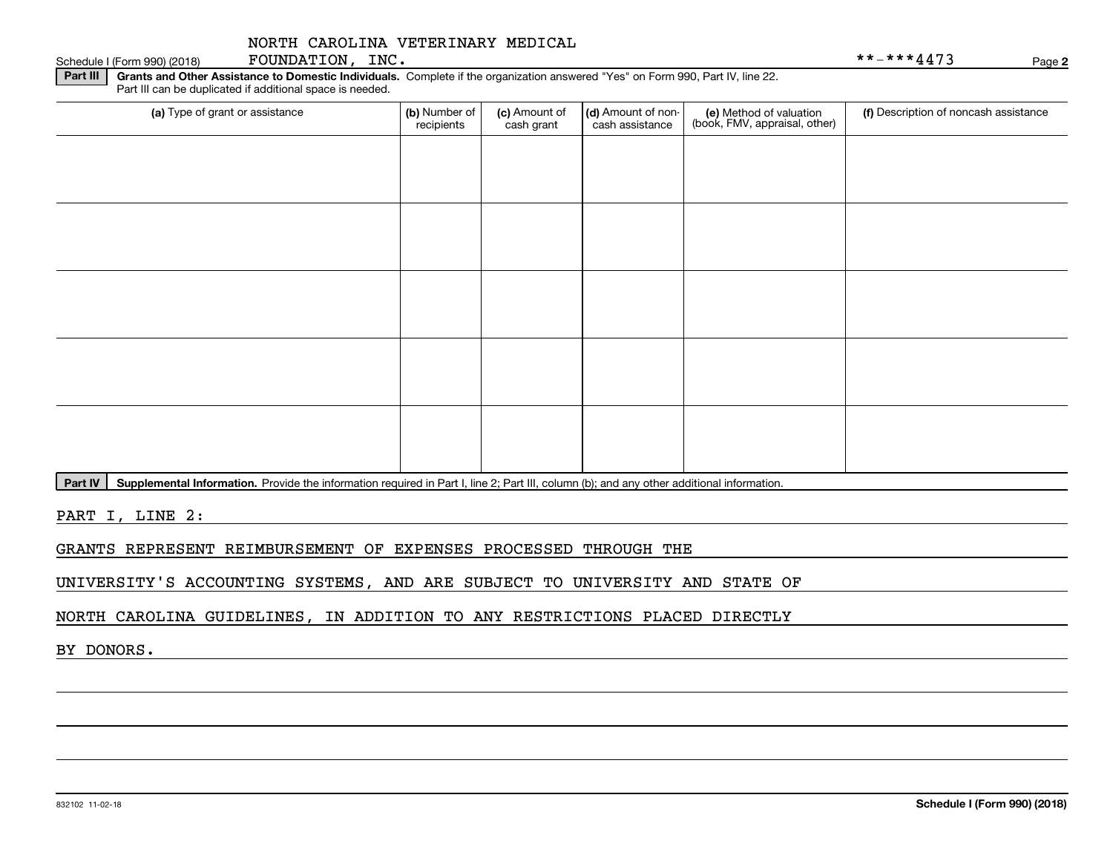| (a) Type of grant or assistance | (b) Number of<br>recipients | (c) Amount of<br>cash grant | (d) Amount of non-<br>cash assistance | (e) Method of valuation<br>(book, FMV, appraisal, other) | (f) Description of noncash assistance |
|---------------------------------|-----------------------------|-----------------------------|---------------------------------------|----------------------------------------------------------|---------------------------------------|
|                                 |                             |                             |                                       |                                                          |                                       |
|                                 |                             |                             |                                       |                                                          |                                       |
|                                 |                             |                             |                                       |                                                          |                                       |
|                                 |                             |                             |                                       |                                                          |                                       |
|                                 |                             |                             |                                       |                                                          |                                       |
|                                 |                             |                             |                                       |                                                          |                                       |
|                                 |                             |                             |                                       |                                                          |                                       |
|                                 |                             |                             |                                       |                                                          |                                       |
|                                 |                             |                             |                                       |                                                          |                                       |
|                                 |                             |                             |                                       |                                                          |                                       |
|                                 |                             |                             |                                       |                                                          |                                       |
|                                 |                             |                             |                                       |                                                          |                                       |

Part IV | Supplemental Information. Provide the information required in Part I, line 2; Part III, column (b); and any other additional information.

PART I, LINE 2:

GRANTS REPRESENT REIMBURSEMENT OF EXPENSES PROCESSED THROUGH THE

UNIVERSITY'S ACCOUNTING SYSTEMS, AND ARE SUBJECT TO UNIVERSITY AND STATE OF

NORTH CAROLINA GUIDELINES, IN ADDITION TO ANY RESTRICTIONS PLACED DIRECTLY

BY DONORS.

Schedule I (Form 990) (2018)  ${\hbox{FOUNDATION}}$  ,  $\hbox{INC.}$   $\hbox{Page}$ 

**2**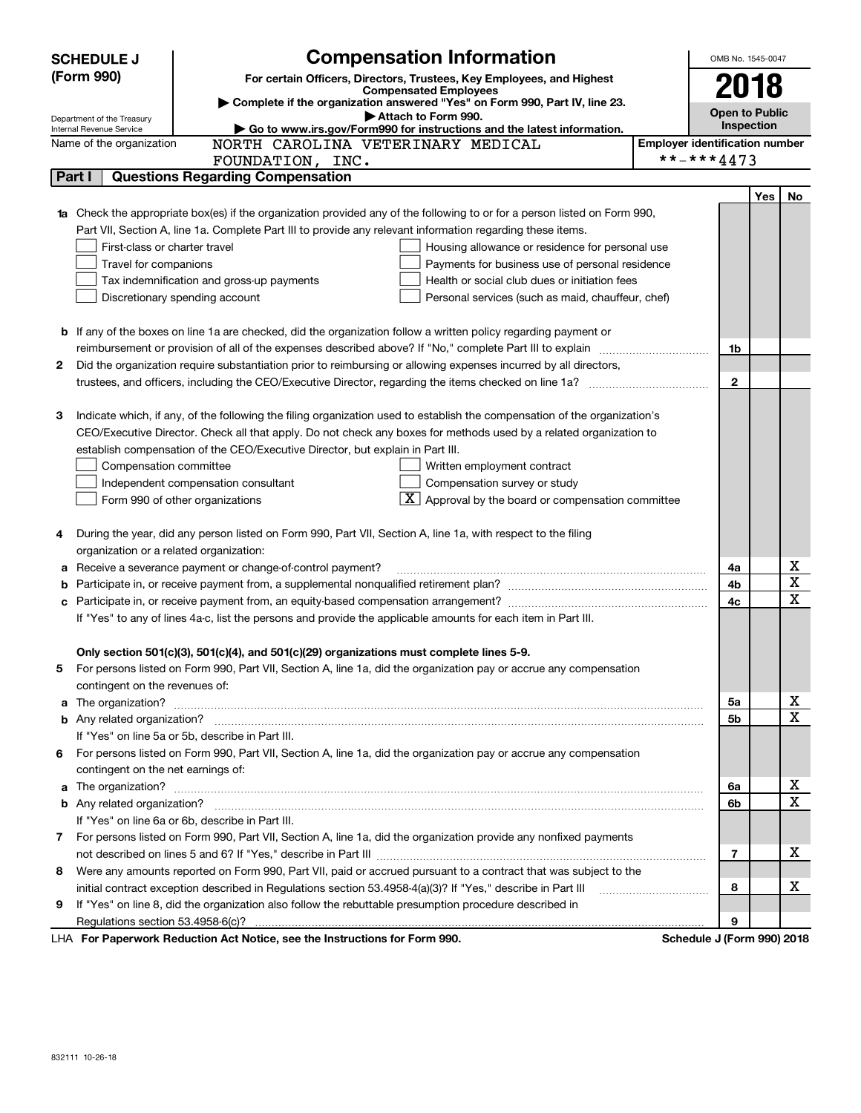|    | <b>SCHEDULE J</b>                                      | <b>Compensation Information</b>                                                                                                                                                                               |                                       | OMB No. 1545-0047          |     |                  |
|----|--------------------------------------------------------|---------------------------------------------------------------------------------------------------------------------------------------------------------------------------------------------------------------|---------------------------------------|----------------------------|-----|------------------|
|    | (Form 990)                                             | For certain Officers, Directors, Trustees, Key Employees, and Highest                                                                                                                                         |                                       |                            |     |                  |
|    |                                                        | <b>Compensated Employees</b>                                                                                                                                                                                  |                                       | 2018                       |     |                  |
|    |                                                        | Complete if the organization answered "Yes" on Form 990, Part IV, line 23.<br>Attach to Form 990.                                                                                                             |                                       | <b>Open to Public</b>      |     |                  |
|    | Department of the Treasury<br>Internal Revenue Service | Go to www.irs.gov/Form990 for instructions and the latest information.                                                                                                                                        |                                       | <b>Inspection</b>          |     |                  |
|    | Name of the organization                               | NORTH CAROLINA VETERINARY MEDICAL                                                                                                                                                                             | <b>Employer identification number</b> |                            |     |                  |
|    |                                                        | FOUNDATION, INC.                                                                                                                                                                                              |                                       | **-***4473                 |     |                  |
|    | Part I                                                 | <b>Questions Regarding Compensation</b>                                                                                                                                                                       |                                       |                            |     |                  |
|    |                                                        |                                                                                                                                                                                                               |                                       |                            | Yes | No               |
|    |                                                        | <b>1a</b> Check the appropriate box(es) if the organization provided any of the following to or for a person listed on Form 990,                                                                              |                                       |                            |     |                  |
|    |                                                        | Part VII, Section A, line 1a. Complete Part III to provide any relevant information regarding these items.                                                                                                    |                                       |                            |     |                  |
|    | First-class or charter travel                          | Housing allowance or residence for personal use                                                                                                                                                               |                                       |                            |     |                  |
|    | Travel for companions                                  | Payments for business use of personal residence                                                                                                                                                               |                                       |                            |     |                  |
|    |                                                        | Health or social club dues or initiation fees<br>Tax indemnification and gross-up payments                                                                                                                    |                                       |                            |     |                  |
|    |                                                        | Discretionary spending account<br>Personal services (such as maid, chauffeur, chef)                                                                                                                           |                                       |                            |     |                  |
|    |                                                        |                                                                                                                                                                                                               |                                       |                            |     |                  |
|    |                                                        | <b>b</b> If any of the boxes on line 1a are checked, did the organization follow a written policy regarding payment or                                                                                        |                                       |                            |     |                  |
|    |                                                        |                                                                                                                                                                                                               |                                       | 1b                         |     |                  |
| 2  |                                                        | Did the organization require substantiation prior to reimbursing or allowing expenses incurred by all directors,                                                                                              |                                       |                            |     |                  |
|    |                                                        |                                                                                                                                                                                                               |                                       | $\overline{2}$             |     |                  |
|    |                                                        |                                                                                                                                                                                                               |                                       |                            |     |                  |
| З  |                                                        | Indicate which, if any, of the following the filing organization used to establish the compensation of the organization's                                                                                     |                                       |                            |     |                  |
|    |                                                        | CEO/Executive Director. Check all that apply. Do not check any boxes for methods used by a related organization to                                                                                            |                                       |                            |     |                  |
|    |                                                        | establish compensation of the CEO/Executive Director, but explain in Part III.                                                                                                                                |                                       |                            |     |                  |
|    | Compensation committee                                 | Written employment contract                                                                                                                                                                                   |                                       |                            |     |                  |
|    |                                                        | Compensation survey or study<br>Independent compensation consultant                                                                                                                                           |                                       |                            |     |                  |
|    |                                                        | $ \mathbf{X} $ Approval by the board or compensation committee<br>Form 990 of other organizations                                                                                                             |                                       |                            |     |                  |
|    |                                                        |                                                                                                                                                                                                               |                                       |                            |     |                  |
| 4  |                                                        | During the year, did any person listed on Form 990, Part VII, Section A, line 1a, with respect to the filing                                                                                                  |                                       |                            |     |                  |
|    | organization or a related organization:                |                                                                                                                                                                                                               |                                       |                            |     |                  |
| а  |                                                        | Receive a severance payment or change-of-control payment?                                                                                                                                                     |                                       | 4a                         |     | X                |
| b  |                                                        |                                                                                                                                                                                                               |                                       | 4b                         |     | X<br>$\mathbf X$ |
| с  |                                                        |                                                                                                                                                                                                               |                                       | 4c                         |     |                  |
|    |                                                        | If "Yes" to any of lines 4a-c, list the persons and provide the applicable amounts for each item in Part III.                                                                                                 |                                       |                            |     |                  |
|    |                                                        |                                                                                                                                                                                                               |                                       |                            |     |                  |
|    |                                                        | Only section 501(c)(3), 501(c)(4), and 501(c)(29) organizations must complete lines 5-9.<br>For persons listed on Form 990, Part VII, Section A, line 1a, did the organization pay or accrue any compensation |                                       |                            |     |                  |
|    |                                                        |                                                                                                                                                                                                               |                                       |                            |     |                  |
|    | contingent on the revenues of:                         |                                                                                                                                                                                                               |                                       |                            |     | х                |
|    |                                                        | a The organization? <b>Entitation</b> and the organization?                                                                                                                                                   |                                       | 5а<br>5b                   |     | $\mathbf X$      |
|    |                                                        | If "Yes" on line 5a or 5b, describe in Part III.                                                                                                                                                              |                                       |                            |     |                  |
| 6. |                                                        | For persons listed on Form 990, Part VII, Section A, line 1a, did the organization pay or accrue any compensation                                                                                             |                                       |                            |     |                  |
|    | contingent on the net earnings of:                     |                                                                                                                                                                                                               |                                       |                            |     |                  |
|    |                                                        |                                                                                                                                                                                                               |                                       | 6a                         |     | х                |
|    |                                                        |                                                                                                                                                                                                               |                                       | 6b                         |     | $\mathbf X$      |
|    |                                                        | If "Yes" on line 6a or 6b, describe in Part III.                                                                                                                                                              |                                       |                            |     |                  |
|    |                                                        | 7 For persons listed on Form 990, Part VII, Section A, line 1a, did the organization provide any nonfixed payments                                                                                            |                                       |                            |     |                  |
|    |                                                        |                                                                                                                                                                                                               |                                       | $\overline{7}$             |     | X                |
| 8  |                                                        | Were any amounts reported on Form 990, Part VII, paid or accrued pursuant to a contract that was subject to the                                                                                               |                                       |                            |     |                  |
|    |                                                        | initial contract exception described in Regulations section 53.4958-4(a)(3)? If "Yes," describe in Part III                                                                                                   |                                       | 8                          |     | X                |
| 9  |                                                        | If "Yes" on line 8, did the organization also follow the rebuttable presumption procedure described in                                                                                                        |                                       |                            |     |                  |
|    |                                                        |                                                                                                                                                                                                               |                                       | 9                          |     |                  |
|    |                                                        | LHA For Paperwork Reduction Act Notice, see the Instructions for Form 990.                                                                                                                                    |                                       | Schedule J (Form 990) 2018 |     |                  |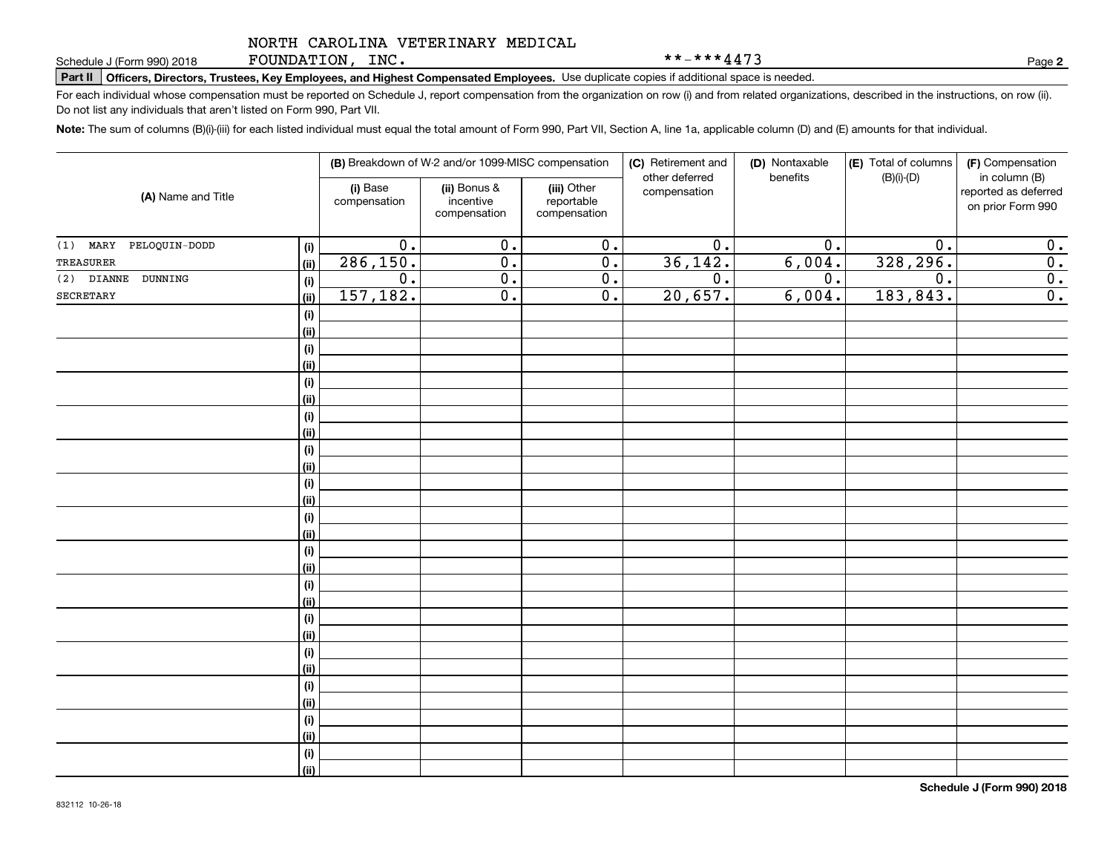FOUNDATION, INC.

\*\*-\*\*\*4473

**2**

# **Part II Officers, Directors, Trustees, Key Employees, and Highest Compensated Employees.**  Schedule J (Form 990) 2018 Page Use duplicate copies if additional space is needed.

For each individual whose compensation must be reported on Schedule J, report compensation from the organization on row (i) and from related organizations, described in the instructions, on row (ii). Do not list any individuals that aren't listed on Form 990, Part VII.

**Note:**  The sum of columns (B)(i)-(iii) for each listed individual must equal the total amount of Form 990, Part VII, Section A, line 1a, applicable column (D) and (E) amounts for that individual.

|                             |                    | (B) Breakdown of W-2 and/or 1099-MISC compensation |                                           | (C) Retirement and                        | (D) Nontaxable                 | (E) Total of columns | (F) Compensation |                                                            |
|-----------------------------|--------------------|----------------------------------------------------|-------------------------------------------|-------------------------------------------|--------------------------------|----------------------|------------------|------------------------------------------------------------|
| (A) Name and Title          |                    | (i) Base<br>compensation                           | (ii) Bonus &<br>incentive<br>compensation | (iii) Other<br>reportable<br>compensation | other deferred<br>compensation | benefits             | $(B)(i)-(D)$     | in column (B)<br>reported as deferred<br>on prior Form 990 |
| $(1)$ MARY<br>PELOQUIN-DODD | $(\sf{i})$         | $\overline{0}$ .                                   | $\overline{0}$ .                          | $\overline{0}$ .                          | $\overline{0}$ .               | $\overline{0}$ .     | $\overline{0}$ . | 0.                                                         |
| TREASURER                   | (ii)               | 286, 150.                                          | $\overline{0}$ .                          | $\overline{0}$ .                          | 36, 142.                       | 6,004.               | 328,296.         | $\overline{\mathbf{0}}$ .                                  |
| $(2)$ DIANNE<br>DUNNING     | (i)                | $\overline{0}$ .                                   | $\overline{0}$ .                          | 0.                                        | $\overline{0}$ .               | $\overline{0}$ .     | $\overline{0}$ . | $\overline{\mathbf{0}}$ .                                  |
| SECRETARY                   | (ii)               | 157, 182.                                          | $\overline{0}$ .                          | $\overline{0}$ .                          | 20,657.                        | 6,004.               | 183,843.         | $\overline{0}$ .                                           |
|                             | $(\sf{i})$         |                                                    |                                           |                                           |                                |                      |                  |                                                            |
|                             | (ii)               |                                                    |                                           |                                           |                                |                      |                  |                                                            |
|                             | $(\sf{i})$         |                                                    |                                           |                                           |                                |                      |                  |                                                            |
|                             | (ii)               |                                                    |                                           |                                           |                                |                      |                  |                                                            |
|                             | $(\sf{i})$         |                                                    |                                           |                                           |                                |                      |                  |                                                            |
|                             | (i)                |                                                    |                                           |                                           |                                |                      |                  |                                                            |
|                             | $(\sf{i})$         |                                                    |                                           |                                           |                                |                      |                  |                                                            |
|                             | (i)                |                                                    |                                           |                                           |                                |                      |                  |                                                            |
|                             | $(\sf{i})$         |                                                    |                                           |                                           |                                |                      |                  |                                                            |
|                             | (i)                |                                                    |                                           |                                           |                                |                      |                  |                                                            |
|                             | $(\sf{i})$         |                                                    |                                           |                                           |                                |                      |                  |                                                            |
|                             | (ii)               |                                                    |                                           |                                           |                                |                      |                  |                                                            |
|                             | $(\sf{i})$<br>(ii) |                                                    |                                           |                                           |                                |                      |                  |                                                            |
|                             | $(\sf{i})$         |                                                    |                                           |                                           |                                |                      |                  |                                                            |
|                             | (ii)               |                                                    |                                           |                                           |                                |                      |                  |                                                            |
|                             | $(\sf{i})$         |                                                    |                                           |                                           |                                |                      |                  |                                                            |
|                             | (ii)               |                                                    |                                           |                                           |                                |                      |                  |                                                            |
|                             | $(\sf{i})$         |                                                    |                                           |                                           |                                |                      |                  |                                                            |
|                             | (ii)               |                                                    |                                           |                                           |                                |                      |                  |                                                            |
|                             | $(\sf{i})$         |                                                    |                                           |                                           |                                |                      |                  |                                                            |
|                             | (ii)               |                                                    |                                           |                                           |                                |                      |                  |                                                            |
|                             | $(\sf{i})$         |                                                    |                                           |                                           |                                |                      |                  |                                                            |
|                             | (ii)               |                                                    |                                           |                                           |                                |                      |                  |                                                            |
|                             | $(\sf{i})$         |                                                    |                                           |                                           |                                |                      |                  |                                                            |
|                             | (ii)               |                                                    |                                           |                                           |                                |                      |                  |                                                            |
|                             | (i)                |                                                    |                                           |                                           |                                |                      |                  |                                                            |
|                             | (ii)               |                                                    |                                           |                                           |                                |                      |                  |                                                            |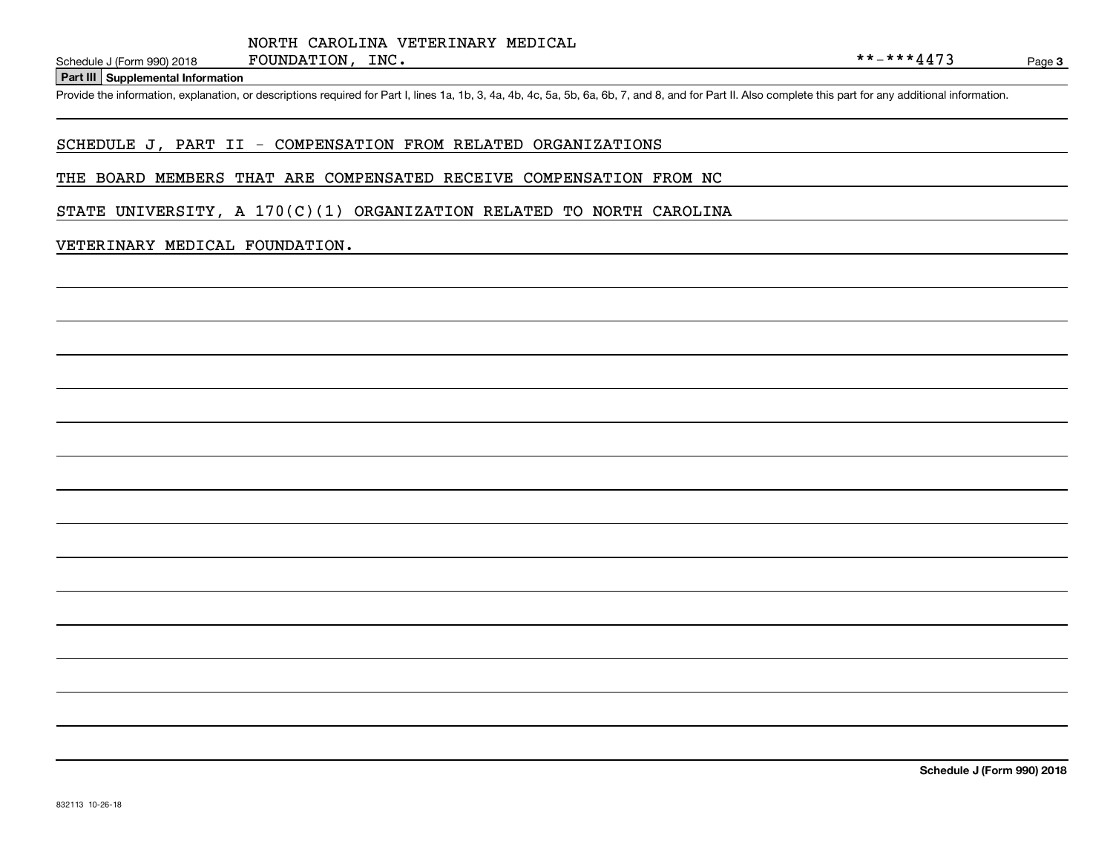#### **Part III Supplemental Information**

Schedule J (Form 990) 2018 FOUNDATION, INC.<br>Part III Supplemental Information<br>Provide the information, explanation, or descriptions required for Part I, lines 1a, 1b, 3, 4a, 4b, 4c, 5a, 5b, 6a, 6b, 7, and 8, and for Part

#### SCHEDULE J, PART II - COMPENSATION FROM RELATED ORGANIZATIONS

#### THE BOARD MEMBERS THAT ARE COMPENSATED RECEIVE COMPENSATION FROM NC

STATE UNIVERSITY, A  $170(C)(1)$  ORGANIZATION RELATED TO NORTH CAROLINA

#### VETERINARY MEDICAL FOUNDATION.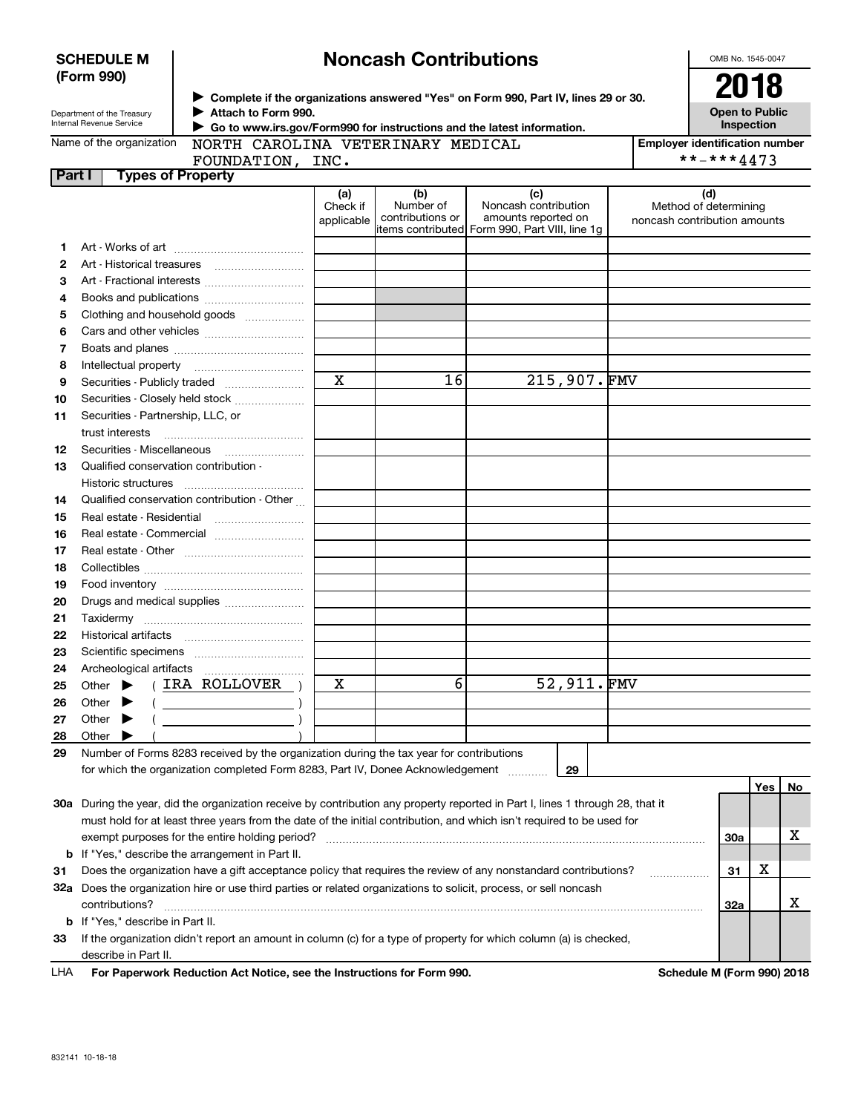| <b>SCHEDULE M</b> |  |
|-------------------|--|
| (Form 990)        |  |

## **Noncash Contributions**

OMB No. 1545-0047

| Department of the Treasury |
|----------------------------|
| Internal Revenue Service   |

**Complete if the organizations answered "Yes" on Form 990, Part IV, lines 29 or 30.** <sup>J</sup>**2018 Attach to Form 990.** J

**Open to Public Inspection**

| Name of the organization |  |
|--------------------------|--|
|--------------------------|--|

 **Go to www.irs.gov/Form990 for instructions and the latest information.** J

NORTH CAROLINA VETERINARY MEDICAL

**Employer identification number** \*\*-\*\*\*4473

|  | 100111111011, 11001             |  |
|--|---------------------------------|--|
|  | <b>Part I</b> Types of Property |  |
|  |                                 |  |

| FOUNDATION, INC. |  |
|------------------|--|
| opertv           |  |

|     |                                                                                                                                | (a)<br>Check if<br>applicable | (b)<br>Number of<br>contributions or | (c)<br>Noncash contribution<br>amounts reported on<br>items contributed Form 990, Part VIII, line 1g | (d)<br>Method of determining<br>noncash contribution amounts |            |     |    |
|-----|--------------------------------------------------------------------------------------------------------------------------------|-------------------------------|--------------------------------------|------------------------------------------------------------------------------------------------------|--------------------------------------------------------------|------------|-----|----|
| 1.  |                                                                                                                                |                               |                                      |                                                                                                      |                                                              |            |     |    |
| 2   | Art - Historical treasures                                                                                                     |                               |                                      |                                                                                                      |                                                              |            |     |    |
| з   | Art - Fractional interests                                                                                                     |                               |                                      |                                                                                                      |                                                              |            |     |    |
| 4   | Books and publications                                                                                                         |                               |                                      |                                                                                                      |                                                              |            |     |    |
| 5   | Clothing and household goods                                                                                                   |                               |                                      |                                                                                                      |                                                              |            |     |    |
| 6   |                                                                                                                                |                               |                                      |                                                                                                      |                                                              |            |     |    |
| 7   |                                                                                                                                |                               |                                      |                                                                                                      |                                                              |            |     |    |
| 8   | Intellectual property                                                                                                          |                               |                                      |                                                                                                      |                                                              |            |     |    |
| 9   | Securities - Publicly traded                                                                                                   | $\mathbf X$                   | 16                                   | 215,907.FMV                                                                                          |                                                              |            |     |    |
| 10  | Securities - Closely held stock                                                                                                |                               |                                      |                                                                                                      |                                                              |            |     |    |
| 11  | Securities - Partnership, LLC, or                                                                                              |                               |                                      |                                                                                                      |                                                              |            |     |    |
|     | trust interests                                                                                                                |                               |                                      |                                                                                                      |                                                              |            |     |    |
| 12  | Securities - Miscellaneous                                                                                                     |                               |                                      |                                                                                                      |                                                              |            |     |    |
| 13  | Qualified conservation contribution -                                                                                          |                               |                                      |                                                                                                      |                                                              |            |     |    |
|     | Historic structures                                                                                                            |                               |                                      |                                                                                                      |                                                              |            |     |    |
| 14  | Qualified conservation contribution - Other                                                                                    |                               |                                      |                                                                                                      |                                                              |            |     |    |
| 15  | Real estate - Residential                                                                                                      |                               |                                      |                                                                                                      |                                                              |            |     |    |
| 16  | Real estate - Commercial                                                                                                       |                               |                                      |                                                                                                      |                                                              |            |     |    |
| 17  |                                                                                                                                |                               |                                      |                                                                                                      |                                                              |            |     |    |
| 18  |                                                                                                                                |                               |                                      |                                                                                                      |                                                              |            |     |    |
| 19  |                                                                                                                                |                               |                                      |                                                                                                      |                                                              |            |     |    |
| 20  | Drugs and medical supplies                                                                                                     |                               |                                      |                                                                                                      |                                                              |            |     |    |
| 21  |                                                                                                                                |                               |                                      |                                                                                                      |                                                              |            |     |    |
| 22  |                                                                                                                                |                               |                                      |                                                                                                      |                                                              |            |     |    |
| 23  |                                                                                                                                |                               |                                      |                                                                                                      |                                                              |            |     |    |
| 24  |                                                                                                                                |                               |                                      |                                                                                                      |                                                              |            |     |    |
| 25  | (IRA ROLLOVER)<br>Other $\blacktriangleright$                                                                                  | х                             | 6                                    | 52,911.FMV                                                                                           |                                                              |            |     |    |
| 26  | Other<br>▸<br>$\left(\begin{array}{ccc}\n\end{array}\right)$                                                                   |                               |                                      |                                                                                                      |                                                              |            |     |    |
| 27  | $\begin{array}{c c} \hline \hline \end{array}$<br>Other<br>▸                                                                   |                               |                                      |                                                                                                      |                                                              |            |     |    |
| 28  | Other                                                                                                                          |                               |                                      |                                                                                                      |                                                              |            |     |    |
| 29  | Number of Forms 8283 received by the organization during the tax year for contributions                                        |                               |                                      |                                                                                                      |                                                              |            |     |    |
|     | for which the organization completed Form 8283, Part IV, Donee Acknowledgement                                                 |                               |                                      | 29                                                                                                   |                                                              |            |     |    |
|     |                                                                                                                                |                               |                                      |                                                                                                      |                                                              |            | Yes | No |
|     | 30a During the year, did the organization receive by contribution any property reported in Part I, lines 1 through 28, that it |                               |                                      |                                                                                                      |                                                              |            |     |    |
|     | must hold for at least three years from the date of the initial contribution, and which isn't required to be used for          |                               |                                      |                                                                                                      |                                                              |            |     |    |
|     | exempt purposes for the entire holding period?                                                                                 |                               |                                      |                                                                                                      |                                                              | <b>30a</b> |     | x  |
| b   | If "Yes," describe the arrangement in Part II.                                                                                 |                               |                                      |                                                                                                      |                                                              |            |     |    |
| 31  | Does the organization have a gift acceptance policy that requires the review of any nonstandard contributions?                 |                               |                                      |                                                                                                      |                                                              | 31         | х   |    |
| 32a | Does the organization hire or use third parties or related organizations to solicit, process, or sell noncash                  |                               |                                      |                                                                                                      |                                                              |            |     |    |
|     | contributions?                                                                                                                 |                               |                                      |                                                                                                      |                                                              | 32a        |     | x  |
| b   | If "Yes," describe in Part II.                                                                                                 |                               |                                      |                                                                                                      |                                                              |            |     |    |
| 33  | If the organization didn't report an amount in column (c) for a type of property for which column (a) is checked,              |                               |                                      |                                                                                                      |                                                              |            |     |    |
|     | describe in Part II.                                                                                                           |                               |                                      |                                                                                                      |                                                              |            |     |    |

| LHA | For Paperwork Reduction Act Notice, see the Instructions for Form 990. |
|-----|------------------------------------------------------------------------|
|     |                                                                        |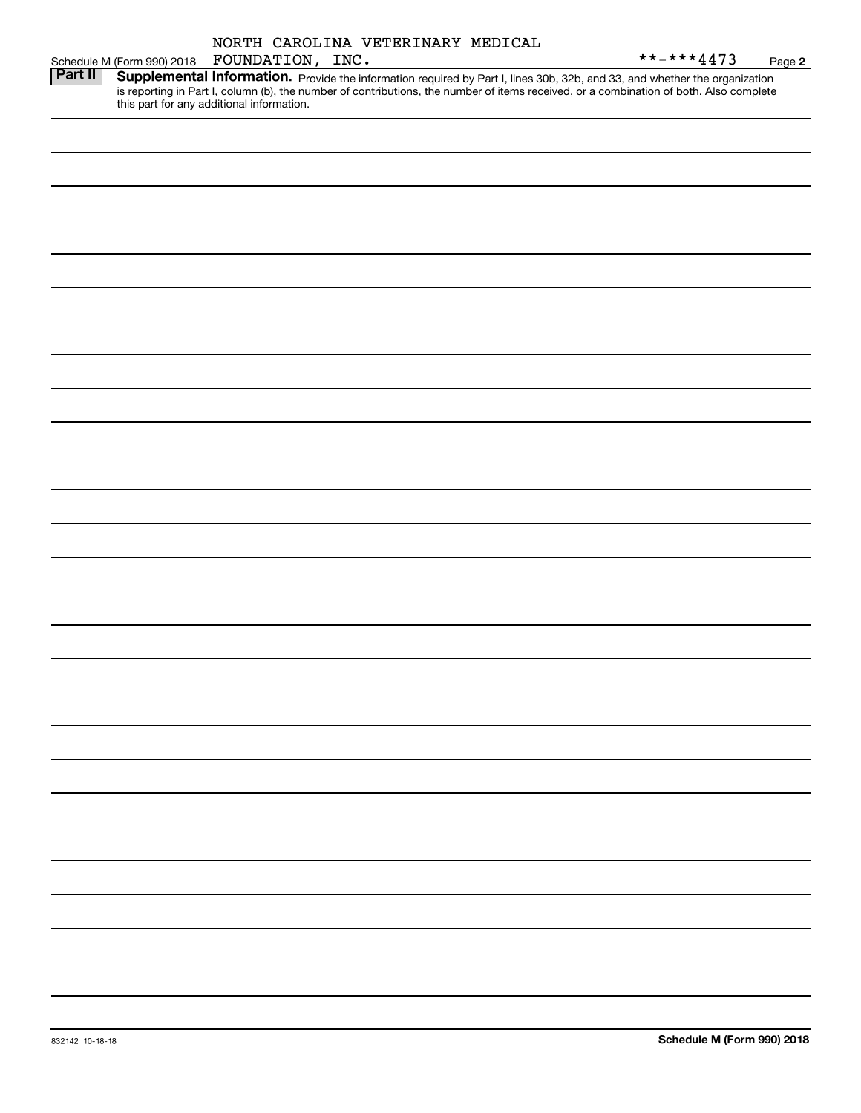|         | Schedule M (Form 990) 2018 | FOUNDATION, INC.                          | NORTH CAROLINA VETERINARY MEDICAL |  | **-***4473                                                                                                                                                                                                                                                           | Page 2 |
|---------|----------------------------|-------------------------------------------|-----------------------------------|--|----------------------------------------------------------------------------------------------------------------------------------------------------------------------------------------------------------------------------------------------------------------------|--------|
| Part II |                            | this part for any additional information. |                                   |  | Supplemental Information. Provide the information required by Part I, lines 30b, 32b, and 33, and whether the organization<br>is reporting in Part I, column (b), the number of contributions, the number of items received, or a combination of both. Also complete |        |
|         |                            |                                           |                                   |  |                                                                                                                                                                                                                                                                      |        |
|         |                            |                                           |                                   |  |                                                                                                                                                                                                                                                                      |        |
|         |                            |                                           |                                   |  |                                                                                                                                                                                                                                                                      |        |
|         |                            |                                           |                                   |  |                                                                                                                                                                                                                                                                      |        |
|         |                            |                                           |                                   |  |                                                                                                                                                                                                                                                                      |        |
|         |                            |                                           |                                   |  |                                                                                                                                                                                                                                                                      |        |

 $\overline{\phantom{0}}$ 

-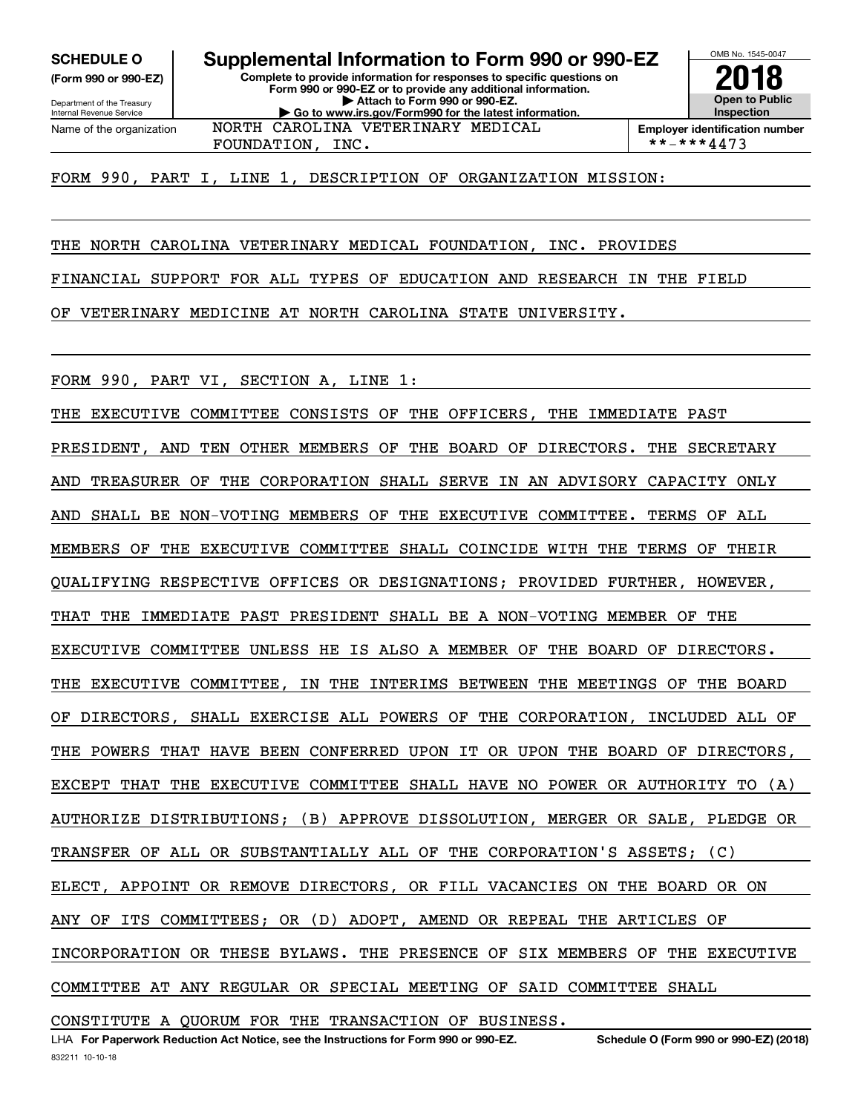**(Form 990 or 990-EZ)**

Department of the Treasury Internal Revenue Service Name of the organization

**Complete to provide information for responses to specific questions on Form 990 or 990-EZ or to provide any additional information. | Attach to Form 990 or 990-EZ. | Go to www.irs.gov/Form990 for the latest information. SCHEDULE O Supplemental Information to Form 990 or 990-EZ** NORTH CAROLINA VETERINARY MEDICAL

**Open to Public InspectionEmployer identification number**

OMB No. 1545-0047

**2018**

FOUNDATION, INC.  $| **-***4473$ 

FORM 990, PART I, LINE 1, DESCRIPTION OF ORGANIZATION MISSION:

THE NORTH CAROLINA VETERINARY MEDICAL FOUNDATION, INC. PROVIDES

FINANCIAL SUPPORT FOR ALL TYPES OF EDUCATION AND RESEARCH IN THE FIELD

OF VETERINARY MEDICINE AT NORTH CAROLINA STATE UNIVERSITY.

FORM 990, PART VI, SECTION A, LINE 1:

THE EXECUTIVE COMMITTEE CONSISTS OF THE OFFICERS, THE IMMEDIATE PAST PRESIDENT, AND TEN OTHER MEMBERS OF THE BOARD OF DIRECTORS. THE SECRETARY AND TREASURER OF THE CORPORATION SHALL SERVE IN AN ADVISORY CAPACITY ONLY AND SHALL BE NON-VOTING MEMBERS OF THE EXECUTIVE COMMITTEE. TERMS OF ALL MEMBERS OF THE EXECUTIVE COMMITTEE SHALL COINCIDE WITH THE TERMS OF THEIR QUALIFYING RESPECTIVE OFFICES OR DESIGNATIONS; PROVIDED FURTHER, HOWEVER, THAT THE IMMEDIATE PAST PRESIDENT SHALL BE A NON-VOTING MEMBER OF THE EXECUTIVE COMMITTEE UNLESS HE IS ALSO A MEMBER OF THE BOARD OF DIRECTORS. THE EXECUTIVE COMMITTEE, IN THE INTERIMS BETWEEN THE MEETINGS OF THE BOARD OF DIRECTORS, SHALL EXERCISE ALL POWERS OF THE CORPORATION, INCLUDED ALL OF THE POWERS THAT HAVE BEEN CONFERRED UPON IT OR UPON THE BOARD OF DIRECTORS, EXCEPT THAT THE EXECUTIVE COMMITTEE SHALL HAVE NO POWER OR AUTHORITY TO (A) AUTHORIZE DISTRIBUTIONS; (B) APPROVE DISSOLUTION, MERGER OR SALE, PLEDGE OR TRANSFER OF ALL OR SUBSTANTIALLY ALL OF THE CORPORATION'S ASSETS; (C) ELECT, APPOINT OR REMOVE DIRECTORS, OR FILL VACANCIES ON THE BOARD OR ON ANY OF ITS COMMITTEES; OR (D) ADOPT, AMEND OR REPEAL THE ARTICLES OF INCORPORATION OR THESE BYLAWS. THE PRESENCE OF SIX MEMBERS OF THE EXECUTIVE COMMITTEE AT ANY REGULAR OR SPECIAL MEETING OF SAID COMMITTEE SHALL

CONSTITUTE A QUORUM FOR THE TRANSACTION OF BUSINESS.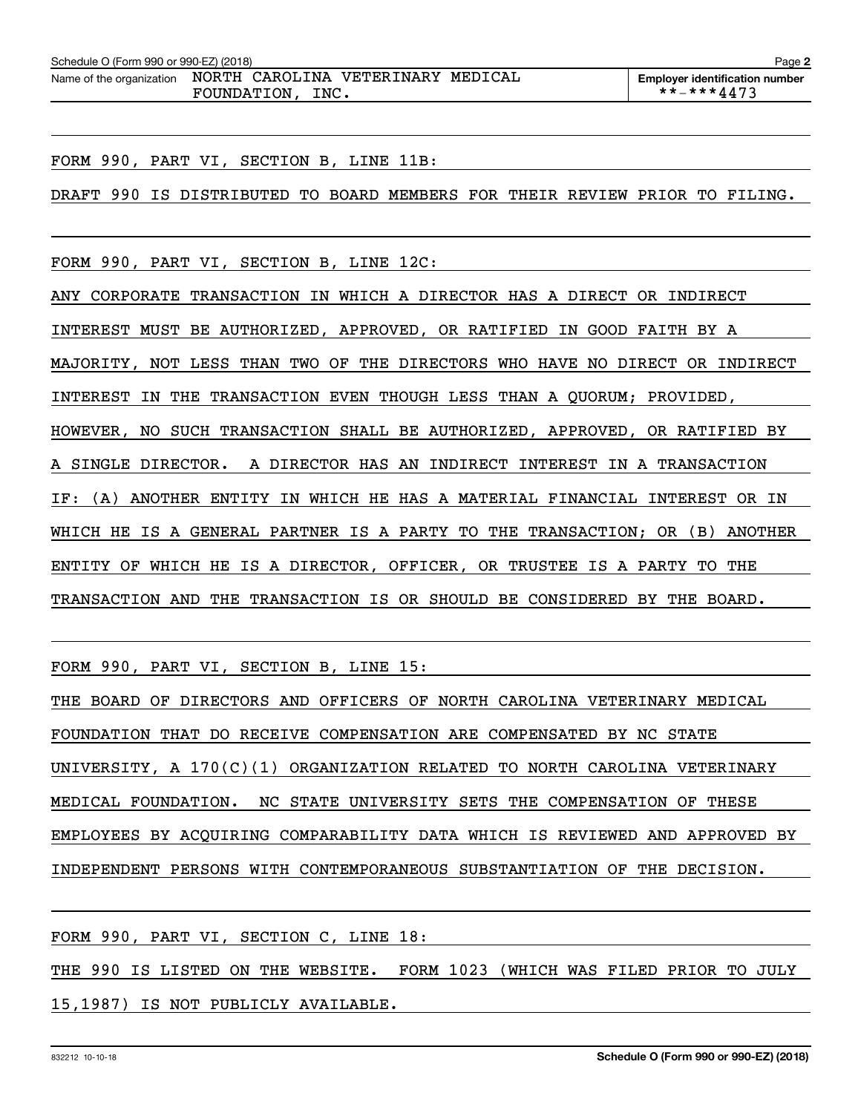| Schedule O (Form 990 or 990-EZ) (2018) |                                                                |  | Page 2                                |
|----------------------------------------|----------------------------------------------------------------|--|---------------------------------------|
|                                        | Name of the organization  NORTH  CAROLINA  VETERINARY  MEDICAL |  | <b>Emplover identification number</b> |
|                                        | INC.<br>FOUNDATION,                                            |  | **-***4473                            |

FORM 990, PART VI, SECTION B, LINE 11B:

DRAFT 990 IS DISTRIBUTED TO BOARD MEMBERS FOR THEIR REVIEW PRIOR TO FILING.

FORM 990, PART VI, SECTION B, LINE 12C:

ANY CORPORATE TRANSACTION IN WHICH A DIRECTOR HAS A DIRECT OR INDIRECT INTEREST MUST BE AUTHORIZED, APPROVED, OR RATIFIED IN GOOD FAITH BY A MAJORITY, NOT LESS THAN TWO OF THE DIRECTORS WHO HAVE NO DIRECT OR INDIRECT INTEREST IN THE TRANSACTION EVEN THOUGH LESS THAN A QUORUM; PROVIDED, HOWEVER, NO SUCH TRANSACTION SHALL BE AUTHORIZED, APPROVED, OR RATIFIED BY A SINGLE DIRECTOR. A DIRECTOR HAS AN INDIRECT INTEREST IN A TRANSACTION IF: (A) ANOTHER ENTITY IN WHICH HE HAS A MATERIAL FINANCIAL INTEREST OR IN WHICH HE IS A GENERAL PARTNER IS A PARTY TO THE TRANSACTION; OR (B) ANOTHER ENTITY OF WHICH HE IS A DIRECTOR, OFFICER, OR TRUSTEE IS A PARTY TO THE TRANSACTION AND THE TRANSACTION IS OR SHOULD BE CONSIDERED BY THE BOARD.

FORM 990, PART VI, SECTION B, LINE 15:

THE BOARD OF DIRECTORS AND OFFICERS OF NORTH CAROLINA VETERINARY MEDICAL FOUNDATION THAT DO RECEIVE COMPENSATION ARE COMPENSATED BY NC STATE UNIVERSITY, A 170(C)(1) ORGANIZATION RELATED TO NORTH CAROLINA VETERINARY MEDICAL FOUNDATION. NC STATE UNIVERSITY SETS THE COMPENSATION OF THESE EMPLOYEES BY ACQUIRING COMPARABILITY DATA WHICH IS REVIEWED AND APPROVED BY INDEPENDENT PERSONS WITH CONTEMPORANEOUS SUBSTANTIATION OF THE DECISION.

FORM 990, PART VI, SECTION C, LINE 18:

THE 990 IS LISTED ON THE WEBSITE. FORM 1023 (WHICH WAS FILED PRIOR TO JULY 15,1987) IS NOT PUBLICLY AVAILABLE.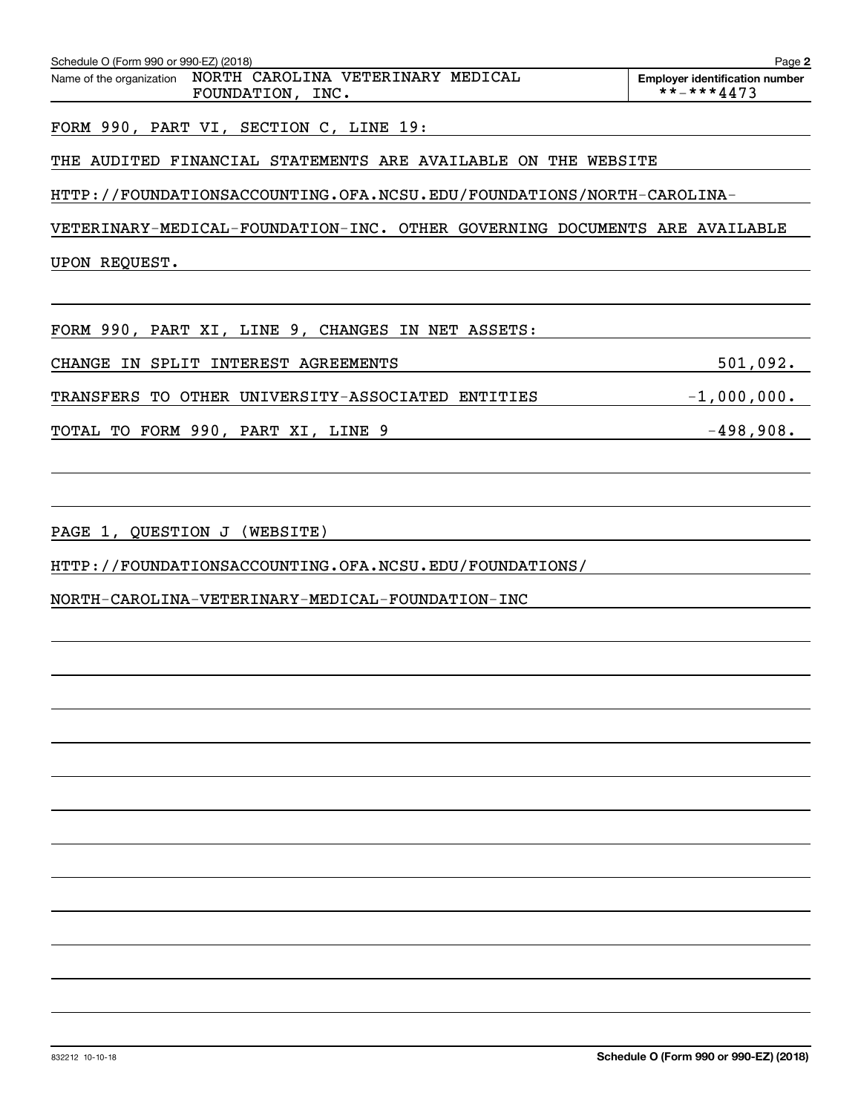| Schedule O (Form 990 or 990-EZ) (2018)<br>Name of the organization  NORTH  CAROLINA  VETERINARY  MEDICAL | Page 2<br><b>Employer identification number</b> |
|----------------------------------------------------------------------------------------------------------|-------------------------------------------------|
| FOUNDATION, INC.                                                                                         | **-***4473                                      |
| FORM 990, PART VI, SECTION C, LINE 19:                                                                   |                                                 |
| THE AUDITED FINANCIAL STATEMENTS ARE AVAILABLE ON THE WEBSITE                                            |                                                 |
| HTTP://FOUNDATIONSACCOUNTING.OFA.NCSU.EDU/FOUNDATIONS/NORTH-CAROLINA-                                    |                                                 |
| VETERINARY-MEDICAL-FOUNDATION-INC. OTHER GOVERNING DOCUMENTS ARE AVAILABLE                               |                                                 |
| UPON REQUEST.                                                                                            |                                                 |
|                                                                                                          |                                                 |
| FORM 990, PART XI, LINE 9, CHANGES IN NET ASSETS:                                                        |                                                 |
| CHANGE IN SPLIT INTEREST AGREEMENTS                                                                      | 501,092.                                        |
| TRANSFERS TO OTHER UNIVERSITY-ASSOCIATED ENTITIES                                                        | $-1,000,000.$                                   |
| TOTAL TO FORM 990, PART XI, LINE 9                                                                       | $-498,908.$                                     |
|                                                                                                          |                                                 |
|                                                                                                          |                                                 |
| PAGE 1, QUESTION J (WEBSITE)                                                                             |                                                 |
| HTTP://FOUNDATIONSACCOUNTING.OFA.NCSU.EDU/FOUNDATIONS/                                                   |                                                 |
| NORTH-CAROLINA-VETERINARY-MEDICAL-FOUNDATION-INC                                                         |                                                 |
|                                                                                                          |                                                 |
|                                                                                                          |                                                 |
|                                                                                                          |                                                 |
|                                                                                                          |                                                 |
|                                                                                                          |                                                 |
|                                                                                                          |                                                 |
|                                                                                                          |                                                 |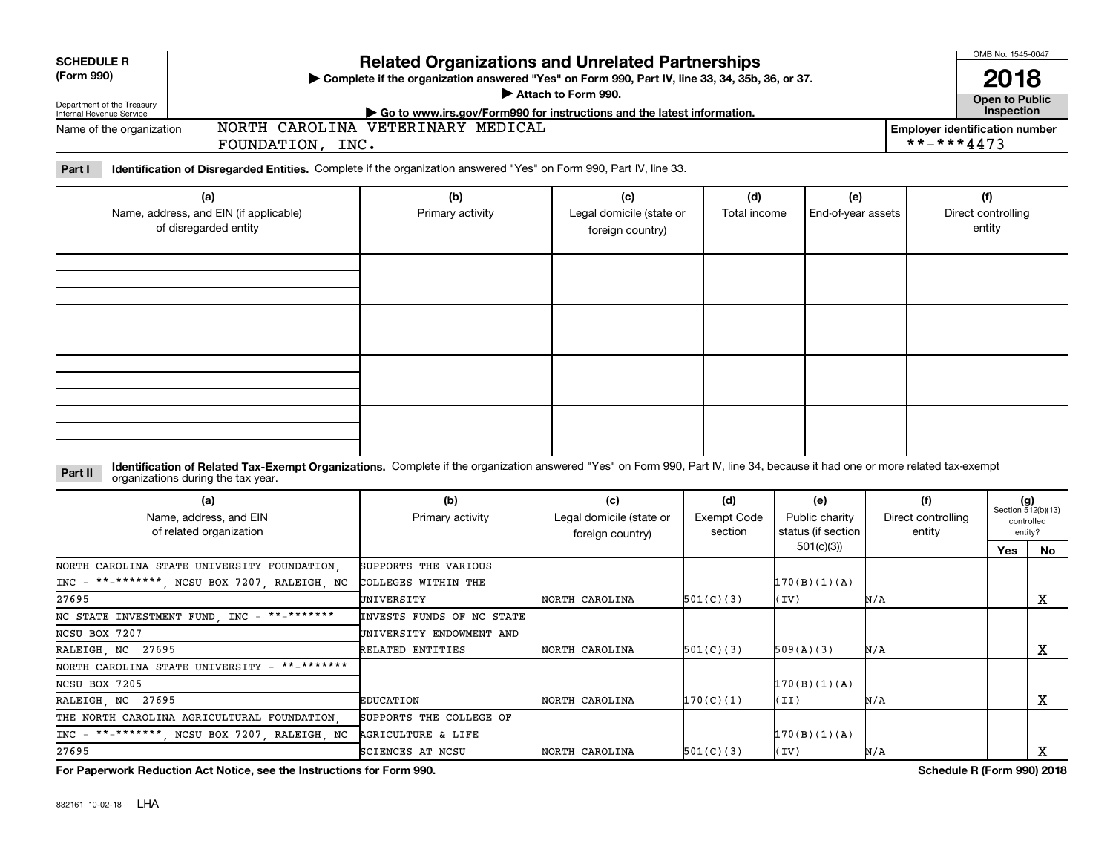| <b>SCHEDULE R</b>                                      |                                                                                                                                                                                                                    |                                                                                                                                                             |                          |                    |                                    |     |                                                     | OMB No. 1545-0047                   |                             |  |
|--------------------------------------------------------|--------------------------------------------------------------------------------------------------------------------------------------------------------------------------------------------------------------------|-------------------------------------------------------------------------------------------------------------------------------------------------------------|--------------------------|--------------------|------------------------------------|-----|-----------------------------------------------------|-------------------------------------|-----------------------------|--|
| (Form 990)                                             |                                                                                                                                                                                                                    | <b>Related Organizations and Unrelated Partnerships</b><br>> Complete if the organization answered "Yes" on Form 990, Part IV, line 33, 34, 35b, 36, or 37. |                          |                    |                                    |     |                                                     | 2018                                |                             |  |
|                                                        |                                                                                                                                                                                                                    |                                                                                                                                                             | Attach to Form 990.      |                    |                                    |     |                                                     |                                     |                             |  |
| Department of the Treasury<br>Internal Revenue Service |                                                                                                                                                                                                                    | Go to www.irs.gov/Form990 for instructions and the latest information.                                                                                      |                          |                    |                                    |     |                                                     | <b>Open to Public</b><br>Inspection |                             |  |
| Name of the organization                               | FOUNDATION, INC.                                                                                                                                                                                                   | NORTH CAROLINA VETERINARY MEDICAL                                                                                                                           |                          |                    |                                    |     | <b>Employer identification number</b><br>**-***4473 |                                     |                             |  |
| Part I                                                 | Identification of Disregarded Entities. Complete if the organization answered "Yes" on Form 990, Part IV, line 33.                                                                                                 |                                                                                                                                                             |                          |                    |                                    |     |                                                     |                                     |                             |  |
|                                                        | (a)                                                                                                                                                                                                                | (b)                                                                                                                                                         | (c)                      | (d)                | (e)                                |     |                                                     | (f)                                 |                             |  |
|                                                        | Name, address, and EIN (if applicable)<br>of disregarded entity                                                                                                                                                    | Primary activity<br>Legal domicile (state or<br>foreign country)                                                                                            |                          |                    | Total income<br>End-of-year assets |     |                                                     | Direct controlling<br>entity        |                             |  |
|                                                        |                                                                                                                                                                                                                    |                                                                                                                                                             |                          |                    |                                    |     |                                                     |                                     |                             |  |
|                                                        |                                                                                                                                                                                                                    |                                                                                                                                                             |                          |                    |                                    |     |                                                     |                                     |                             |  |
|                                                        |                                                                                                                                                                                                                    |                                                                                                                                                             |                          |                    |                                    |     |                                                     |                                     |                             |  |
|                                                        |                                                                                                                                                                                                                    |                                                                                                                                                             |                          |                    |                                    |     |                                                     |                                     |                             |  |
|                                                        |                                                                                                                                                                                                                    |                                                                                                                                                             |                          |                    |                                    |     |                                                     |                                     |                             |  |
|                                                        |                                                                                                                                                                                                                    |                                                                                                                                                             |                          |                    |                                    |     |                                                     |                                     |                             |  |
| Part II                                                | Identification of Related Tax-Exempt Organizations. Complete if the organization answered "Yes" on Form 990, Part IV, line 34, because it had one or more related tax-exempt<br>organizations during the tax year. |                                                                                                                                                             |                          |                    |                                    |     |                                                     |                                     |                             |  |
|                                                        | (a)                                                                                                                                                                                                                | (b)                                                                                                                                                         | (c)                      | (d)                | (e)                                |     | (f)                                                 |                                     | $(g)$<br>Section 512(b)(13) |  |
|                                                        | Name, address, and EIN                                                                                                                                                                                             | Primary activity                                                                                                                                            | Legal domicile (state or | <b>Exempt Code</b> | Public charity                     |     | Direct controlling                                  |                                     | controlled                  |  |
|                                                        | of related organization                                                                                                                                                                                            |                                                                                                                                                             | foreign country)         | section            | status (if section                 |     | entity                                              |                                     | entity?                     |  |
|                                                        |                                                                                                                                                                                                                    |                                                                                                                                                             |                          |                    | 501(c)(3)                          |     |                                                     | Yes                                 | No                          |  |
|                                                        | NORTH CAROLINA STATE UNIVERSITY FOUNDATION                                                                                                                                                                         | SUPPORTS THE VARIOUS                                                                                                                                        |                          |                    |                                    |     |                                                     |                                     |                             |  |
| $INC -$                                                | **-*******, NCSU BOX 7207, RALEIGH, NC                                                                                                                                                                             | COLLEGES WITHIN THE                                                                                                                                         |                          |                    | 170(B)(1)(A)                       |     |                                                     |                                     |                             |  |
| 27695                                                  |                                                                                                                                                                                                                    | UNIVERSITY                                                                                                                                                  | NORTH CAROLINA           | 501(C)(3)          | (IV)                               | N/A |                                                     |                                     | X                           |  |
| NC STATE INVESTMENT FUND, INC                          | $***$ ********                                                                                                                                                                                                     | INVESTS FUNDS OF NC STATE                                                                                                                                   |                          |                    |                                    |     |                                                     |                                     |                             |  |
| NCSU BOX 7207                                          |                                                                                                                                                                                                                    | UNIVERSITY ENDOWMENT AND                                                                                                                                    |                          |                    |                                    |     |                                                     |                                     |                             |  |
| RALEIGH NC 27695                                       |                                                                                                                                                                                                                    | RELATED ENTITIES                                                                                                                                            | NORTH CAROLINA           | 501(C)(3)          | 509(A)(3)                          | N/A |                                                     |                                     | x                           |  |
| NORTH CAROLINA STATE UNIVERSITY                        | $***$ ********                                                                                                                                                                                                     |                                                                                                                                                             |                          |                    |                                    |     |                                                     |                                     |                             |  |
| NCSU BOX 7205                                          |                                                                                                                                                                                                                    |                                                                                                                                                             |                          |                    | 170(B)(1)(A)                       |     |                                                     |                                     |                             |  |
| RALEIGH, NC 27695                                      |                                                                                                                                                                                                                    | <b>EDUCATION</b>                                                                                                                                            | NORTH CAROLINA           | 170(C)(1)          | (II)                               | N/A |                                                     |                                     | х                           |  |
|                                                        | THE NORTH CAROLINA AGRICULTURAL FOUNDATION                                                                                                                                                                         | SUPPORTS THE COLLEGE OF                                                                                                                                     |                          |                    |                                    |     |                                                     |                                     |                             |  |
|                                                        | INC - **-*******, NCSU BOX 7207, RALEIGH, NC                                                                                                                                                                       | <b>AGRICULTURE &amp; LIFE</b>                                                                                                                               |                          |                    | 170(B)(1)(A)                       |     |                                                     |                                     |                             |  |
| 27695                                                  |                                                                                                                                                                                                                    | <b>SCIENCES AT NCSU</b>                                                                                                                                     | NORTH CAROLINA           | 501(C)(3)          | (TV)                               | N/A |                                                     |                                     | X                           |  |

**For Paperwork Reduction Act Notice, see the Instructions for Form 990. Schedule R (Form 990) 2018**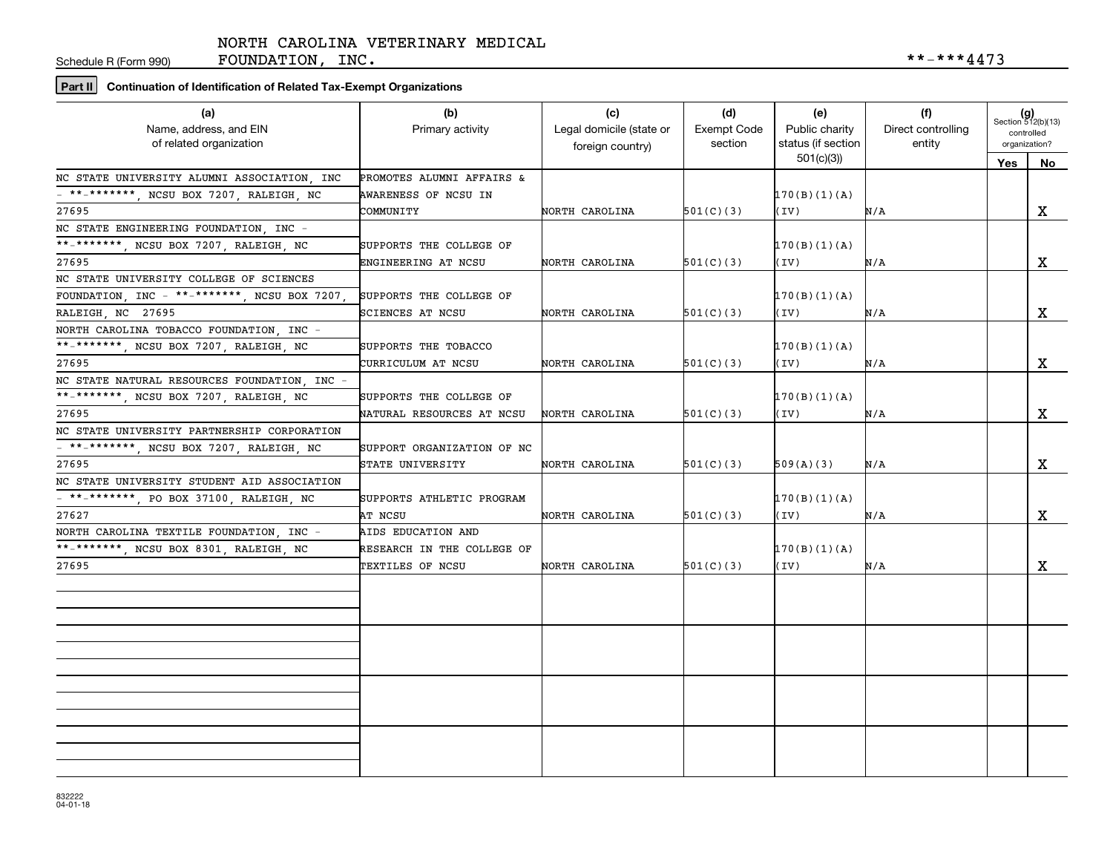Schedule R (Form 990)

FOUNDATION, INC.  $***-4473$ 

### **Part II Continuation of Identification of Related Tax-Exempt Organizations**

| (a)<br>Name, address, and EIN<br>of related organization          | (b)<br>Primary activity    | (c)<br>Legal domicile (state or<br>foreign country) | (d)<br>Exempt Code<br>section | (e)<br>Public charity<br>status (if section | (f)<br>Direct controlling<br>entity | $(g)$<br>Section 512(b)(13)<br>controlled<br>organization? |    |
|-------------------------------------------------------------------|----------------------------|-----------------------------------------------------|-------------------------------|---------------------------------------------|-------------------------------------|------------------------------------------------------------|----|
|                                                                   |                            |                                                     |                               | 501(c)(3)                                   |                                     | Yes                                                        | No |
| NC STATE UNIVERSITY ALUMNI ASSOCIATION, INC                       | PROMOTES ALUMNI AFFAIRS &  |                                                     |                               |                                             |                                     |                                                            |    |
| - **-*******, NCSU BOX 7207, RALEIGH, NC                          | AWARENESS OF NCSU IN       |                                                     |                               | 170(B)(1)(A)                                |                                     |                                                            |    |
| 27695                                                             | COMMUNITY                  | NORTH CAROLINA                                      | 501(C)(3)                     | (IV)                                        | N/A                                 |                                                            | X  |
| NC STATE ENGINEERING FOUNDATION, INC -                            |                            |                                                     |                               |                                             |                                     |                                                            |    |
| **_*******, NCSU BOX 7207, RALEIGH, NC                            | SUPPORTS THE COLLEGE OF    |                                                     |                               | 170(B)(1)(A)                                |                                     |                                                            |    |
| 27695                                                             | ENGINEERING AT NCSU        | NORTH CAROLINA                                      | 501(C)(3)                     | (IV)                                        | N/A                                 |                                                            | x  |
| NC STATE UNIVERSITY COLLEGE OF SCIENCES                           |                            |                                                     |                               |                                             |                                     |                                                            |    |
| FOUNDATION, INC - **-*******, NCSU BOX 7207,                      | SUPPORTS THE COLLEGE OF    |                                                     |                               | 170(B)(1)(A)                                |                                     |                                                            |    |
| RALEIGH, NC 27695                                                 | SCIENCES AT NCSU           | NORTH CAROLINA                                      | 501(C)(3)                     | (IV)                                        | N/A                                 |                                                            | X  |
| NORTH CAROLINA TOBACCO FOUNDATION, INC -                          |                            |                                                     |                               |                                             |                                     |                                                            |    |
| **_*******, NCSU BOX 7207, RALEIGH, NC                            | SUPPORTS THE TOBACCO       |                                                     |                               | 170(B)(1)(A)                                |                                     |                                                            |    |
| 27695                                                             | CURRICULUM AT NCSU         | NORTH CAROLINA                                      | 501(C)(3)                     | (IV)                                        | N/A                                 |                                                            | X  |
| NC STATE NATURAL RESOURCES FOUNDATION INC -                       |                            |                                                     |                               |                                             |                                     |                                                            |    |
| **_*******, NCSU BOX 7207, RALEIGH, NC                            | SUPPORTS THE COLLEGE OF    |                                                     |                               | 170(B)(1)(A)                                |                                     |                                                            |    |
| 27695                                                             | NATURAL RESOURCES AT NCSU  | NORTH CAROLINA                                      | 501(C)(3)                     | (IV)                                        | N/A                                 |                                                            | X  |
| NC STATE UNIVERSITY PARTNERSHIP CORPORATION                       |                            |                                                     |                               |                                             |                                     |                                                            |    |
| $\overline{\phantom{1}}$ ** _********, NCSU BOX 7207, RALEIGH, NC | SUPPORT ORGANIZATION OF NC |                                                     |                               |                                             |                                     |                                                            |    |
| 27695                                                             | STATE UNIVERSITY           | NORTH CAROLINA                                      | 501(C)(3)                     | 509(A)(3)                                   | N/A                                 |                                                            | x  |
| NC STATE UNIVERSITY STUDENT AID ASSOCIATION                       |                            |                                                     |                               |                                             |                                     |                                                            |    |
| - **-*******, PO BOX 37100, RALEIGH, NC                           | SUPPORTS ATHLETIC PROGRAM  |                                                     |                               | 170(B)(1)(A)                                |                                     |                                                            |    |
| 27627                                                             | AT NCSU                    | NORTH CAROLINA                                      | 501(C)(3)                     | (IV)                                        | N/A                                 |                                                            | x  |
| NORTH CAROLINA TEXTILE FOUNDATION . INC -                         | AIDS EDUCATION AND         |                                                     |                               |                                             |                                     |                                                            |    |
| **_*******, NCSU BOX 8301, RALEIGH, NC                            | RESEARCH IN THE COLLEGE OF |                                                     |                               | 170(B)(1)(A)                                |                                     |                                                            |    |
| 27695                                                             | TEXTILES OF NCSU           | NORTH CAROLINA                                      | 501(C)(3)                     | (IV)                                        | N/A                                 |                                                            | X  |
|                                                                   |                            |                                                     |                               |                                             |                                     |                                                            |    |
|                                                                   |                            |                                                     |                               |                                             |                                     |                                                            |    |
|                                                                   |                            |                                                     |                               |                                             |                                     |                                                            |    |
|                                                                   |                            |                                                     |                               |                                             |                                     |                                                            |    |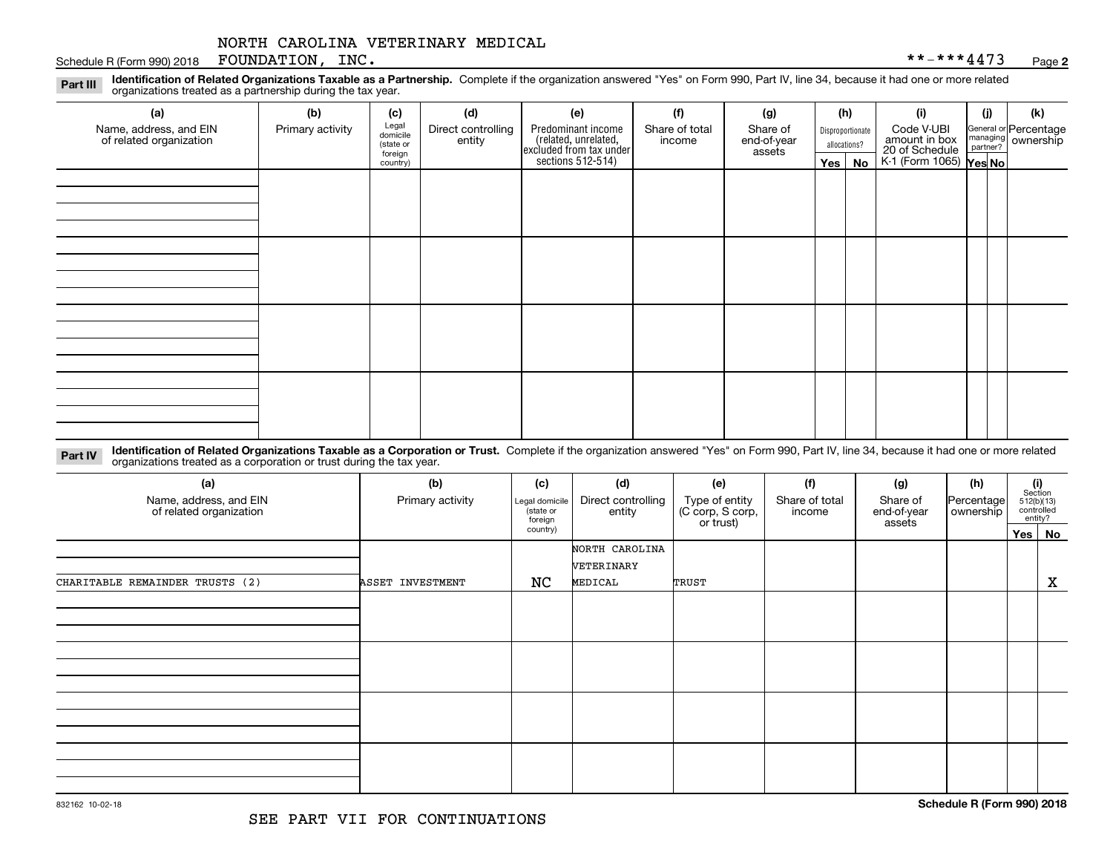#### Schedule R (Form 990) 2018 Page FOUNDATION, INC. \*\*-\*\*\*4473

**2**

**Identification of Related Organizations Taxable as a Partnership.** Complete if the organization answered "Yes" on Form 990, Part IV, line 34, because it had one or more related **Part III** organizations treated as a partnership during the tax year.

| (a)<br>Name, address, and EIN<br>of related organization | (b)<br>Primary activity | (c)<br>Legal<br>domicile<br>(state or | (d)<br>Direct controlling<br>entity | (e)<br>Predominant income                                           | (f)<br>Share of total<br>income | (g)<br>Share of<br>end-of-year |         | (h)<br>Disproportionate<br>allocations? | (i)<br>Code V-UBI<br>amount in box                   | (j) | (k)<br>General or Percentage<br>managing ownership<br>partner? |
|----------------------------------------------------------|-------------------------|---------------------------------------|-------------------------------------|---------------------------------------------------------------------|---------------------------------|--------------------------------|---------|-----------------------------------------|------------------------------------------------------|-----|----------------------------------------------------------------|
|                                                          |                         | foreign<br>country)                   |                                     | related, unrelated,<br>excluded from tax under<br>sections 512-514) |                                 | assets                         | Yes $ $ | No                                      | 20 of Schedule<br>$K-1$ (Form 1065) $\sqrt{Yes No }$ |     |                                                                |
|                                                          |                         |                                       |                                     |                                                                     |                                 |                                |         |                                         |                                                      |     |                                                                |
|                                                          |                         |                                       |                                     |                                                                     |                                 |                                |         |                                         |                                                      |     |                                                                |
|                                                          |                         |                                       |                                     |                                                                     |                                 |                                |         |                                         |                                                      |     |                                                                |
|                                                          |                         |                                       |                                     |                                                                     |                                 |                                |         |                                         |                                                      |     |                                                                |
|                                                          |                         |                                       |                                     |                                                                     |                                 |                                |         |                                         |                                                      |     |                                                                |
|                                                          |                         |                                       |                                     |                                                                     |                                 |                                |         |                                         |                                                      |     |                                                                |
|                                                          |                         |                                       |                                     |                                                                     |                                 |                                |         |                                         |                                                      |     |                                                                |
|                                                          |                         |                                       |                                     |                                                                     |                                 |                                |         |                                         |                                                      |     |                                                                |
|                                                          |                         |                                       |                                     |                                                                     |                                 |                                |         |                                         |                                                      |     |                                                                |
|                                                          |                         |                                       |                                     |                                                                     |                                 |                                |         |                                         |                                                      |     |                                                                |
|                                                          |                         |                                       |                                     |                                                                     |                                 |                                |         |                                         |                                                      |     |                                                                |
|                                                          |                         |                                       |                                     |                                                                     |                                 |                                |         |                                         |                                                      |     |                                                                |
|                                                          |                         |                                       |                                     |                                                                     |                                 |                                |         |                                         |                                                      |     |                                                                |
|                                                          |                         |                                       |                                     |                                                                     |                                 |                                |         |                                         |                                                      |     |                                                                |

**Identification of Related Organizations Taxable as a Corporation or Trust.** Complete if the organization answered "Yes" on Form 990, Part IV, line 34, because it had one or more related **Part IV** organizations treated as a corporation or trust during the tax year.

| (a)<br>Name, address, and EIN<br>of related organization | (b)<br>Primary activity | (c)<br>Legal domicile<br>state or<br>foreign | (d)<br>Direct controlling<br>entity | (e)<br>Type of entity<br>(C corp, S corp, | (f)<br>(g)<br>Share of total<br>Share of<br>end-of-year<br>income<br>or trust)<br>assets |  | (h)<br>Percentage<br>ownership | (i)<br>Section<br>$512(b)(13)$<br>controlled<br>entity? |
|----------------------------------------------------------|-------------------------|----------------------------------------------|-------------------------------------|-------------------------------------------|------------------------------------------------------------------------------------------|--|--------------------------------|---------------------------------------------------------|
|                                                          |                         | country)                                     |                                     |                                           |                                                                                          |  |                                | Yes No                                                  |
|                                                          |                         |                                              | NORTH CAROLINA<br>VETERINARY        |                                           |                                                                                          |  |                                |                                                         |
| CHARITABLE REMAINDER TRUSTS (2)                          | ASSET INVESTMENT        | NC                                           | MEDICAL                             | TRUST                                     |                                                                                          |  |                                | X                                                       |
|                                                          |                         |                                              |                                     |                                           |                                                                                          |  |                                |                                                         |
|                                                          |                         |                                              |                                     |                                           |                                                                                          |  |                                |                                                         |
|                                                          |                         |                                              |                                     |                                           |                                                                                          |  |                                |                                                         |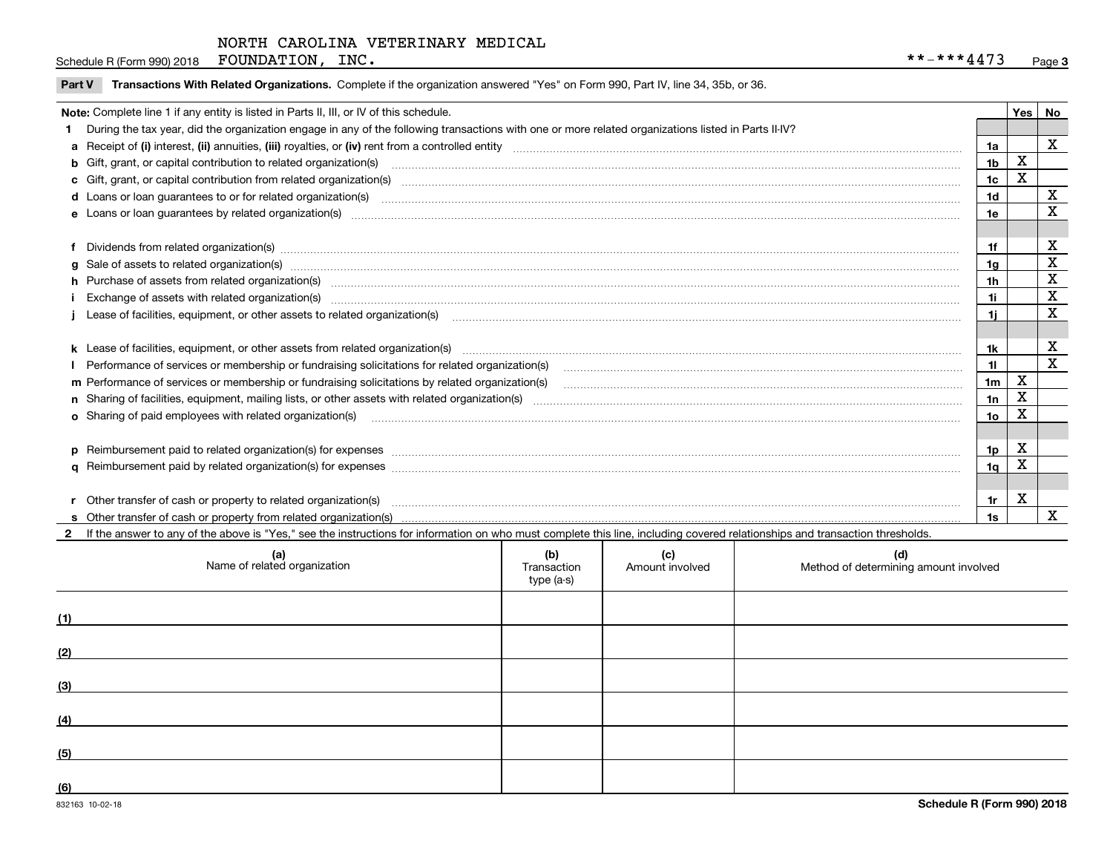Schedule R (Form 990) 2018 Page FOUNDATION, INC. \*\*-\*\*\*4473

|  | Part V Transactions With Related Organizations. Complete if the organization answered "Yes" on Form 990, Part IV, line 34, 35b, or 36 |  |  |
|--|---------------------------------------------------------------------------------------------------------------------------------------|--|--|
|--|---------------------------------------------------------------------------------------------------------------------------------------|--|--|

| Note: Complete line 1 if any entity is listed in Parts II, III, or IV of this schedule.                                                                                                                                        |                 | Yes I | <b>No</b>   |
|--------------------------------------------------------------------------------------------------------------------------------------------------------------------------------------------------------------------------------|-----------------|-------|-------------|
| 1 During the tax year, did the organization engage in any of the following transactions with one or more related organizations listed in Parts II-IV?                                                                          |                 |       |             |
|                                                                                                                                                                                                                                | 1a              |       | X           |
|                                                                                                                                                                                                                                | 1 <sub>b</sub>  | X     |             |
| c Gift, grant, or capital contribution from related organization(s) manufaction(s) manufaction contribution from related organization(s) manufaction contribution from related organization(s) manufaction continuum contribut | 1c              | Χ     |             |
|                                                                                                                                                                                                                                | 1d              |       | X           |
|                                                                                                                                                                                                                                | 1e              |       | X           |
|                                                                                                                                                                                                                                |                 |       |             |
| f Dividends from related organization(s) manufactured contains and contained a series of the contact of the contact of the contact of the contact of the contact of the contact of the contact of the contact of the contact o | 1f              |       | X           |
|                                                                                                                                                                                                                                | 1 <sub>g</sub>  |       | X           |
| h Purchase of assets from related organization(s) manufactured manufactured manufactured manufactured manufactured manufactured manufactured manufactured manufactured manufactured manufactured manufactured manufactured man | 1h              |       | X           |
| Exchange of assets with related organization(s) www.assettion.com/www.assettion.com/www.assettion.com/www.assettion.com/www.assettion.com/www.assettion.com/www.assettion.com/www.assettion.com/www.assettion.com/www.assettio | 1i              |       | X           |
|                                                                                                                                                                                                                                |                 |       | $\mathbf x$ |
|                                                                                                                                                                                                                                |                 |       |             |
|                                                                                                                                                                                                                                | 1k              |       | x           |
| Performance of services or membership or fundraising solicitations for related organization(s)                                                                                                                                 | 11              |       | X           |
| m Performance of services or membership or fundraising solicitations by related organization(s)                                                                                                                                | 1 <sub>m</sub>  | X     |             |
|                                                                                                                                                                                                                                | 1n              | X     |             |
| o Sharing of paid employees with related organization(s) manufactured content to the content of the content of the content of the content of the content of the content of the content of the content of the content of the co | 10 <sub>o</sub> | х     |             |
|                                                                                                                                                                                                                                |                 |       |             |
| p Reimbursement paid to related organization(s) for expenses [111] All and the content of the content of the content of the content of the content of the content of the content of the content of the content of the content  | 1p              | х     |             |
|                                                                                                                                                                                                                                | 1q              | х     |             |
|                                                                                                                                                                                                                                |                 |       |             |
|                                                                                                                                                                                                                                | 1r              | х     |             |
|                                                                                                                                                                                                                                | 1s              |       | X           |

**2**If the answer to any of the above is "Yes," see the instructions for information on who must complete this line, including covered relationships and transaction thresholds.

|     | (a)<br>Name of related organization | (b)<br>Transaction<br>type (a-s) | (c)<br>Amount involved | (d)<br>Method of determining amount involved |
|-----|-------------------------------------|----------------------------------|------------------------|----------------------------------------------|
| (1) |                                     |                                  |                        |                                              |
| (2) |                                     |                                  |                        |                                              |
| (3) |                                     |                                  |                        |                                              |
| (4) |                                     |                                  |                        |                                              |
| (5) |                                     |                                  |                        |                                              |
| (6) |                                     |                                  |                        |                                              |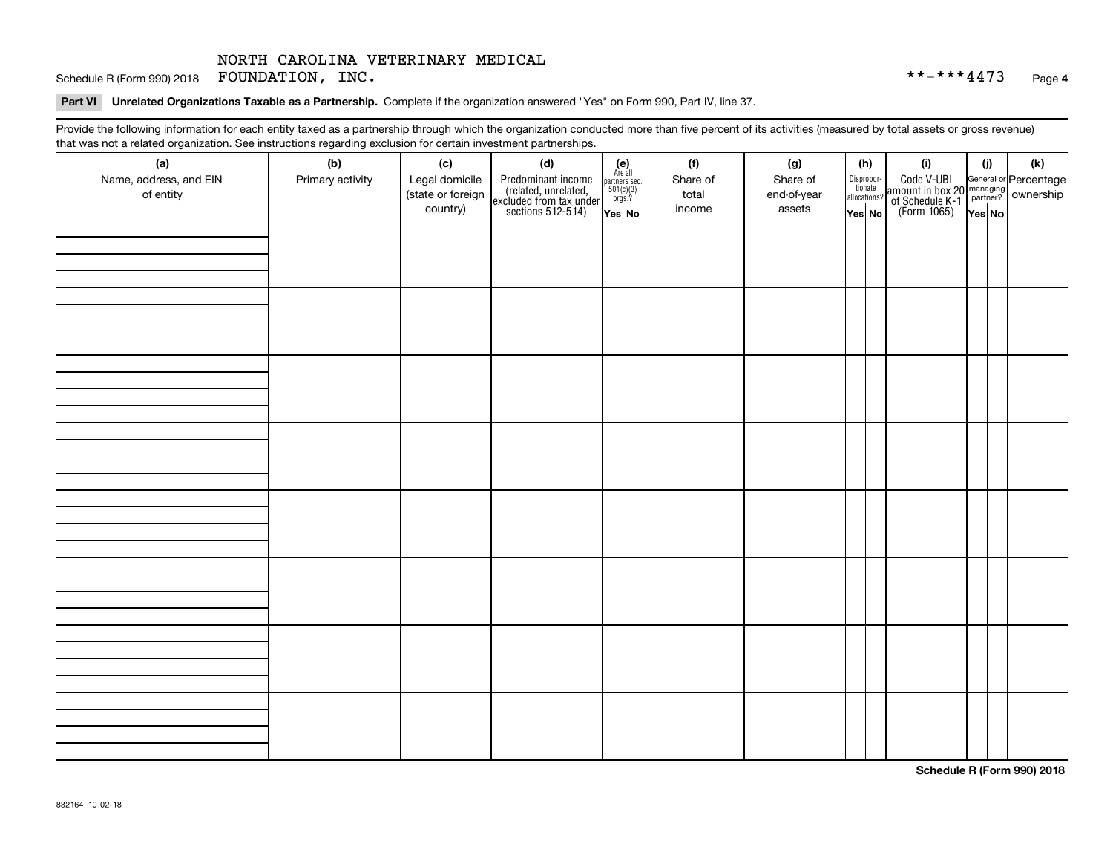Schedule R (Form 990) 2018 Page FOUNDATION, INC. \*\*-\*\*\*4473

#### **Part VI Unrelated Organizations Taxable as a Partnership. Complete if the organization answered "Yes" on Form 990, Part IV, line 37.**

Provide the following information for each entity taxed as a partnership through which the organization conducted more than five percent of its activities (measured by total assets or gross revenue) that was not a related organization. See instructions regarding exclusion for certain investment partnerships.

| - - - - -<br>(a)<br>Name, address, and EIN<br>of entity | ----- <del>-</del> -------<br>(b)<br>Primary activity | (c)<br>Legal domicile<br>(state or foreign<br>country) | (d)<br>Predominant income<br>(related, unrelated,<br>excluded from tax under<br>sections 512-514) | (e)<br>Are all<br>partners sec.<br>$501(c)(3)$<br>orgs.?<br>Yes No | (f)<br>Share of<br>total<br>income | (g)<br>Share of<br>end-of-year<br>assets | (h)<br>Dispropor-<br>tionate<br>allocations?<br>Yes No | (i)<br>Code V-UBI<br>amount in box 20 managing<br>of Schedule K-1<br>(Form 1065)<br>$\overline{Yes}$ No | (i)<br>Yes No | (k) |
|---------------------------------------------------------|-------------------------------------------------------|--------------------------------------------------------|---------------------------------------------------------------------------------------------------|--------------------------------------------------------------------|------------------------------------|------------------------------------------|--------------------------------------------------------|---------------------------------------------------------------------------------------------------------|---------------|-----|
|                                                         |                                                       |                                                        |                                                                                                   |                                                                    |                                    |                                          |                                                        |                                                                                                         |               |     |
|                                                         |                                                       |                                                        |                                                                                                   |                                                                    |                                    |                                          |                                                        |                                                                                                         |               |     |
|                                                         |                                                       |                                                        |                                                                                                   |                                                                    |                                    |                                          |                                                        |                                                                                                         |               |     |
|                                                         |                                                       |                                                        |                                                                                                   |                                                                    |                                    |                                          |                                                        |                                                                                                         |               |     |
|                                                         |                                                       |                                                        |                                                                                                   |                                                                    |                                    |                                          |                                                        |                                                                                                         |               |     |
|                                                         |                                                       |                                                        |                                                                                                   |                                                                    |                                    |                                          |                                                        |                                                                                                         |               |     |
|                                                         |                                                       |                                                        |                                                                                                   |                                                                    |                                    |                                          |                                                        |                                                                                                         |               |     |
|                                                         |                                                       |                                                        |                                                                                                   |                                                                    |                                    |                                          |                                                        |                                                                                                         |               |     |

**Schedule R (Form 990) 2018**